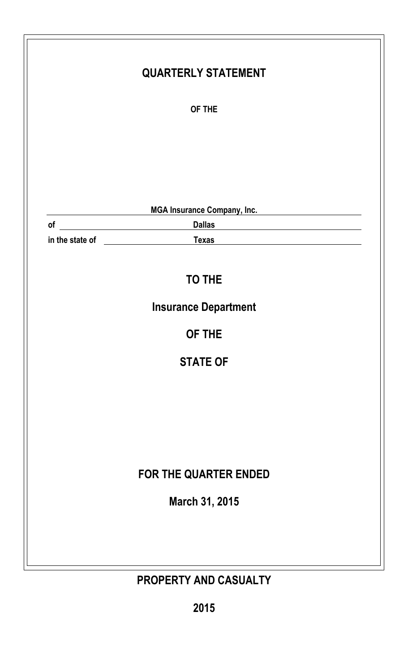|    | <b>QUARTERLY STATEMENT</b>                                                                                                                                                                                                                                                                                                                                                   |
|----|------------------------------------------------------------------------------------------------------------------------------------------------------------------------------------------------------------------------------------------------------------------------------------------------------------------------------------------------------------------------------|
|    | OF THE                                                                                                                                                                                                                                                                                                                                                                       |
|    |                                                                                                                                                                                                                                                                                                                                                                              |
|    |                                                                                                                                                                                                                                                                                                                                                                              |
|    |                                                                                                                                                                                                                                                                                                                                                                              |
|    | MGA Insurance Company, Inc.                                                                                                                                                                                                                                                                                                                                                  |
| of | <u> 1980 - Johann Stein, marwolaethau (b. 1980)</u><br><b>Dallas</b><br><u> 1989 - Johann Stein, fransk politik (</u>                                                                                                                                                                                                                                                        |
|    | in the state of <b>way to be able to be able to be able to be able to be able to be able to be able to be able to be able to be able to be able to be able to be able to be able to be able to be able to be able to be able to </b><br><b>Texas</b><br><u> 1989 - Johann Stein, marwolaethau a bhann an t-Amhair an t-Amhair an t-Amhair an t-Amhair an t-Amhair an t-A</u> |
|    |                                                                                                                                                                                                                                                                                                                                                                              |
|    | <b>TO THE</b>                                                                                                                                                                                                                                                                                                                                                                |
|    | <b>Insurance Department</b>                                                                                                                                                                                                                                                                                                                                                  |
|    | OF THE                                                                                                                                                                                                                                                                                                                                                                       |
|    | <b>STATE OF</b>                                                                                                                                                                                                                                                                                                                                                              |
|    |                                                                                                                                                                                                                                                                                                                                                                              |
|    |                                                                                                                                                                                                                                                                                                                                                                              |
|    |                                                                                                                                                                                                                                                                                                                                                                              |
|    |                                                                                                                                                                                                                                                                                                                                                                              |
|    | FOR THE QUARTER ENDED                                                                                                                                                                                                                                                                                                                                                        |
|    | March 31, 2015                                                                                                                                                                                                                                                                                                                                                               |
|    |                                                                                                                                                                                                                                                                                                                                                                              |
|    |                                                                                                                                                                                                                                                                                                                                                                              |
|    |                                                                                                                                                                                                                                                                                                                                                                              |
|    | PROPERTY AND CASUALTY                                                                                                                                                                                                                                                                                                                                                        |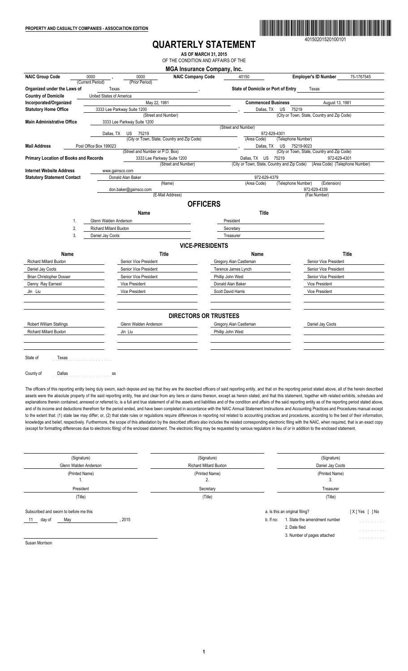

40150201520100101

# **QUARTERLY STATEMENT**

**AS OF MARCH 31, 2015** OF THE CONDITION AND AFFAIRS OF THE

| <b>NAIC Group Code</b>                | 0000                          | 0000                            | <b>MGA Insurance Company, Inc.</b><br><b>NAIC Company Code</b> | 40150                                       | <b>Employer's ID Number</b><br>75-1767545   |
|---------------------------------------|-------------------------------|---------------------------------|----------------------------------------------------------------|---------------------------------------------|---------------------------------------------|
|                                       | (Current Period)              | (Prior Period)                  |                                                                |                                             |                                             |
| Organized under the Laws of           | Texas                         |                                 |                                                                | <b>State of Domicile or Port of Entry</b>   | Texas                                       |
| <b>Country of Domicile</b>            | United States of America      |                                 |                                                                |                                             |                                             |
| Incorporated/Organized                |                               | May 22, 1981                    |                                                                | <b>Commenced Business</b>                   | August 13, 1981                             |
| <b>Statutory Home Office</b>          |                               | 3333 Lee Parkway Suite 1200     |                                                                | Dallas, TX<br>US                            | 75219                                       |
|                                       |                               |                                 | (Street and Number)                                            |                                             | (City or Town, State, Country and Zip Code) |
| <b>Main Administrative Office</b>     |                               | 3333 Lee Parkway Suite 1200     |                                                                |                                             |                                             |
|                                       | Dallas, TX                    | US<br>75219                     |                                                                | (Street and Number)<br>972-629-4301         |                                             |
|                                       |                               |                                 | (City or Town, State, Country and Zip Code)                    | (Area Code)                                 | (Telephone Number)                          |
| <b>Mail Address</b>                   | Post Office Box 199023        |                                 |                                                                | US<br>Dallas, TX                            | 75219-9023                                  |
|                                       |                               | (Street and Number or P.O. Box) |                                                                |                                             | (City or Town, State, Country and Zip Code) |
| Primary Location of Books and Records |                               |                                 | 3333 Lee Parkway Suite 1200                                    | Dallas, TX US<br>75219                      | 972-629-4301                                |
|                                       |                               |                                 | (Street and Number)                                            | (City or Town, State, Country and Zip Code) | (Area Code) (Telephone Number)              |
| <b>Internet Website Address</b>       | www.gainsco.com               |                                 |                                                                |                                             |                                             |
| <b>Statutory Statement Contact</b>    |                               | Donald Alan Baker               |                                                                | 972-629-4379                                |                                             |
|                                       |                               |                                 | (Name)                                                         | (Area Code)                                 | (Telephone Number)<br>(Extension)           |
|                                       |                               | don.baker@gainsco.com           |                                                                |                                             | 972-629-4339                                |
|                                       |                               |                                 | (E-Mail Address)                                               |                                             | (Fax Number)                                |
|                                       |                               |                                 | <b>OFFICERS</b>                                                |                                             |                                             |
|                                       |                               | Name                            |                                                                | Title                                       |                                             |
| 1.                                    | Glenn Walden Anderson         |                                 |                                                                | President                                   |                                             |
| 2.                                    | <b>Richard Millard Buxton</b> |                                 |                                                                | Secretary                                   |                                             |
| 3.                                    | Daniel Jay Coots              |                                 |                                                                | Treasurer                                   |                                             |
|                                       |                               |                                 |                                                                |                                             |                                             |
|                                       |                               |                                 | <b>VICE-PRESIDENTS</b>                                         |                                             |                                             |
| Name                                  |                               |                                 | <b>Title</b>                                                   | <b>Name</b>                                 | Title                                       |
| <b>Richard Millard Buxton</b>         |                               | Senior Vice President           |                                                                | Gregory Alan Castleman                      | Senior Vice President                       |
| Daniel Jay Coots                      |                               | Senior Vice President           |                                                                | Terence James Lynch                         | Senior Vice President                       |
| <b>Brian Christopher Dosser</b>       |                               | Senior Vice President           |                                                                | Phillip John West                           | Senior Vice President                       |
| Danny Ray Earnest                     |                               | <b>Vice President</b>           |                                                                | Donald Alan Baker                           | <b>Vice President</b>                       |
|                                       |                               |                                 |                                                                |                                             |                                             |
| Jin Liu                               |                               | Vice President                  |                                                                | Scott David Harris                          | Vice President                              |
|                                       |                               |                                 |                                                                |                                             |                                             |
|                                       |                               |                                 |                                                                |                                             |                                             |
|                                       |                               |                                 | <b>DIRECTORS OR TRUSTEES</b>                                   |                                             |                                             |
| Robert William Stallings              |                               | Glenn Walden Anderson           |                                                                | Gregory Alan Castleman                      | Daniel Jay Coots                            |
| <b>Richard Millard Buxton</b>         |                               | Jin Liu                         |                                                                | Phillip John West                           |                                             |
|                                       |                               |                                 |                                                                |                                             |                                             |
|                                       |                               |                                 |                                                                |                                             |                                             |
|                                       |                               |                                 |                                                                |                                             |                                             |
|                                       |                               |                                 |                                                                |                                             |                                             |
| State of<br>Texas                     |                               |                                 |                                                                |                                             |                                             |

The officers of this reporting entity being duly sworn, each depose and say that they are the described officers of said reporting entity, and that on the reporting period stated above, all of the herein described assets were the absolute property of the said reporting entity, free and clear from any liens or claims thereon, except as herein stated, and that this statement, together with related exhibits, schedules and explanations therein contained, annexed or referred to, is a full and true statement of all the assets and liabilities and of the condition and affairs of the said reporting entity as of the reporting period stated above, and of its income and deductions therefrom for the period ended, and have been completed in accordance with the NAIC Annual Statement Instructions and Accounting Practices and Procedures manual except to the extent that: (1) state law may differ; or, (2) that state rules or regulations require differences in reporting not related to accounting practices and procedures, according to the best of their information, knowledge and belief, respectively. Furthermore, the scope of this attestation by the described officers also includes the related corresponding electronic filing with the NAIC, when required, that is an exact copy (except for formatting differences due to electronic filing) of the enclosed statement. The electronic filing may be requested by various regulators in lieu of or in addition to the enclosed statement.

| (Signature)<br>Glenn Walden Anderson                                  | (Signature)<br><b>Richard Millard Buxton</b> | (Signature)<br>Daniel Jay Coots                                                                                                                                                                                   |  |  |
|-----------------------------------------------------------------------|----------------------------------------------|-------------------------------------------------------------------------------------------------------------------------------------------------------------------------------------------------------------------|--|--|
| (Printed Name)<br>. .                                                 | (Printed Name)<br>2.                         | (Printed Name)<br>3.                                                                                                                                                                                              |  |  |
| President                                                             | Secretary                                    | Treasurer                                                                                                                                                                                                         |  |  |
| (Title)                                                               | (Title)                                      | (Title)                                                                                                                                                                                                           |  |  |
| Subscribed and sworn to before me this<br>2015<br>May<br>day of<br>11 |                                              | a. Is this an original filing?<br>[X]Yes [ ]No<br>1. State the amendment number<br>b. If no:<br>and the second control of<br>2. Date filed<br>design and contract to the con-<br>3. Number of pages attached<br>. |  |  |

Susan Morrison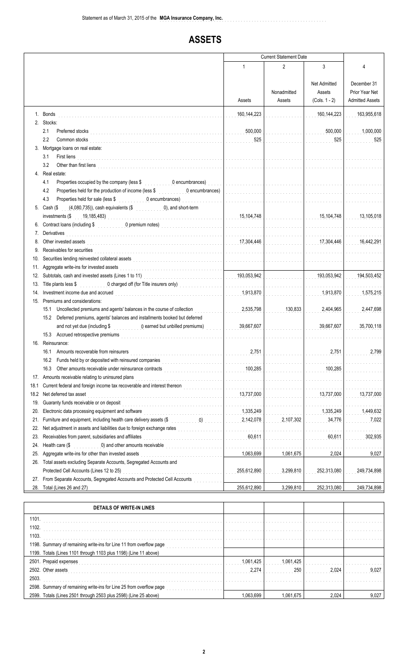# **ASSETS**

|            |                                                                                                                                                                                                                                                                                                                                                            | <b>Current Statement Date</b>       |                       |                                                  |                                                         |
|------------|------------------------------------------------------------------------------------------------------------------------------------------------------------------------------------------------------------------------------------------------------------------------------------------------------------------------------------------------------------|-------------------------------------|-----------------------|--------------------------------------------------|---------------------------------------------------------|
|            |                                                                                                                                                                                                                                                                                                                                                            | 1                                   | 2                     | 3                                                | 4                                                       |
|            |                                                                                                                                                                                                                                                                                                                                                            | Assets                              | Nonadmitted<br>Assets | <b>Net Admitted</b><br>Assets<br>$(Cols. 1 - 2)$ | December 31<br>Prior Year Net<br><b>Admitted Assets</b> |
|            | 1. Bonds<br>2. Stocks:                                                                                                                                                                                                                                                                                                                                     | 160,144,223                         |                       | 160,144,223                                      | 163,955,618                                             |
|            | 2.1<br>Preferred stocks<br>2.2<br>Common stocks                                                                                                                                                                                                                                                                                                            | 500,000<br>525                      |                       | 500,000<br>525                                   | 1,000,000<br>525                                        |
|            | 3. Mortgage loans on real estate:<br>First liens<br>3.1                                                                                                                                                                                                                                                                                                    |                                     |                       |                                                  |                                                         |
|            | 3.2<br>Other than first liens<br>in the continuum of the continuum of the continuum of the continuum of the continuum of the continuum of the continuum of the continuum of the continuum of the continuum of the continuum of the cont<br>4. Real estate:                                                                                                 | a da da da da da da da d            |                       |                                                  |                                                         |
|            | Properties occupied by the company (less \$ 0.000, 0.000, 0.000, 0.000, 0.000, 0.000, 0.000, 0.000, 0.000, 0.000, 0.000, 0.000, 0.000, 0.000, 0.000, 0.000, 0.000, 0.000, 0.000, 0.000, 0.000, 0.000, 0.000, 0.000, 0.000, 0.00<br>4.1<br>Properties held for the production of income (less \$ 0 encumbrances)<br>4.2                                     |                                     |                       |                                                  |                                                         |
|            | 4.3<br>Properties held for sale (less \$<br><b>O</b> encumbrances <b>Constant Constant Constant Constant Constant Constant Constant Constant Constant Constant Constant Constant Constant Constant Constant Constant Constant Constant Constant Constant Constant Constant Consta</b><br>5. Cash (\$ (4,080,735)), cash equivalents (\$ 0), and short-term | a dia 49.000 metatra.               |                       |                                                  |                                                         |
|            | Contract loans (including \$ 0 premium notes)                                                                                                                                                                                                                                                                                                              | 15,104,748<br>a dia kaominina dia k |                       | 15,104,748                                       | 13,105,018                                              |
|            | 7. Derivatives                                                                                                                                                                                                                                                                                                                                             |                                     |                       |                                                  |                                                         |
| 8.         | Other invested assets                                                                                                                                                                                                                                                                                                                                      | 17,304,446                          |                       | 17,304,446                                       | 16,442,291                                              |
| 9.         | Receivables for securities                                                                                                                                                                                                                                                                                                                                 | .                                   |                       |                                                  |                                                         |
| 10.<br>11. | Securities lending reinvested collateral assets<br>Aggregate write-ins for invested assets                                                                                                                                                                                                                                                                 | .                                   |                       |                                                  |                                                         |
| 12.        | Subtotals, cash and invested assets (Lines 1 to 11)                                                                                                                                                                                                                                                                                                        | 193,053,942                         |                       | 193,053,942                                      | 194,503,452                                             |
|            | 0 charged off (for Title insurers only)<br>13. Title plants less \$                                                                                                                                                                                                                                                                                        |                                     |                       |                                                  |                                                         |
| 14.        | Investment income due and accrued                                                                                                                                                                                                                                                                                                                          | 1,913,870                           |                       | 1,913,870                                        | 1,575,215                                               |
|            | 15. Premiums and considerations:                                                                                                                                                                                                                                                                                                                           |                                     |                       |                                                  |                                                         |
|            | Uncollected premiums and agents' balances in the course of collection<br>15.1                                                                                                                                                                                                                                                                              | 2,535,798                           | 130,833               | 2,404,965                                        | 2,447,698                                               |
|            | Deferred premiums, agents' balances and installments booked but deferred<br>15.2                                                                                                                                                                                                                                                                           |                                     |                       |                                                  |                                                         |
|            | and not yet due (including \$<br>0 earned but unbilled premiums)                                                                                                                                                                                                                                                                                           | 39,667,607                          |                       | 39,667,607                                       | 35,700,118                                              |
|            | 15.3 Accrued retrospective premiums<br><u> 1986 - Johann Stoff, amerikansk politiker (d. 1986)</u><br>16. Reinsurance:                                                                                                                                                                                                                                     |                                     |                       |                                                  |                                                         |
|            | Amounts recoverable from reinsurers<br>16.1                                                                                                                                                                                                                                                                                                                | 2,751                               |                       | 2,751                                            | 2,799                                                   |
|            | Funds held by or deposited with reinsured companies<br>16.2                                                                                                                                                                                                                                                                                                | .                                   |                       |                                                  |                                                         |
|            | 16.3<br>Other amounts receivable under reinsurance contracts<br>interactional contracts                                                                                                                                                                                                                                                                    | 100,285                             |                       | 100,285                                          |                                                         |
| 17.        | Amounts receivable relating to uninsured plans                                                                                                                                                                                                                                                                                                             | .                                   |                       |                                                  |                                                         |
| 18.1       | Current federal and foreign income tax recoverable and interest thereon                                                                                                                                                                                                                                                                                    | .                                   |                       |                                                  |                                                         |
| 18.2       | Net deferred tax asset                                                                                                                                                                                                                                                                                                                                     | 13,737,000                          |                       | 13,737,000                                       | 13,737,000                                              |
| 19.        | Guaranty funds receivable or on deposit                                                                                                                                                                                                                                                                                                                    | $\mathbb{Z}^2$ . $\mathbb{Z}^2$     |                       |                                                  |                                                         |
| 20.        | Electronic data processing equipment and software                                                                                                                                                                                                                                                                                                          | 1,335,249                           |                       | 1,335,249                                        | 1,449,632                                               |
| 21.<br>22. | Net adjustment in assets and liabilities due to foreign exchange rates                                                                                                                                                                                                                                                                                     | 2,142,078<br>a sa sala              | 2,107,302             | 34,776                                           | 7,022                                                   |
| 23.        | Receivables from parent, subsidiaries and affiliates                                                                                                                                                                                                                                                                                                       | .<br>60,611<br>a a a a a an         |                       | 60,611                                           | 302,935                                                 |
| 24.        | Health care (\$                                                                                                                                                                                                                                                                                                                                            | .                                   |                       |                                                  |                                                         |
| 25.        | Aggregate write-ins for other than invested assets                                                                                                                                                                                                                                                                                                         | 1,063,699                           | 1,061,675             | 2,024                                            | 9,027                                                   |
|            | 26. Total assets excluding Separate Accounts, Segregated Accounts and                                                                                                                                                                                                                                                                                      |                                     |                       |                                                  |                                                         |
|            | Protected Cell Accounts (Lines 12 to 25)                                                                                                                                                                                                                                                                                                                   | 255,612,890                         | 3,299,810             | 252,313,080                                      | 249,734,898                                             |
| 27.        | From Separate Accounts, Segregated Accounts and Protected Cell Accounts                                                                                                                                                                                                                                                                                    |                                     |                       |                                                  |                                                         |
| 28.        | Total (Lines 26 and 27)                                                                                                                                                                                                                                                                                                                                    | 255,612,890                         | 3,299,810             | 252,313,080                                      | 249,734,898                                             |
|            | <b>DETAILS OF WRITE-IN LINES</b>                                                                                                                                                                                                                                                                                                                           |                                     |                       |                                                  |                                                         |
| 1101.      |                                                                                                                                                                                                                                                                                                                                                            |                                     |                       |                                                  |                                                         |
| 1102.      |                                                                                                                                                                                                                                                                                                                                                            | and a straight and a straight       |                       |                                                  |                                                         |
| 1103.      |                                                                                                                                                                                                                                                                                                                                                            |                                     |                       |                                                  |                                                         |
|            | 1198. Summary of remaining write-ins for Line 11 from overflow page                                                                                                                                                                                                                                                                                        |                                     |                       |                                                  |                                                         |
|            | 1199. Totals (Lines 1101 through 1103 plus 1198) (Line 11 above)                                                                                                                                                                                                                                                                                           |                                     |                       |                                                  |                                                         |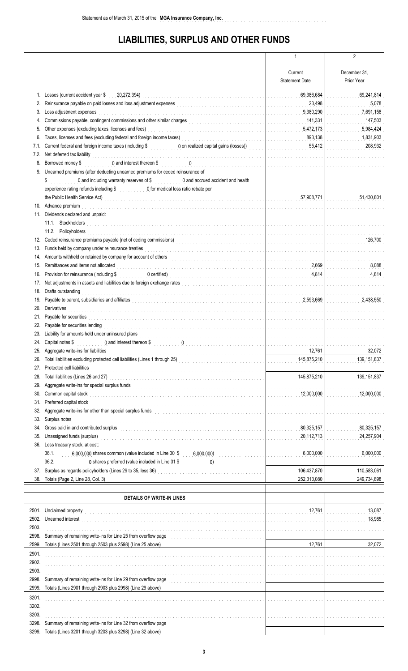# **LIABILITIES, SURPLUS AND OTHER FUNDS**

|       |                                                                                                                                                                                                                                    | 1                                             | 2            |
|-------|------------------------------------------------------------------------------------------------------------------------------------------------------------------------------------------------------------------------------------|-----------------------------------------------|--------------|
|       |                                                                                                                                                                                                                                    |                                               |              |
|       |                                                                                                                                                                                                                                    | Current                                       | December 31. |
|       |                                                                                                                                                                                                                                    | <b>Statement Date</b>                         | Prior Year   |
|       |                                                                                                                                                                                                                                    |                                               |              |
|       | 1. Losses (current accident year \$<br>20,272,394)                                                                                                                                                                                 | 69,386,684                                    | 69,241,814   |
| 2.    | Reinsurance payable on paid losses and loss adjustment expenses<br><br>The conditions of the conditions of the conditions of the conditions of the conditions of the conditions of the conditions of the conditions of the conditi | 23,498                                        | 5,078        |
| 3.    | Loss adjustment expenses                                                                                                                                                                                                           | 9,380,290                                     | 7,691,158    |
| 4.    | Commissions payable, contingent commissions and other similar charges<br><br>[<br>1                                                                                                                                                | 141,331                                       | 147,503      |
| 5.    | Other expenses (excluding taxes, licenses and fees)                                                                                                                                                                                | 5,472,173<br>and a straightful and            | 5,984,424    |
| 6.    | Taxes, licenses and fees (excluding federal and foreign income taxes)<br>[[[[CONDERREFETER ]]                                                                                                                                      | 893,138                                       | 1,831,903    |
| 7.1.  | Current federal and foreign income taxes (including \$ 0 on realized capital gains (losses))                                                                                                                                       | 55,412                                        | 208,932      |
| 7.2.  | Net deferred tax liability<br>interaction of the contract of the contract of the contract of the contract of the contract of the contract of the contract of the contract of the contract of the contract of the contract of the   | .                                             | .            |
| 8.    | Borrowed money \$                                                                                                                                                                                                                  | .                                             |              |
|       | 9. Unearned premiums (after deducting unearned premiums for ceded reinsurance of                                                                                                                                                   |                                               |              |
|       | 0 and including warranty reserves of \$ 0 and accrued accident and health<br>\$                                                                                                                                                    |                                               |              |
|       | experience rating refunds including \$ 0 for medical loss ratio rebate per                                                                                                                                                         |                                               |              |
|       | the Public Health Service Act)<br>internal continuous continuous continuous continuous continuous continuous continuous continuous continuous continuous continuous continuous continuous continuous continuous continuous conti   | 57,908,771<br>a sa sala                       | 51,430,801   |
|       | 10. Advance premium                                                                                                                                                                                                                |                                               |              |
|       | 11. Dividends declared and unpaid:                                                                                                                                                                                                 |                                               |              |
|       | 11.1. Stockholders                                                                                                                                                                                                                 |                                               |              |
|       | 11.2. Policyholders                                                                                                                                                                                                                |                                               |              |
| 12.   | Ceded reinsurance premiums payable (net of ceding commissions)<br>and the contract of the contract of the contract of the contract of the contract of the contract of the contract of the contract of the contract of the contra   |                                               | 126,700      |
| 13.   | Funds held by company under reinsurance treaties<br>[[[COLORGIVITER ] [[COLORGIVITER ] [[COLORGIVITER ] [[COLORGIVITER ] [[COLORGIVITER ] [[COLORGIVITER ] [[COLORGIVITER ] [[COLORGIVITER ] [[COLORGIVITER ] [[COLORGIVITER ] [   |                                               |              |
| 14.   |                                                                                                                                                                                                                                    |                                               |              |
| 15.   | Remittances and items not allocated                                                                                                                                                                                                | 2,669                                         | 8,088        |
| 16.   | Provision for reinsurance (including \$                                                                                                                                                                                            | 4,814                                         | 4,814        |
| 17.   | Net adjustments in assets and liabilities due to foreign exchange rates<br>and the set of the set of the set of the set of the set of the set of the set of the set of the set of the set of the set of the set of the set of th   |                                               |              |
| 18.   | Drafts outstanding                                                                                                                                                                                                                 |                                               |              |
| 19.   |                                                                                                                                                                                                                                    | 2,593,669                                     | 2,438,550    |
| 20.   | Derivatives                                                                                                                                                                                                                        | <u> 1999 - Paris Paris III, martin a fila</u> |              |
| 21.   | Payable for securities<br>in the contract of the contract of the contract of the contract of the contract of the contract of the contract of the contract of the contract of the contract of the contract of the contract of the   |                                               |              |
| 22.   | Payable for securities lending                                                                                                                                                                                                     |                                               |              |
| 23.   | Liability for amounts held under uninsured plans                                                                                                                                                                                   |                                               |              |
|       | 24. Capital notes \$<br>0 and interest thereon \$                                                                                                                                                                                  |                                               |              |
| 25.   | Aggregate write-ins for liabilities                                                                                                                                                                                                | 12,761                                        | 32,072       |
| 26.   | Total liabilities excluding protected cell liabilities (Lines 1 through 25)<br>[[[[[[[[[[[[[[[[[[[[[]]]]]]                                                                                                                         | 145,875,210<br>a caracteristic                | 139,151,837  |
| 27.   | Protected cell liabilities                                                                                                                                                                                                         |                                               |              |
| 28.   |                                                                                                                                                                                                                                    | 145,875,210                                   | 139,151,837  |
| 29.   |                                                                                                                                                                                                                                    | .                                             |              |
| 30.   | Common capital stock                                                                                                                                                                                                               | 12,000,000                                    | 12,000,000   |
| 31.   | Preferred capital stock                                                                                                                                                                                                            |                                               |              |
| 32.   |                                                                                                                                                                                                                                    |                                               |              |
| 33.   | Surplus notes                                                                                                                                                                                                                      |                                               |              |
| 34.   | Gross paid in and contributed surplus                                                                                                                                                                                              | 80,325,157<br>.                               | 80,325,157   |
| 35.   | Unassigned funds (surplus)                                                                                                                                                                                                         | 20,112,713                                    | 24,257,904   |
| 36.   | Less treasury stock, at cost:                                                                                                                                                                                                      |                                               |              |
|       | 6,000,000 shares common (value included in Line 30 \$ 6,000,000)<br>36.1.                                                                                                                                                          | 6,000,000<br>.                                | 6,000,000    |
|       | 36.2.<br>0 shares preferred (value included in Line 31 \$ 0)                                                                                                                                                                       |                                               |              |
| 37.   |                                                                                                                                                                                                                                    | 106,437,870                                   | 110,583,061  |
| 38.   | Totals (Page 2, Line 28, Col. 3)                                                                                                                                                                                                   | 252,313,080                                   | 249,734,898  |
|       |                                                                                                                                                                                                                                    |                                               |              |
|       | <b>DETAILS OF WRITE-IN LINES</b>                                                                                                                                                                                                   |                                               |              |
|       |                                                                                                                                                                                                                                    |                                               |              |
|       | 2501. Unclaimed property                                                                                                                                                                                                           | 12,761                                        | 13,087       |
| 2502. | Unearned interest                                                                                                                                                                                                                  |                                               | 18,985       |
| 2503. |                                                                                                                                                                                                                                    |                                               |              |
| 2598. | Summary of remaining write-ins for Line 25 from overflow page<br>and the condition of the condition of the condition of the condition of the 25 from overflow page of the condition of the condition of the condition of the con   |                                               |              |
| 2599. | Totals (Lines 2501 through 2503 plus 2598) (Line 25 above)                                                                                                                                                                         | 12,761                                        | 32,072       |

.................................................................................. ..................... ..................... .................................................................................. ..................... ..................... .................................................................................. ..................... ..................... ....................................

.................................................................................. ..................... ..................... .................................................................................. ..................... ..................... .................................................................................. ..................... ..................... ....................................

2901. 2902. 2903.

3201. 3202. 3203.

2998. Summary of remaining write-ins for Line 29 from overflow page 2999. Totals (Lines 2901 through 2903 plus 2998) (Line 29 above)

3298. Summary of remaining write-ins for Line 32 from overflow page 3299. Totals (Lines 3201 through 3203 plus 3298) (Line 32 above)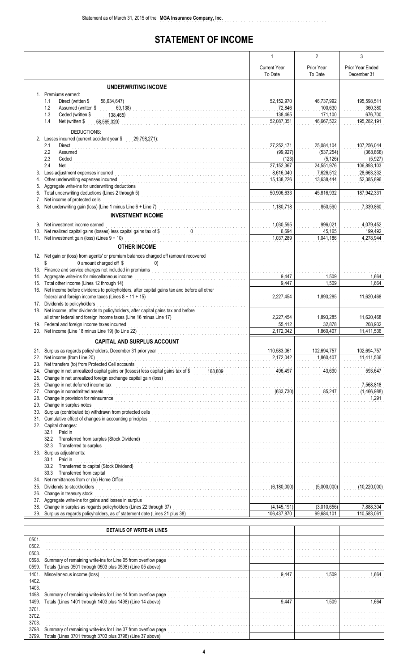# **STATEMENT OF INCOME**

..............................................................

|            |                                                                                                                                                                                                                                                                                                                                                                                                                                       | $\mathbf{1}$                      | $\overline{2}$              | 3                             |
|------------|---------------------------------------------------------------------------------------------------------------------------------------------------------------------------------------------------------------------------------------------------------------------------------------------------------------------------------------------------------------------------------------------------------------------------------------|-----------------------------------|-----------------------------|-------------------------------|
|            |                                                                                                                                                                                                                                                                                                                                                                                                                                       | <b>Current Year</b>               | Prior Year                  | <b>Prior Year Ended</b>       |
|            |                                                                                                                                                                                                                                                                                                                                                                                                                                       | To Date                           | To Date                     | December 31                   |
|            |                                                                                                                                                                                                                                                                                                                                                                                                                                       |                                   |                             |                               |
|            | <b>UNDERWRITING INCOME</b><br>1. Premiums earned:                                                                                                                                                                                                                                                                                                                                                                                     |                                   |                             |                               |
|            | 1.1<br>Direct (written \$<br>58,634,647)                                                                                                                                                                                                                                                                                                                                                                                              | 52,152,970                        | 46,737,992                  | 195,598,511                   |
|            | 1.2<br>Assumed (written \$<br>69,138)                                                                                                                                                                                                                                                                                                                                                                                                 | 72,846                            | 100,630                     | 360.380                       |
|            | 1.3<br>Ceded (written \$<br>138,465)                                                                                                                                                                                                                                                                                                                                                                                                  | 138,465                           | 171,100                     | 676,700                       |
|            | 1.4<br>Net (written \$<br>58,565,320)                                                                                                                                                                                                                                                                                                                                                                                                 | 52,087,351                        | 46,667,522                  | 195,282,191                   |
|            | DEDUCTIONS:                                                                                                                                                                                                                                                                                                                                                                                                                           |                                   |                             |                               |
|            | 2. Losses incurred (current accident year \$29,798,271):                                                                                                                                                                                                                                                                                                                                                                              |                                   |                             |                               |
|            | 2.1<br>Direct                                                                                                                                                                                                                                                                                                                                                                                                                         | 27,252,171                        | 25,084,104                  | 107,256,044                   |
|            | 2.2<br><b>Assumed</b><br>2.3                                                                                                                                                                                                                                                                                                                                                                                                          | (99, 927)<br>(123)                | (537, 254)<br>(5, 126)      | (368, 868)<br>(5, 927)        |
|            | Ceded <b>Ceded Ceded Ceded Ceded Ceded Ceded Ceded Ceded Ceded Ceded Ceded Ceded Ceded Ceded Ceded Ceded Ceded Ceded Ceded Ceded •Ceded •Ceded •Ceded •Ceded •Ceded •Ceded •Ceded •Ceded •</b><br>2.4<br>Net                                                                                                                                                                                                                          | 27,152,367                        | 24,551,976                  | 106,893,103                   |
| 3.         | Loss adjustment expenses incurred                                                                                                                                                                                                                                                                                                                                                                                                     | 8,616,040                         | 7,626,512                   | 28,663,332                    |
| 4.         |                                                                                                                                                                                                                                                                                                                                                                                                                                       | 15,138,226                        | 13,638,444                  | 52,385,896                    |
| 5.         | Aggregate write-ins for underwriting deductions                                                                                                                                                                                                                                                                                                                                                                                       |                                   |                             |                               |
| 6.         |                                                                                                                                                                                                                                                                                                                                                                                                                                       | 50,906,633                        | 45,816,932                  | 187,942,331                   |
| 7.<br>8.   | Net income of protected cells<br>Net income of protected cells<br>Net underwriting gain (loss) (Line 1 minus Line 6 + Line 7)                                                                                                                                                                                                                                                                                                         | 1,180,718                         | 850,590                     | 7,339,860                     |
|            |                                                                                                                                                                                                                                                                                                                                                                                                                                       | .                                 |                             |                               |
|            | <b>INVESTMENT INCOME</b>                                                                                                                                                                                                                                                                                                                                                                                                              |                                   |                             |                               |
| 9.         | Net investment income earned                                                                                                                                                                                                                                                                                                                                                                                                          | 1,030,595                         | 996,021                     | 4,079,452                     |
| 10.        | Net realized capital gains (losses) less capital gains tax of \$ 0<br>11. Net investment gain (loss) (Lines $9 + 10$ )                                                                                                                                                                                                                                                                                                                | 6,694<br>1.037.289                | 45,165<br>1,041,186         | 199,492<br>4,278,944          |
|            |                                                                                                                                                                                                                                                                                                                                                                                                                                       |                                   |                             |                               |
|            | <b>OTHER INCOME</b>                                                                                                                                                                                                                                                                                                                                                                                                                   |                                   |                             |                               |
|            | 12. Net gain or (loss) from agents' or premium balances charged off (amount recovered                                                                                                                                                                                                                                                                                                                                                 |                                   |                             |                               |
|            | 0 amount charged off \$<br>\$<br>13. Finance and service charges not included in premiums<br>and the contract of the contract of the contract of the contract of the contract of the contract of the contract of the contract of the contract of the contract of                                                                                                                                                                      |                                   | .                           |                               |
|            | 14. Aggregate write-ins for miscellaneous income                                                                                                                                                                                                                                                                                                                                                                                      | a cara a cara a cara a c<br>9,447 | 1,509                       | 1,664                         |
| 15.        | Total other income (Lines 12 through 14)                                                                                                                                                                                                                                                                                                                                                                                              | 9,447                             | 1,509                       | 1,664                         |
| 16.        | Net income before dividends to policyholders, after capital gains tax and before all other                                                                                                                                                                                                                                                                                                                                            |                                   |                             |                               |
|            | federal and foreign income taxes (Lines $8 + 11 + 15$ )                                                                                                                                                                                                                                                                                                                                                                               | 2,227,454                         | 1,893,285                   | 11,620,468                    |
|            | 17. Dividends to policyholders<br>18. Net income, after dividends to policyholders, after capital gains tax and before                                                                                                                                                                                                                                                                                                                |                                   |                             |                               |
|            | all other federal and foreign income taxes (Line 16 minus Line 17)<br>all other federal and foreign income taxes (Line 16 minus Line 17)                                                                                                                                                                                                                                                                                              | 2,227,454                         | 1,893,285                   | 11,620,468                    |
|            | 19. Federal and foreign income taxes incurred                                                                                                                                                                                                                                                                                                                                                                                         | 55,412                            | 32,878                      | 208,932                       |
|            | 20. Net income (Line 18 minus Line 19) (to Line 22)                                                                                                                                                                                                                                                                                                                                                                                   | 2,172,042                         | 1,860,407                   | 11,411,536                    |
|            | <b>CAPITAL AND SURPLUS ACCOUNT</b>                                                                                                                                                                                                                                                                                                                                                                                                    |                                   |                             |                               |
|            |                                                                                                                                                                                                                                                                                                                                                                                                                                       |                                   |                             |                               |
| 22.        | 21. Surplus as regards policyholders, December 31 prior year<br>Net income (from Line 20)                                                                                                                                                                                                                                                                                                                                             | 110,583,061<br>2,172,042          | 102,694,757<br>1,860,407    | 102,694,757<br>11,411,536     |
| 23.        | Net transfers (to) from Protected Cell accounts                                                                                                                                                                                                                                                                                                                                                                                       |                                   |                             |                               |
| 24.        | Change in net unrealized capital gains or (losses) less capital gains tax of \$1,000,009                                                                                                                                                                                                                                                                                                                                              | 496,497                           | 43,690                      | 593,647                       |
| 25.        | Change in net unrealized foreign exchange capital gain (loss)<br>[[[[[[[[[[[[[]]]]]                                                                                                                                                                                                                                                                                                                                                   |                                   |                             |                               |
| 26.        | Change in net deferred income tax                                                                                                                                                                                                                                                                                                                                                                                                     | .                                 |                             | 7,568,818                     |
| 27.        | Change in nonadmitted assets                                                                                                                                                                                                                                                                                                                                                                                                          | (633,730)                         | 85,247                      | (1,466,988)                   |
| 28.<br>29. | Change in provision for reinsurance<br>Change in surplus notes                                                                                                                                                                                                                                                                                                                                                                        | <u>a cara a cara a cara a c</u>   | .                           | 1,291                         |
| 30.        | Change in surplus notes<br>Surplus (contributed to) withdrawn from protected cells                                                                                                                                                                                                                                                                                                                                                    |                                   | <u>.</u>                    | and a complete complete the   |
| 31.        |                                                                                                                                                                                                                                                                                                                                                                                                                                       | .                                 |                             |                               |
|            | 32. Capital changes:                                                                                                                                                                                                                                                                                                                                                                                                                  |                                   |                             |                               |
|            | Paid in<br>32.1                                                                                                                                                                                                                                                                                                                                                                                                                       |                                   |                             | a da da da da da da da da d   |
|            | 32.2<br>Transferred from surplus (Stock Dividend)<br><br>$\begin{array}{ccc} \hbox{Transferred from surplus (Stock Dividend) } & \hbox{Trass} & \hbox{Trass} & \hbox{Trass} \\ \hbox{Trass} & \hbox{Trass} & \hbox{Trass} & \hbox{Trass} \\ \hbox{Trass} & \hbox{Trass} & \hbox{Trass} & \hbox{Trass} \\ \hbox{Trass} & \hbox{Trass} & \hbox{Trass} & \hbox{Trass} \\ \hbox{Trass} & \hbox{Trass} & \hbox{Trass} & \hbox{Trass} \\ \$ | a da da da da da da da da         |                             |                               |
|            | 32.3<br>Transferred to surplus<br>33. Surplus adjustments:                                                                                                                                                                                                                                                                                                                                                                            | a da da da da da da da da d       |                             |                               |
|            | Paid in<br>33.1                                                                                                                                                                                                                                                                                                                                                                                                                       |                                   | a dia 1920 ary 2010 amin'ny | a dia 1920 metatra.           |
|            | 33.2                                                                                                                                                                                                                                                                                                                                                                                                                                  |                                   | <u>.</u>                    | and a straight and a straight |
|            | 33.3<br>Transferred from capital                                                                                                                                                                                                                                                                                                                                                                                                      |                                   | and and and and and an      |                               |
| 34.        | Net remittances from or (to) Home Office<br>Dividends to stockholders (6,180,000)                                                                                                                                                                                                                                                                                                                                                     |                                   |                             |                               |
| 35.        |                                                                                                                                                                                                                                                                                                                                                                                                                                       |                                   | (5,000,000)                 | (10, 220, 000)                |
| 36.<br>37. | Change in treasury stock<br>Aggregate write-ins for gains and losses in surplus                                                                                                                                                                                                                                                                                                                                                       |                                   |                             |                               |
| 38.        | Change in surplus as regards policyholders (Lines 22 through 37)                                                                                                                                                                                                                                                                                                                                                                      | (4, 145, 191)                     | (3,010,656)                 | 7,888,304                     |
|            | 39. Surplus as regards policyholders, as of statement date (Lines 21 plus 38)                                                                                                                                                                                                                                                                                                                                                         | 106,437,870                       | 99,684,101                  | 110,583,061                   |
|            |                                                                                                                                                                                                                                                                                                                                                                                                                                       |                                   |                             |                               |

|       | DETAILS OF WRITE IN LINES                                     |       |       |       |
|-------|---------------------------------------------------------------|-------|-------|-------|
| 0501  |                                                               |       |       |       |
| 0502. |                                                               |       |       |       |
| 0503. |                                                               |       |       |       |
| 0598  | Summary of remaining write-ins for Line 05 from overflow page |       |       |       |
| 0599  | Totals (Lines 0501 through 0503 plus 0598) (Line 05 above)    |       |       |       |
| 1401. | Miscellaneous income (loss)                                   | 9,447 | 1.509 | 1.664 |
| 1402. |                                                               |       |       |       |
| 1403. |                                                               |       |       |       |
| 1498. | Summary of remaining write-ins for Line 14 from overflow page |       |       |       |
| 1499. | Totals (Lines 1401 through 1403 plus 1498) (Line 14 above)    | 9,447 | 1.509 | 1.664 |
| 3701. |                                                               |       |       |       |
| 3702. |                                                               |       |       |       |
| 3703. |                                                               |       |       |       |
| 3798. | Summary of remaining write-ins for Line 37 from overflow page |       |       |       |
| 3799. | Totals (Lines 3701 through 3703 plus 3798) (Line 37 above)    |       |       |       |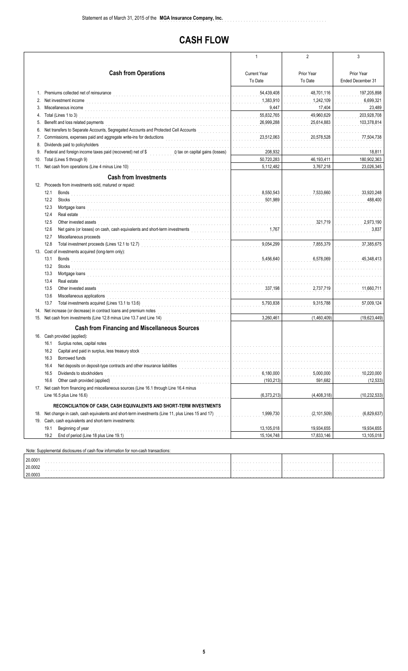# **CASH FLOW**

..............................................................

|         |                                                                                                                                                                                                                                        | 1                                                 | $\overline{2}$          | 3                 |
|---------|----------------------------------------------------------------------------------------------------------------------------------------------------------------------------------------------------------------------------------------|---------------------------------------------------|-------------------------|-------------------|
|         |                                                                                                                                                                                                                                        |                                                   |                         |                   |
|         | <b>Cash from Operations</b>                                                                                                                                                                                                            | <b>Current Year</b>                               | Prior Year              | Prior Year        |
|         |                                                                                                                                                                                                                                        | To Date                                           | To Date                 | Ended December 31 |
|         | 1. Premiums collected net of reinsurance                                                                                                                                                                                               | 54,439,408                                        | 48,701,116              | 197,205,898       |
| 2.      | Net investment income                                                                                                                                                                                                                  | 1,383,910                                         | 1,242,109               | 6,699,321         |
| 3.      | Miscellaneous income                                                                                                                                                                                                                   | 9,447                                             | 17,404                  | 23,489            |
| 4.      | Total (Lines 1 to 3)                                                                                                                                                                                                                   | 55,832,765                                        | 49,960,629              | 203,928,708       |
| 5.      | Benefit and loss related payments                                                                                                                                                                                                      | 26,999,288<br>.                                   | 25,614,883              | 103,378,814       |
| 6.      | Net transfers to Separate Accounts, Segregated Accounts and Protected Cell Accounts                                                                                                                                                    | .                                                 |                         |                   |
| 7.      | Commissions, expenses paid and aggregate write-ins for deductions<br>The continuum of the contract of the contract of the contract of the contract of the contract of the contract of the contract of the contract of the contra       | 23,512,063                                        | 20,578,528              | 77,504,738        |
| 8.      | Dividends paid to policyholders                                                                                                                                                                                                        |                                                   |                         |                   |
| 9.      | Federal and foreign income taxes paid (recovered) net of \$ 0 tax on capital gains (losses)                                                                                                                                            | 208,932                                           |                         | 18,811            |
| 10.     | Total (Lines 5 through 9)                                                                                                                                                                                                              | 50,720,283                                        | 46,193,411              | 180,902,363       |
| 11.     | Net cash from operations (Line 4 minus Line 10)<br>and the contract of the contract of the contract of the contract of the contract of the contract of the contract of the contract of the contract of the contract of the contr       | 5,112,482                                         | 3,767,218               | 23,026,345        |
|         | <b>Cash from Investments</b>                                                                                                                                                                                                           |                                                   |                         |                   |
|         | 12. Proceeds from investments sold, matured or repaid:                                                                                                                                                                                 |                                                   |                         |                   |
|         | 12.1<br>Bonds                                                                                                                                                                                                                          | 8,550,543                                         | 7,533,660               | 33,920,248        |
|         | 12.2<br><b>Stocks</b>                                                                                                                                                                                                                  | 501.989                                           |                         | 488,400           |
|         | 12.3                                                                                                                                                                                                                                   |                                                   |                         |                   |
|         | 12.4<br>Real estate                                                                                                                                                                                                                    |                                                   |                         |                   |
|         | 12.5<br>Other invested assets                                                                                                                                                                                                          |                                                   | 321,719                 | 2,973,190         |
|         | Net gains (or losses) on cash, cash equivalents and short-term investments<br>12.6                                                                                                                                                     | 1,767                                             |                         | 3,837             |
|         | 12.7<br>Miscellaneous proceeds                                                                                                                                                                                                         |                                                   |                         |                   |
|         | 12.8                                                                                                                                                                                                                                   | 9,054,299<br>a sa sala sa s                       | 7,855,379               | 37,385,675        |
|         | 13. Cost of investments acquired (long-term only):                                                                                                                                                                                     |                                                   |                         |                   |
|         | 13.1<br>Bonds                                                                                                                                                                                                                          | 5,456,640                                         | 6,578,069               | 45,348,413        |
|         | 13.2<br>Stocks                                                                                                                                                                                                                         | and the state of the state of the                 |                         |                   |
|         | 13.3<br>Mortgage loans with a state of the contract of the contract of the contract of the contract of the contract of the contract of the contract of the contract of the contract of the contract of the contract of the contract of | .                                                 |                         |                   |
|         | 13.4<br>Real estate                                                                                                                                                                                                                    | .                                                 |                         |                   |
|         | 13.5<br>Other invested assets                                                                                                                                                                                                          | 337,198<br>a dia amin'ny fivondronan-kaominin'i G | 2,737,719               | 11,660,711        |
|         | 13.6<br>Miscellaneous applications                                                                                                                                                                                                     |                                                   |                         |                   |
|         | 13.7<br>Total investments acquired (Lines 13.1 to 13.6)                                                                                                                                                                                | 5,793,838<br>and a shareholder                    | 9,315,788               | 57,009,124        |
| 14.     | Net increase (or decrease) in contract loans and premium notes                                                                                                                                                                         |                                                   |                         |                   |
|         | 15. Net cash from investments (Line 12.8 minus Line 13.7 and Line 14)                                                                                                                                                                  | 3,260,461                                         | (1,460,409)             | (19,623,449)      |
|         | <b>Cash from Financing and Miscellaneous Sources</b>                                                                                                                                                                                   |                                                   |                         |                   |
|         | 16. Cash provided (applied):                                                                                                                                                                                                           |                                                   |                         |                   |
|         | 16.1 Surplus notes, capital notes                                                                                                                                                                                                      | .                                                 | and a share and a share |                   |
|         | 16.2 Capital and paid in surplus, less treasury stock                                                                                                                                                                                  |                                                   |                         |                   |
|         | 16.3<br>Borrowed funds                                                                                                                                                                                                                 |                                                   |                         |                   |
|         | Net deposits on deposit-type contracts and other insurance liabilities<br>16.4                                                                                                                                                         |                                                   |                         |                   |
|         | 16.5<br>Dividends to stockholders                                                                                                                                                                                                      | 6,180,000                                         | 5,000,000               | 10,220,000        |
|         | 16.6<br>Other cash provided (applied)                                                                                                                                                                                                  | (193, 213)                                        | 591,682                 | (12, 533)         |
|         | 17. Net cash from financing and miscellaneous sources (Line 16.1 through Line 16.4 minus                                                                                                                                               |                                                   |                         |                   |
|         | Line 16.5 plus Line 16.6)                                                                                                                                                                                                              | (6, 373, 213)                                     | (4,408,318)             | (10, 232, 533)    |
|         | RECONCILIATION OF CASH, CASH EQUIVALENTS AND SHORT-TERM INVESTMENTS                                                                                                                                                                    |                                                   |                         |                   |
|         | 18. Net change in cash, cash equivalents and short-term investments (Line 11, plus Lines 15 and 17)                                                                                                                                    | 1,999,730                                         | (2, 101, 509)           | (6,829,637)       |
|         | 19. Cash, cash equivalents and short-term investments:                                                                                                                                                                                 |                                                   |                         |                   |
|         | Beginning of year<br>19.1                                                                                                                                                                                                              | 13,105,018                                        | 19,934,655              | 19,934,655        |
|         | 19.2<br>End of period (Line 18 plus Line 19.1)                                                                                                                                                                                         | 15,104,748                                        | 17,833,146              | 13,105,018        |
|         |                                                                                                                                                                                                                                        |                                                   |                         |                   |
|         | Note: Supplemental disclosures of cash flow information for non-cash transactions:                                                                                                                                                     |                                                   |                         |                   |
| 20.0001 |                                                                                                                                                                                                                                        |                                                   |                         |                   |
| 20.0002 |                                                                                                                                                                                                                                        |                                                   |                         |                   |
| 20.0003 |                                                                                                                                                                                                                                        |                                                   |                         |                   |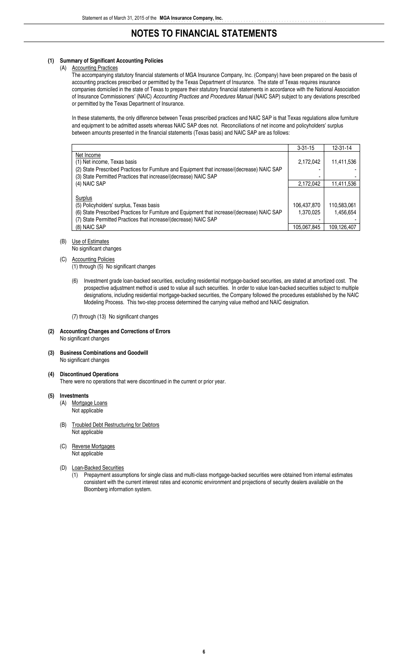#### **(1) Summary of Significant Accounting Policies**

#### (A) Accounting Practices

The accompanying statutory financial statements of MGA Insurance Company, Inc. (Company) have been prepared on the basis of accounting practices prescribed or permitted by the Texas Department of Insurance. The state of Texas requires insurance companies domiciled in the state of Texas to prepare their statutory financial statements in accordance with the National Association of Insurance Commissioners' (NAIC) *Accounting Practices and Procedures Manual* (NAIC SAP) subject to any deviations prescribed or permitted by the Texas Department of Insurance.

In these statements, the only difference between Texas prescribed practices and NAIC SAP is that Texas regulations allow furniture and equipment to be admitted assets whereas NAIC SAP does not. Reconciliations of net income and policyholders' surplus between amounts presented in the financial statements (Texas basis) and NAIC SAP are as follows:

|                                                                                              | $3 - 31 - 15$ | $12 - 31 - 14$ |
|----------------------------------------------------------------------------------------------|---------------|----------------|
| Net Income                                                                                   |               |                |
| (1) Net income, Texas basis                                                                  | 2,172,042     | 11,411,536     |
| (2) State Prescribed Practices for Furniture and Equipment that increase/(decrease) NAIC SAP |               |                |
| (3) State Permitted Practices that increase/(decrease) NAIC SAP                              |               |                |
| (4) NAIC SAP                                                                                 | 2,172,042     | 11,411,536     |
|                                                                                              |               |                |
| Surplus                                                                                      |               |                |
| (5) Policyholders' surplus, Texas basis                                                      | 106,437,870   | 110,583,061    |
| (6) State Prescribed Practices for Furniture and Equipment that increase/(decrease) NAIC SAP | 1,370,025     | 1.456.654      |
| (7) State Permitted Practices that increase/(decrease) NAIC SAP                              |               |                |
| (8) NAIC SAP                                                                                 | 105.067.845   | 109.126.407    |

## (B) Use of Estimates

No significant changes

#### (C) Accounting Policies

(1) through (5) No significant changes

(6) Investment grade loan-backed securities, excluding residential mortgage-backed securities, are stated at amortized cost. The prospective adjustment method is used to value all such securities. In order to value loan-backed securities subject to multiple designations, including residential mortgage-backed securities, the Company followed the procedures established by the NAIC Modeling Process. This two-step process determined the carrying value method and NAIC designation.

(7) through (13) No significant changes

#### **(2) Accounting Changes and Corrections of Errors** No significant changes

#### **(3) Business Combinations and Goodwill**

No significant changes

#### **(4) Discontinued Operations**

There were no operations that were discontinued in the current or prior year.

#### **(5) Investments**

- (A) Mortgage Loans Not applicable
- (B) Troubled Debt Restructuring for Debtors Not applicable
- (C) Reverse Mortgages Not applicable
- (D) Loan-Backed Securities
	- (1) Prepayment assumptions for single class and multi-class mortgage-backed securities were obtained from internal estimates consistent with the current interest rates and economic environment and projections of security dealers available on the Bloomberg information system.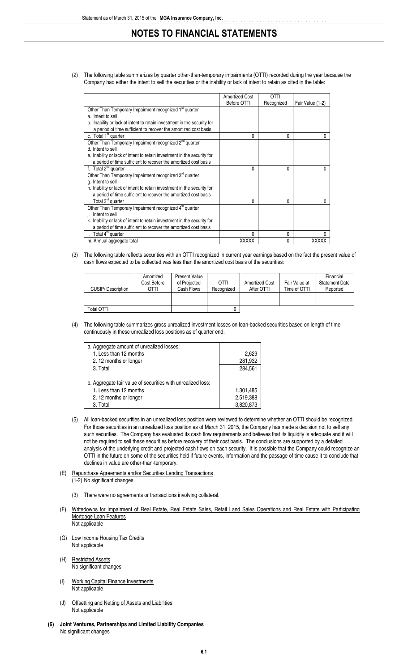(2) The following table summarizes by quarter other-than-temporary impairments (OTTI) recorded during the year because the Company had either the intent to sell the securities or the inability or lack of intent to retain as cited in the table:

|                                                                         | <b>Amortized Cost</b> | <b>OTTI</b>  |                  |
|-------------------------------------------------------------------------|-----------------------|--------------|------------------|
|                                                                         | Before OTTI           | Recognized   | Fair Value (1-2) |
| Other Than Temporary Impairment recognized 1 <sup>st</sup> quarter      |                       |              |                  |
| a. Intent to sell                                                       |                       |              |                  |
| b. Inability or lack of intent to retain investment in the security for |                       |              |                  |
| a period of time sufficient to recover the amortized cost basis         |                       |              |                  |
| c. Total 1 <sup>st</sup> quarter                                        | 0                     | $\Omega$     | 0                |
| Other Than Temporary Impairment recognized 2 <sup>nd</sup> quarter      |                       |              |                  |
| d. Intent to sell                                                       |                       |              |                  |
| e. Inability or lack of intent to retain investment in the security for |                       |              |                  |
| a period of time sufficient to recover the amortized cost basis         |                       |              |                  |
| f. Total $2^{nd}$ quarter                                               | 0                     | $\mathbf{0}$ | 0                |
| Other Than Temporary Impairment recognized 3rd quarter                  |                       |              |                  |
| g. Intent to sell                                                       |                       |              |                  |
| h. Inability or lack of intent to retain investment in the security for |                       |              |                  |
| a period of time sufficient to recover the amortized cost basis         |                       |              |                  |
| i. Total $3rd$ quarter                                                  | 0                     | $\mathbf{0}$ | $\theta$         |
| Other Than Temporary Impairment recognized 4 <sup>th</sup> quarter      |                       |              |                  |
| Intent to sell                                                          |                       |              |                  |
| k. Inability or lack of intent to retain investment in the security for |                       |              |                  |
| a period of time sufficient to recover the amortized cost basis         |                       |              |                  |
| Total 4 <sup>th</sup> quarter                                           | 0                     | $\mathbf 0$  | 0                |
| m. Annual aggregate total                                               | <b>XXXXX</b>          | $\mathbf{0}$ | <b>XXXXX</b>     |

#### (3) The following table reflects securities with an OTTI recognized in current year earnings based on the fact the present value of cash flows expected to be collected was less than the amortized cost basis of the securities:

| <b>CUSIP/Description</b> | Amortized<br>Cost Before<br>OTTI | <b>Present Value</b><br>of Projected<br>Cash Flows | <b>OTTI</b><br>Recognized | Amortized Cost<br>After OTTI | Fair Value at<br>Time of OTTI | Financial<br><b>Statement Date</b><br>Reported |
|--------------------------|----------------------------------|----------------------------------------------------|---------------------------|------------------------------|-------------------------------|------------------------------------------------|
|                          |                                  |                                                    |                           |                              |                               |                                                |
| Total OTTI               |                                  |                                                    |                           |                              |                               |                                                |

#### (4) The following table summarizes gross unrealized investment losses on loan-backed securities based on length of time continuously in these unrealized loss positions as of quarter end:

| a. Aggregate amount of unrealized losses:                   |           |
|-------------------------------------------------------------|-----------|
| 1. Less than 12 months                                      | 2.629     |
| 2.12 months or longer                                       | 281,932   |
| 3. Total                                                    | 284.561   |
|                                                             |           |
| b. Aggregate fair value of securities with unrealized loss: |           |
| 1. Less than 12 months                                      | 1,301,485 |
| 2.12 months or longer                                       | 2,519,388 |
| 3. Total                                                    | 3.820.873 |

- (5) All loan-backed securities in an unrealized loss position were reviewed to determine whether an OTTI should be recognized. For those securities in an unrealized loss position as of March 31, 2015, the Company has made a decision not to sell any such securities. The Company has evaluated its cash flow requirements and believes that its liquidity is adequate and it will not be required to sell these securities before recovery of their cost basis. The conclusions are supported by a detailed analysis of the underlying credit and projected cash flows on each security. It is possible that the Company could recognize an OTTI in the future on some of the securities held if future events, information and the passage of time cause it to conclude that declines in value are other-than-temporary.
- (E) Repurchase Agreements and/or Securities Lending Transactions
	- (1-2) No significant changes
		- (3) There were no agreements or transactions involving collateral.
- (F) Writedowns for |mpairment of Real Estate, Real Estate Sales, Retail Land Sales Operations and Real Estate with Participating Mortgage Loan Features Not applicable
- (G) Low Income Housing Tax Credits Not applicable
- (H) Restricted Assets No significant changes
- (I) Working Capital Finance Investments Not applicable
- (J) Offsetting and Netting of Assets and Liabilities Not applicable
- **(6) Joint Ventures, Partnerships and Limited Liability Companies** No significant changes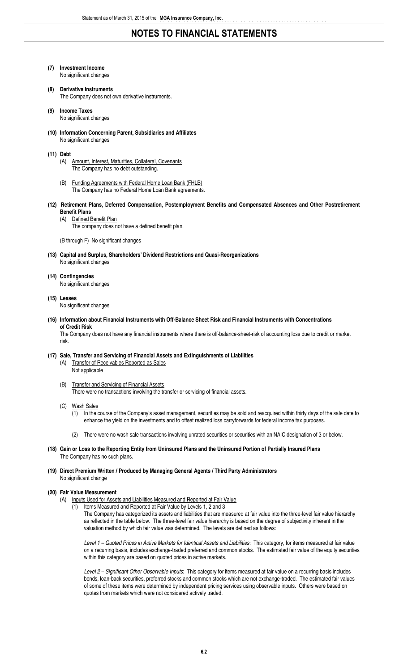- **(7) Investment Income** No significant changes
- **(8) Derivative Instruments** The Company does not own derivative instruments.
- **(9) Income Taxes** No significant changes
- **(10) Information Concerning Parent, Subsidiaries and Affiliates** No significant changes
- **(11) Debt**
	- (A) Amount, Interest, Maturities, Collateral, Covenants The Company has no debt outstanding.
	- (B) Funding Agreements with Federal Home Loan Bank (FHLB) The Company has no Federal Home Loan Bank agreements.
- **(12) Retirement Plans, Deferred Compensation, Postemployment Benefits and Compensated Absences and Other Postretirement Benefit Plans**
	- (A) Defined Benefit Plan
		- The company does not have a defined benefit plan.

(B through F) No significant changes

- **(13) Capital and Surplus, Shareholders' Dividend Restrictions and Quasi-Reorganizations** No significant changes
- **(14) Contingencies** No significant changes

#### **(15) Leases**

No significant changes

**(16) Information about Financial Instruments with Off-Balance Sheet Risk and Financial Instruments with Concentrations of Credit Risk**

The Company does not have any financial instruments where there is off-balance-sheet-risk of accounting loss due to credit or market risk.

### **(17) Sale, Transfer and Servicing of Financial Assets and Extinguishments of Liabilities**

- (A) Transfer of Receivables Reported as Sales Not applicable
- (B) Transfer and Servicing of Financial Assets There were no transactions involving the transfer or servicing of financial assets.
- (C) Wash Sales

(1) In the course of the Company's asset management, securities may be sold and reacquired within thirty days of the sale date to enhance the yield on the investments and to offset realized loss carryforwards for federal income tax purposes.

- (2) There were no wash sale transactions involving unrated securities or securities with an NAIC designation of 3 or below.
- **(18) Gain or Loss to the Reporting Entity from Uninsured Plans and the Uninsured Portion of Partially Insured Plans** The Company has no such plans.

#### **(19) Direct Premium Written / Produced by Managing General Agents / Third Party Administrators** No significant change

#### **(20) Fair Value Measurement**

- (A) Inputs Used for Assets and Liabilities Measured and Reported at Fair Value
	- (1) Items Measured and Reported at Fair Value by Levels 1, 2 and 3

The Company has categorized its assets and liabilities that are measured at fair value into the three-level fair value hierarchy as reflected in the table below. The three-level fair value hierarchy is based on the degree of subjectivity inherent in the valuation method by which fair value was determined. The levels are defined as follows:

*Level 1 – Quoted Prices in Active Markets for Identical Assets and Liabilities*: This category, for items measured at fair value on a recurring basis, includes exchange-traded preferred and common stocks. The estimated fair value of the equity securities within this category are based on quoted prices in active markets.

*Level 2 – Significant Other Observable Inputs*: This category for items measured at fair value on a recurring basis includes bonds, loan-back securities, preferred stocks and common stocks which are not exchange-traded. The estimated fair values of some of these items were determined by independent pricing services using observable inputs. Others were based on quotes from markets which were not considered actively traded.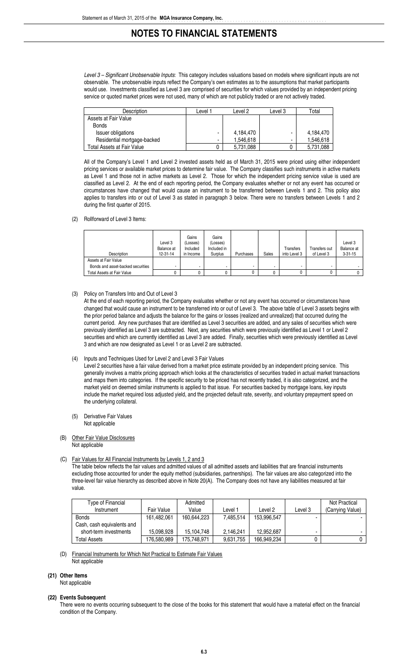*Level 3 – Significant Unobservable Inputs*: This category includes valuations based on models where significant inputs are not observable. The unobservable inputs reflect the Company's own estimates as to the assumptions that market participants would use. Investments classified as Level 3 are comprised of securities for which values provided by an independent pricing service or quoted market prices were not used, many of which are not publicly traded or are not actively traded.

| Description                 | Level <sup>1</sup> | Level 2   | Level 3 | Total     |
|-----------------------------|--------------------|-----------|---------|-----------|
| Assets at Fair Value        |                    |           |         |           |
| <b>Bonds</b>                |                    |           |         |           |
| Issuer obligations          | $\blacksquare$     | 4,184,470 | -       | 4.184.470 |
| Residential mortgage-backed | $\blacksquare$     | 1,546,618 | -       | 1,546,618 |
| Total Assets at Fair Value  |                    | 5.731.088 |         | 5.731.088 |

All of the Company's Level 1 and Level 2 invested assets held as of March 31, 2015 were priced using either independent pricing services or available market prices to determine fair value. The Company classifies such instruments in active markets as Level 1 and those not in active markets as Level 2. Those for which the independent pricing service value is used are classified as Level 2. At the end of each reporting period, the Company evaluates whether or not any event has occurred or circumstances have changed that would cause an instrument to be transferred between Levels 1 and 2. This policy also applies to transfers into or out of Level 3 as stated in paragraph 3 below. There were no transfers between Levels 1 and 2 during the first quarter of 2015.

(2) Rollforward of Level 3 Items:

| Description                       | Level 3<br>Balance at<br>$12 - 31 - 14$ | Gains<br>(Losses)<br>Included<br>in Income | Gains<br>(Losses)<br>Included in<br>Surplus | Purchases | Sales | Transfers<br>into Level 3 | Transfers out<br>of Level 3 | Level 3<br>Balance at<br>$3 - 31 - 15$ |
|-----------------------------------|-----------------------------------------|--------------------------------------------|---------------------------------------------|-----------|-------|---------------------------|-----------------------------|----------------------------------------|
| Assets at Fair Value              |                                         |                                            |                                             |           |       |                           |                             |                                        |
| Bonds and asset-backed securities |                                         |                                            | $\sim$                                      |           | ۰     |                           |                             |                                        |
| Total Assets at Fair Value        |                                         |                                            |                                             |           |       |                           |                             |                                        |

(3) Policy on Transfers Into and Out of Level 3

At the end of each reporting period, the Company evaluates whether or not any event has occurred or circumstances have changed that would cause an instrument to be transferred into or out of Level 3. The above table of Level 3 assets begins with the prior period balance and adjusts the balance for the gains or losses (realized and unrealized) that occurred during the current period. Any new purchases that are identified as Level 3 securities are added, and any sales of securities which were previously identified as Level 3 are subtracted. Next, any securities which were previously identified as Level 1 or Level 2 securities and which are currently identified as Level 3 are added. Finally, securities which were previously identified as Level 3 and which are now designated as Level 1 or as Level 2 are subtracted.

#### (4) Inputs and Techniques Used for Level 2 and Level 3 Fair Values

Level 2 securities have a fair value derived from a market price estimate provided by an independent pricing service. This generally involves a matrix pricing approach which looks at the characteristics of securities traded in actual market transactions and maps them into categories. If the specific security to be priced has not recently traded, it is also categorized, and the market yield on deemed similar instruments is applied to that issue. For securities backed by mortgage loans, key inputs include the market required loss adjusted yield, and the projected default rate, severity, and voluntary prepayment speed on the underlying collateral.

- (5) Derivative Fair Values Not applicable
- (B) Other Fair Value Disclosures Not applicable
- (C) Fair Values for All Financial Instruments by Levels 1, 2 and 3

The table below reflects the fair values and admitted values of all admitted assets and liabilities that are financial instruments excluding those accounted for under the equity method (subsidiaries, partnerships). The fair values are also categorized into the three-level fair value hierarchy as described above in Note 20(A). The Company does not have any liabilities measured at fair value.

| Type of Financial          |             | Admitted    |           |             |         | Not Practical    |
|----------------------------|-------------|-------------|-----------|-------------|---------|------------------|
| Instrument                 | Fair Value  | Value       | ∟evel 1   | Level 2     | Level 3 | (Carrying Value) |
| <b>Bonds</b>               | 161.482.061 | 160.644.223 | 7,485,514 | 153,996,547 |         |                  |
| Cash, cash equivalents and |             |             |           |             |         |                  |
| short-term investments     | 15.098.928  | 15.104.748  | 2.146.241 | 12.952.687  |         |                  |
| Total Assets               | 176,580,989 | 175.748.971 | 9.631.755 | 166.949.234 |         |                  |

(D) Financial Instruments for Which Not Practical to Estimate Fair Values

Not applicable

### **(21) Other Items**

Not applicable

#### **(22) Events Subsequent**

There were no events occurring subsequent to the close of the books for this statement that would have a material effect on the financial condition of the Company.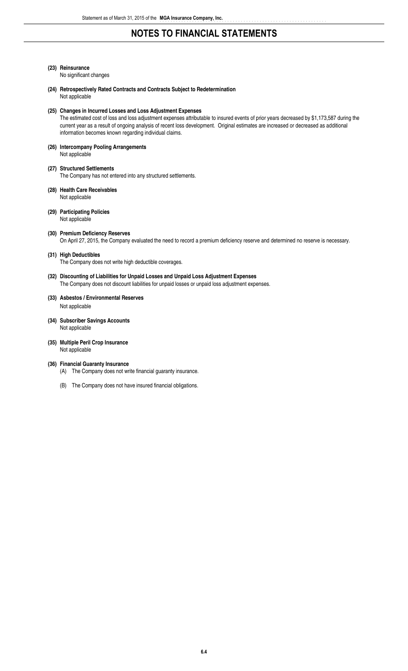### **(23) Reinsurance**

No significant changes

**(24) Retrospectively Rated Contracts and Contracts Subject to Redetermination** Not applicable

#### **(25) Changes in Incurred Losses and Loss Adjustment Expenses**

The estimated cost of loss and loss adjustment expenses attributable to insured events of prior years decreased by \$1,173,587 during the current year as a result of ongoing analysis of recent loss development. Original estimates are increased or decreased as additional information becomes known regarding individual claims.

- **(26) Intercompany Pooling Arrangements** Not applicable
- **(27) Structured Settlements** The Company has not entered into any structured settlements.
- **(28) Health Care Receivables** Not applicable

#### **(29) Participating Policies** Not applicable

**(30) Premium Deficiency Reserves** On April 27, 2015, the Company evaluated the need to record a premium deficiency reserve and determined no reserve is necessary.

#### **(31) High Deductibles**

The Company does not write high deductible coverages.

### **(32) Discounting of Liabilities for Unpaid Losses and Unpaid Loss Adjustment Expenses**

The Company does not discount liabilities for unpaid losses or unpaid loss adjustment expenses.

## **(33) Asbestos / Environmental Reserves**

Not applicable

- **(34) Subscriber Savings Accounts** Not applicable
- **(35) Multiple Peril Crop Insurance** Not applicable

#### **(36) Financial Guaranty Insurance**

- (A) The Company does not write financial guaranty insurance.
- (B) The Company does not have insured financial obligations.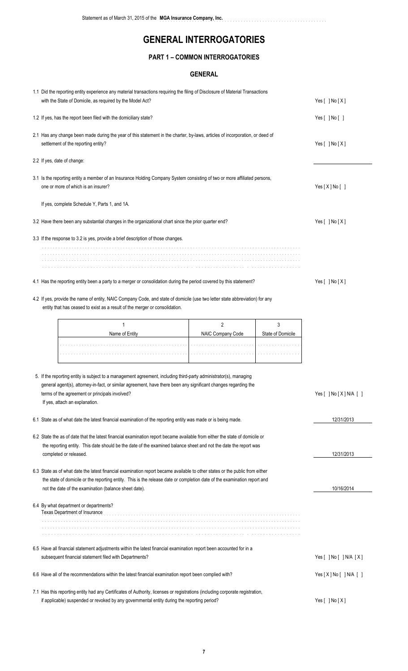..............................................................

### **PART 1 – COMMON INTERROGATORIES**

### **GENERAL**

| 1.1 Did the reporting entity experience any material transactions requiring the filing of Disclosure of Material Transactions<br>with the State of Domicile, as required by the Model Act?                                                                                                                               | Yes $[ ]$ No $[X]$ |                   |                                      |
|--------------------------------------------------------------------------------------------------------------------------------------------------------------------------------------------------------------------------------------------------------------------------------------------------------------------------|--------------------|-------------------|--------------------------------------|
| 1.2 If yes, has the report been filed with the domiciliary state?                                                                                                                                                                                                                                                        |                    |                   | Yes [ ] No [ ]                       |
| 2.1 Has any change been made during the year of this statement in the charter, by-laws, articles of incorporation, or deed of<br>settlement of the reporting entity?                                                                                                                                                     |                    | Yes [ ] No [X]    |                                      |
| 2.2 If yes, date of change:                                                                                                                                                                                                                                                                                              |                    |                   |                                      |
| 3.1 Is the reporting entity a member of an Insurance Holding Company System consisting of two or more affiliated persons,<br>one or more of which is an insurer?                                                                                                                                                         |                    | Yes [X] No []     |                                      |
| If yes, complete Schedule Y, Parts 1, and 1A.                                                                                                                                                                                                                                                                            |                    |                   |                                      |
| 3.2 Have there been any substantial changes in the organizational chart since the prior quarter end?                                                                                                                                                                                                                     |                    |                   | Yes $[ ]$ No $[X]$                   |
| 3.3 If the response to 3.2 is yes, provide a brief description of those changes.                                                                                                                                                                                                                                         |                    |                   |                                      |
|                                                                                                                                                                                                                                                                                                                          |                    |                   |                                      |
| 4.1 Has the reporting entity been a party to a merger or consolidation during the period covered by this statement?                                                                                                                                                                                                      |                    |                   | Yes [ ] No [X]                       |
| 4.2 If yes, provide the name of entity, NAIC Company Code, and state of domicile (use two letter state abbreviation) for any<br>entity that has ceased to exist as a result of the merger or consolidation.                                                                                                              |                    |                   |                                      |
| 1                                                                                                                                                                                                                                                                                                                        | $\overline{2}$     | 3                 |                                      |
| Name of Entity                                                                                                                                                                                                                                                                                                           | NAIC Company Code  | State of Domicile |                                      |
|                                                                                                                                                                                                                                                                                                                          | and a state and a  |                   |                                      |
| 5. If the reporting entity is subject to a management agreement, including third-party administrator(s), managing<br>general agent(s), attorney-in-fact, or similar agreement, have there been any significant changes regarding the<br>terms of the agreement or principals involved?<br>If yes, attach an explanation. |                    |                   | Yes $[$ ] No $[X]$ N/A $[$ ]         |
| 6.1 State as of what date the latest financial examination of the reporting entity was made or is being made.                                                                                                                                                                                                            |                    |                   | 12/31/2013                           |
| 6.2 State the as of date that the latest financial examination report became available from either the state of domicile or<br>the reporting entity. This date should be the date of the examined balance sheet and not the date the report was<br>completed or released.                                                |                    | 12/31/2013        |                                      |
| 6.3 State as of what date the latest financial examination report became available to other states or the public from either<br>the state of domicile or the reporting entity. This is the release date or completion date of the examination report and<br>not the date of the examination (balance sheet date).        | 10/16/2014         |                   |                                      |
| 6.4 By what department or departments?<br>Texas Department of Insurance                                                                                                                                                                                                                                                  |                    |                   |                                      |
|                                                                                                                                                                                                                                                                                                                          |                    |                   |                                      |
| 6.5 Have all financial statement adjustments within the latest financial examination report been accounted for in a<br>subsequent financial statement filed with Departments?                                                                                                                                            |                    |                   | Yes $[$ $]$ No $[$ $]$ N/A $[$ X $]$ |
| 6.6 Have all of the recommendations within the latest financial examination report been complied with?                                                                                                                                                                                                                   |                    |                   | Yes[X] No[ ] N/A [ ]                 |
| 7.1 Has this reporting entity had any Certificates of Authority, licenses or registrations (including corporate registration,<br>if applicable) suspended or revoked by any governmental entity during the reporting period?                                                                                             | Yes $[$ ] No $[X]$ |                   |                                      |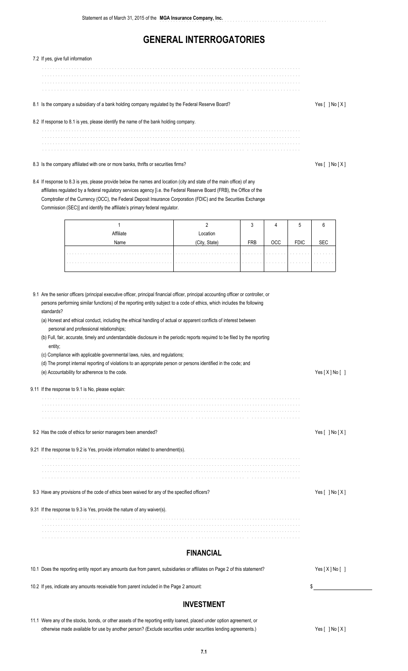| 7.2 If yes, give full information                                                                                                                                                                                                                                                                                                                                                                                                              |                           |            |            |             |                    |  |  |  |
|------------------------------------------------------------------------------------------------------------------------------------------------------------------------------------------------------------------------------------------------------------------------------------------------------------------------------------------------------------------------------------------------------------------------------------------------|---------------------------|------------|------------|-------------|--------------------|--|--|--|
|                                                                                                                                                                                                                                                                                                                                                                                                                                                |                           |            |            |             |                    |  |  |  |
| 8.1 Is the company a subsidiary of a bank holding company regulated by the Federal Reserve Board?                                                                                                                                                                                                                                                                                                                                              |                           |            |            |             |                    |  |  |  |
| 8.2 If response to 8.1 is yes, please identify the name of the bank holding company.                                                                                                                                                                                                                                                                                                                                                           |                           |            |            |             |                    |  |  |  |
|                                                                                                                                                                                                                                                                                                                                                                                                                                                |                           |            |            |             |                    |  |  |  |
| 8.3 Is the company affiliated with one or more banks, thrifts or securities firms?                                                                                                                                                                                                                                                                                                                                                             |                           |            |            |             | Yes $[ ]$ No $[X]$ |  |  |  |
| 8.4 If response to 8.3 is yes, please provide below the names and location (city and state of the main office) of any<br>affiliates regulated by a federal regulatory services agency [i.e. the Federal Reserve Board (FRB), the Office of the<br>Comptroller of the Currency (OCC), the Federal Deposit Insurance Corporation (FDIC) and the Securities Exchange<br>Commission (SEC)] and identify the affiliate's primary federal regulator. |                           |            |            |             |                    |  |  |  |
| $\mathbf{1}$                                                                                                                                                                                                                                                                                                                                                                                                                                   | $\overline{2}$            | 3          | 4          | 5           | 6                  |  |  |  |
| Affiliate<br>Name                                                                                                                                                                                                                                                                                                                                                                                                                              | Location<br>(City, State) | <b>FRB</b> | <b>OCC</b> | <b>FDIC</b> | <b>SEC</b>         |  |  |  |
|                                                                                                                                                                                                                                                                                                                                                                                                                                                |                           |            |            |             |                    |  |  |  |
|                                                                                                                                                                                                                                                                                                                                                                                                                                                | .                         |            |            |             |                    |  |  |  |
| personal and professional relationships;<br>(b) Full, fair, accurate, timely and understandable disclosure in the periodic reports required to be filed by the reporting<br>entity;<br>(c) Compliance with applicable governmental laws, rules, and regulations;<br>(d) The prompt internal reporting of violations to an appropriate person or persons identified in the code; and<br>(e) Accountability for adherence to the code.           |                           |            |            |             | Yes[X] No[]        |  |  |  |
| 9.11 If the response to 9.1 is No, please explain:                                                                                                                                                                                                                                                                                                                                                                                             |                           |            |            |             |                    |  |  |  |
|                                                                                                                                                                                                                                                                                                                                                                                                                                                |                           |            |            |             |                    |  |  |  |
| 9.2 Has the code of ethics for senior managers been amended?                                                                                                                                                                                                                                                                                                                                                                                   |                           |            |            |             | Yes [ ] No [X]     |  |  |  |
| 9.21 If the response to 9.2 is Yes, provide information related to amendment(s).                                                                                                                                                                                                                                                                                                                                                               |                           |            |            |             |                    |  |  |  |
|                                                                                                                                                                                                                                                                                                                                                                                                                                                |                           |            |            |             |                    |  |  |  |
|                                                                                                                                                                                                                                                                                                                                                                                                                                                |                           |            |            |             |                    |  |  |  |
| 9.3 Have any provisions of the code of ethics been waived for any of the specified officers?                                                                                                                                                                                                                                                                                                                                                   |                           |            |            |             | Yes [ ] No [X]     |  |  |  |
| 9.31 If the response to 9.3 is Yes, provide the nature of any waiver(s).                                                                                                                                                                                                                                                                                                                                                                       |                           |            |            |             |                    |  |  |  |
|                                                                                                                                                                                                                                                                                                                                                                                                                                                |                           |            |            |             |                    |  |  |  |
|                                                                                                                                                                                                                                                                                                                                                                                                                                                |                           |            |            |             |                    |  |  |  |
|                                                                                                                                                                                                                                                                                                                                                                                                                                                | <b>FINANCIAL</b>          |            |            |             |                    |  |  |  |
| 10.1 Does the reporting entity report any amounts due from parent, subsidiaries or affiliates on Page 2 of this statement?                                                                                                                                                                                                                                                                                                                     |                           |            |            |             | Yes [X] No []      |  |  |  |
| 10.2 If yes, indicate any amounts receivable from parent included in the Page 2 amount:                                                                                                                                                                                                                                                                                                                                                        |                           |            |            |             | \$                 |  |  |  |

### **INVESTMENT**

11.1 Were any of the stocks, bonds, or other assets of the reporting entity loaned, placed under option agreement, or otherwise made available for use by another person? (Exclude securities under securities lending agreements.) Yes [ ] No [X]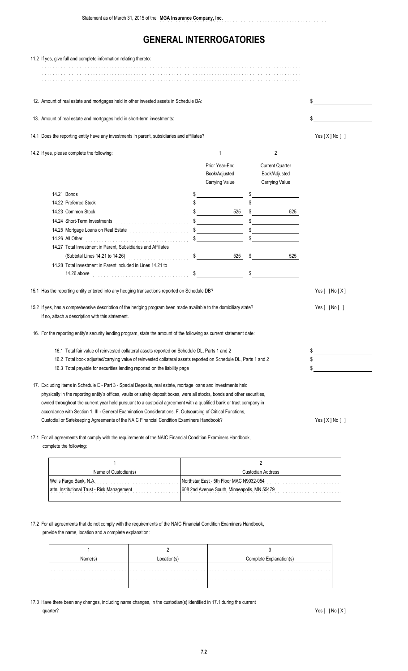| 11.2 If yes, give full and complete information relating thereto:                                                                                                                                                                                                                                                                                                                                                                                                                                                                                                                                                                                                                                                                                                                                                                                                                                                    |                                                                                   |                                                                  |                                    |
|----------------------------------------------------------------------------------------------------------------------------------------------------------------------------------------------------------------------------------------------------------------------------------------------------------------------------------------------------------------------------------------------------------------------------------------------------------------------------------------------------------------------------------------------------------------------------------------------------------------------------------------------------------------------------------------------------------------------------------------------------------------------------------------------------------------------------------------------------------------------------------------------------------------------|-----------------------------------------------------------------------------------|------------------------------------------------------------------|------------------------------------|
|                                                                                                                                                                                                                                                                                                                                                                                                                                                                                                                                                                                                                                                                                                                                                                                                                                                                                                                      |                                                                                   |                                                                  |                                    |
| 12. Amount of real estate and mortgages held in other invested assets in Schedule BA:                                                                                                                                                                                                                                                                                                                                                                                                                                                                                                                                                                                                                                                                                                                                                                                                                                |                                                                                   |                                                                  |                                    |
| 13. Amount of real estate and mortgages held in short-term investments:                                                                                                                                                                                                                                                                                                                                                                                                                                                                                                                                                                                                                                                                                                                                                                                                                                              | \$                                                                                |                                                                  |                                    |
| 14.1 Does the reporting entity have any investments in parent, subsidiaries and affiliates?                                                                                                                                                                                                                                                                                                                                                                                                                                                                                                                                                                                                                                                                                                                                                                                                                          |                                                                                   |                                                                  | Yes [X] No []                      |
| 14.2 If yes, please complete the following:                                                                                                                                                                                                                                                                                                                                                                                                                                                                                                                                                                                                                                                                                                                                                                                                                                                                          | 1                                                                                 | $\overline{2}$                                                   |                                    |
|                                                                                                                                                                                                                                                                                                                                                                                                                                                                                                                                                                                                                                                                                                                                                                                                                                                                                                                      | Prior Year-End<br>Book/Adjusted<br>Carrying Value                                 | <b>Current Quarter</b><br>Book/Adjusted<br><b>Carrying Value</b> |                                    |
| 14.25 Mortgage Loans on Real Estate <b>Conservation Conservation of the Conservation</b><br>14.26 All Other <b>Manual According to All Other According to All Other According to All Other According to All Other According to All Other According to All Other According to All Other According to All Other According to A</b><br>14.27 Total Investment in Parent, Subsidiaries and Affiliates<br>(Subtotal Lines 14.21 to 14.26)<br>14.28 Total Investment in Parent included in Lines 14.21 to<br>14.26 above<br>15.1 Has the reporting entity entered into any hedging transactions reported on Schedule DB?<br>15.2 If yes, has a comprehensive description of the hedging program been made available to the domiciliary state?<br>If no, attach a description with this statement.<br>16. For the reporting entity's security lending program, state the amount of the following as current statement date: | $\frac{1}{2}$<br>$\frac{1}{2}$<br>525<br>$\sim$<br>$\frac{1}{2}$<br>$525 \quad $$ | $\frac{1}{2}$<br>525<br>\$<br>525<br>$\sim$                      | Yes $[ ]$ No $[X]$<br>Yes[ ] No[ ] |
| 16.1 Total fair value of reinvested collateral assets reported on Schedule DL, Parts 1 and 2<br>16.2 Total book adjusted/carrying value of reinvested collateral assets reported on Schedule DL, Parts 1 and 2<br>16.3 Total payable for securities lending reported on the liability page                                                                                                                                                                                                                                                                                                                                                                                                                                                                                                                                                                                                                           | \$<br>the control of the control of the control of<br>\$                          |                                                                  |                                    |
| 17. Excluding items in Schedule E - Part 3 - Special Deposits, real estate, mortage loans and investments held<br>physically in the reporting entity's offices, vaults or safety deposit boxes, were all stocks, bonds and other securities,<br>owned throughout the current year held pursuant to a custodial agreement with a qualified bank or trust company in<br>accordance with Section 1, III - General Examination Considerations, F. Outsourcing of Critical Functions,<br>Custodial or Safekeeping Agreements of the NAIC Financial Condition Examiners Handbook?                                                                                                                                                                                                                                                                                                                                          | Yes[X] No[]                                                                       |                                                                  |                                    |

17.1 For all agreements that comply with the requirements of the NAIC Financial Condition Examiners Handbook, complete the following:

| Name of Custodian(s)                        | Custodian Address                           |  |  |
|---------------------------------------------|---------------------------------------------|--|--|
| Wells Fargo Bank, N.A.                      | Northstar East - 5th Floor MAC N9032-054    |  |  |
| attn. Institutional Trust - Risk Management | 608 2nd Avenue South, Minneapolis, MN 55479 |  |  |
|                                             |                                             |  |  |

### 17.2 For all agreements that do not comply with the requirements of the NAIC Financial Condition Examiners Handbook,

provide the name, location and a complete explanation:

17.3 Have there been any changes, including name changes, in the custodian(s) identified in 17.1 during the current quarter? Yes [ ] No [ X ]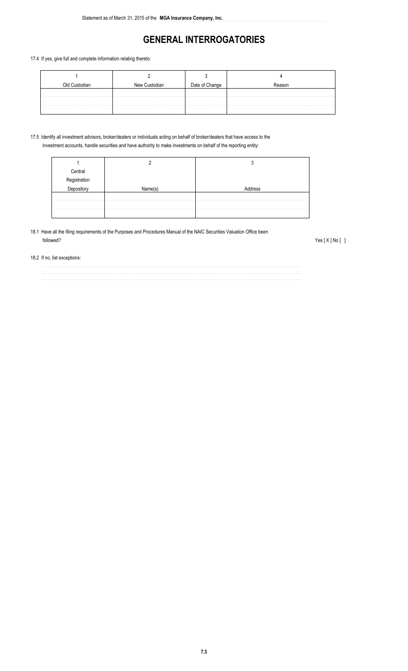..............................................................

#### 17.4 If yes, give full and complete information relating thereto:

|  | Date of Change |  |  |  |
|--|----------------|--|--|--|
|  |                |  |  |  |

#### 17.5 Identify all investment advisors, broker/dealers or individuals acting on behalf of broker/dealers that have access to the investment accounts, handle securities and have authority to make investments on behalf of the reporting entity:

| Central<br>solated in the |  |  |  |  |
|---------------------------|--|--|--|--|
|                           |  |  |  |  |
|                           |  |  |  |  |
|                           |  |  |  |  |
|                           |  |  |  |  |
|                           |  |  |  |  |

#### 18.1 Have all the filing requirements of the Purposes and Procedures Manual of the NAIC Securities Valuation Office been followed? Yes [X ] No [ ]

#### 18.2 If no, list exceptions:

................................................................................................ ................................................................................................ ................................................................................................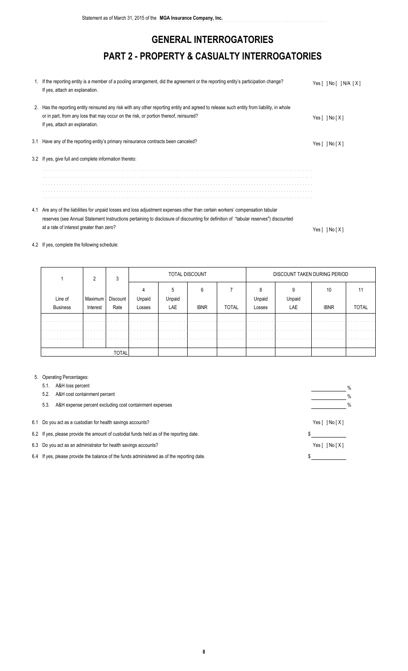# **GENERAL INTERROGATORIES PART 2 - PROPERTY & CASUALTY INTERROGATORIES**

| 1. If the reporting entity is a member of a pooling arrangement, did the agreement or the reporting entity's participation change?<br>If yes, attach an explanation.                                                                                                | Yes [ ] No [ ] N/A [X] |
|---------------------------------------------------------------------------------------------------------------------------------------------------------------------------------------------------------------------------------------------------------------------|------------------------|
| 2. Has the reporting entity reinsured any risk with any other reporting entity and agreed to release such entity from liability, in whole<br>or in part, from any loss that may occur on the risk, or portion thereof, reinsured?<br>If yes, attach an explanation. | Yes $[ \ ]$ No $[X]$   |
| 3.1 Have any of the reporting entity's primary reinsurance contracts been canceled?                                                                                                                                                                                 | Yes [ ] No [ X ]       |
| 3.2 If yes, give full and complete information thereto:                                                                                                                                                                                                             |                        |
|                                                                                                                                                                                                                                                                     |                        |
|                                                                                                                                                                                                                                                                     |                        |
|                                                                                                                                                                                                                                                                     |                        |
|                                                                                                                                                                                                                                                                     |                        |
|                                                                                                                                                                                                                                                                     |                        |
| 4.1 Are any of the liabilities for unpaid losses and loss adjustment expenses other than certain workers' compensation tabular                                                                                                                                      |                        |

reserves (see Annual Statement Instructions pertaining to disclosure of discounting for definition of "tabular reserves") discounted at a rate of interest greater than zero? Yes [ ] No [ X ]

### 4.2 If yes, complete the following schedule:

|                      |          | 3            |                          | TOTAL DISCOUNT |             |              |        | DISCOUNT TAKEN DURING PERIOD |             |              |  |
|----------------------|----------|--------------|--------------------------|----------------|-------------|--------------|--------|------------------------------|-------------|--------------|--|
|                      |          |              |                          |                | 6           |              | 8      |                              | 10          |              |  |
| Line of              | Maximum  | Discount     | Unpaid                   | Unpaid         |             |              | Unpaid | Unpaid                       |             |              |  |
| <b>Business</b>      | Interest | Rate         | Losses                   | LAE            | <b>IBNR</b> | <b>TOTAL</b> | Losses | LAE                          | <b>IBNR</b> | <b>TOTAL</b> |  |
| $\cdots$             | .        | .            | .                        | .              | .           | .            | .      | .                            | .           | .            |  |
| $\sim$ $\sim$ $\sim$ | .        | .            | the contract of the con- | .              | .           | .            | .      |                              |             |              |  |
|                      |          |              |                          |                |             |              |        |                              |             |              |  |
|                      |          |              |                          |                |             |              |        |                              |             |              |  |
|                      |          | <b>TOTAL</b> |                          |                |             |              |        |                              |             |              |  |

#### 5. Operating Percentages:

|                                                            | A&H loss percent<br>5.1.                                                                   |  | % |  |  |  |
|------------------------------------------------------------|--------------------------------------------------------------------------------------------|--|---|--|--|--|
|                                                            | A&H cost containment percent<br>5.2.                                                       |  | % |  |  |  |
|                                                            | A&H expense percent excluding cost containment expenses<br>5.3.                            |  | % |  |  |  |
| 6.1 Do you act as a custodian for health savings accounts? |                                                                                            |  |   |  |  |  |
|                                                            | 6.2 If yes, please provide the amount of custodial funds held as of the reporting date.    |  |   |  |  |  |
|                                                            | 6.3 Do you act as an administrator for health savings accounts?                            |  |   |  |  |  |
|                                                            | 6.4 If yes, please provide the balance of the funds administered as of the reporting date. |  |   |  |  |  |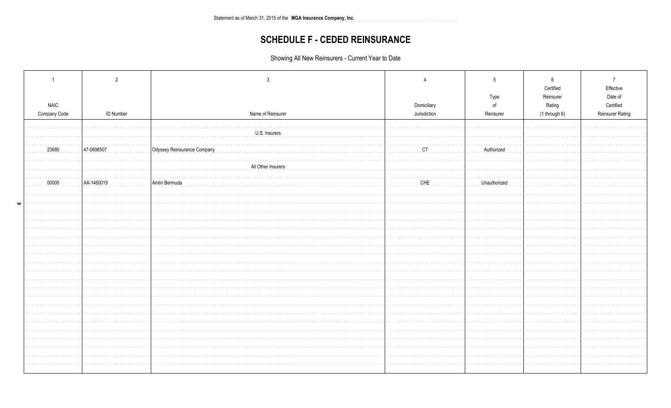Statement as of March 31, 2015 of the MGA Insurance Company, Inc. 

# **SCHEDULE F - CEDED REINSURANCE**

Showing All New Reinsurers - Current Year to Date

| <b>NAIC</b>             |                  |                             | Domiciliary  | Type<br>of   | 6<br>Certified<br>Reinsurer<br>Rating | 7<br>Effective<br>Date of<br>Certified |
|-------------------------|------------------|-----------------------------|--------------|--------------|---------------------------------------|----------------------------------------|
| Company Code            | <b>ID Number</b> | Name of Reinsurer           | Jurisdiction | Reinsurer    | (1 through 6)                         | <b>Reinsurer Rating</b>                |
|                         |                  |                             |              |              |                                       |                                        |
|                         |                  | .<br>U.S. Insurers          |              |              |                                       |                                        |
|                         |                  |                             |              |              |                                       |                                        |
| 23680                   | 47-0698507       | Odyssey Reinsurance Company | CT           | Authorized   |                                       |                                        |
|                         |                  | All Other Insurers          |              |              |                                       |                                        |
|                         |                  |                             |              |              |                                       |                                        |
| 00000<br>and a strainer | AA-1460019       | Amlin Bermuda               | CHE          | Unauthorized |                                       |                                        |
|                         |                  |                             |              |              |                                       |                                        |
|                         |                  |                             |              |              |                                       |                                        |
|                         |                  |                             |              |              |                                       |                                        |
|                         |                  |                             |              |              |                                       |                                        |
|                         |                  |                             |              |              |                                       |                                        |
|                         |                  |                             |              |              |                                       |                                        |
|                         |                  |                             |              |              |                                       |                                        |
|                         |                  |                             |              |              |                                       |                                        |
|                         |                  |                             |              |              |                                       |                                        |
|                         |                  |                             |              |              |                                       |                                        |
|                         |                  |                             |              |              |                                       |                                        |
|                         |                  |                             |              |              |                                       |                                        |
|                         |                  |                             |              |              |                                       |                                        |
|                         |                  |                             |              |              |                                       |                                        |
|                         |                  |                             |              |              |                                       |                                        |
|                         |                  |                             |              |              |                                       |                                        |
|                         |                  |                             |              |              |                                       |                                        |
|                         |                  |                             |              |              |                                       |                                        |
|                         |                  |                             |              |              |                                       |                                        |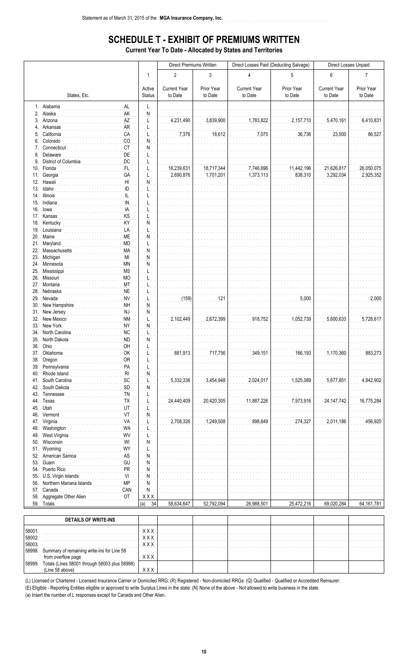# **SCHEDULE T - EXHIBIT OF PREMIUMS WRITTEN**

a dia anala dia

**Current Year To Date - Allocated by States and Territories** 

|            |                                                                    |                         | Direct Premiums Written        |                         |                                | Direct Losses Paid (Deducting Salvage) | Direct Losses Unpaid           |                         |  |
|------------|--------------------------------------------------------------------|-------------------------|--------------------------------|-------------------------|--------------------------------|----------------------------------------|--------------------------------|-------------------------|--|
|            |                                                                    | $\mathbf{1}$            | $\overline{2}$                 | 3                       | $\overline{4}$                 | 5                                      | $6\phantom{1}$                 | $\overline{7}$          |  |
|            | States, Etc.                                                       | Active<br><b>Status</b> | <b>Current Year</b><br>to Date | Prior Year<br>to Date   | <b>Current Year</b><br>to Date | Prior Year<br>to Date                  | <b>Current Year</b><br>to Date | Prior Year<br>to Date   |  |
|            | 1. Alabama<br>AL                                                   | L                       |                                |                         |                                |                                        |                                |                         |  |
| 3.         | 2. Alaska<br>AK<br>Arizona<br>AZ                                   | Ν                       | 4,231,490                      | 3,839,900               | 1,783,822                      | 2,157,710                              | 5,470,161                      | 6,410,831               |  |
| 4.         | Arkansas<br><b>AR</b>                                              |                         |                                |                         |                                |                                        |                                |                         |  |
| 5.         | California<br>CA                                                   |                         | 7,376                          | 18,612                  | 7,075                          | 36,736                                 | 23,500                         | 86,527                  |  |
| 6.<br>7.   | Colorado<br>CO<br><b>CT</b><br>Connecticut                         | N<br>N                  |                                |                         |                                |                                        |                                |                         |  |
|            | DE<br>8. Delaware                                                  |                         |                                |                         |                                |                                        |                                |                         |  |
| 9.         | District of Columbia<br>DC                                         |                         |                                |                         |                                |                                        |                                |                         |  |
| 10.<br>11. | Florida<br>FL<br>GA<br>Georgia                                     |                         | 16,239,631<br>2,690,876        | 18,717,344<br>1,701,201 | 7,746,696<br>1,373,113         | 11,442,196<br>838,310                  | 21,626,817<br>3,292,034        | 26,050,075<br>2,925,352 |  |
|            | 12. Hawaii<br>H <sub>II</sub>                                      | N                       |                                |                         |                                |                                        |                                |                         |  |
| 13.        | ID<br>Idaho                                                        |                         |                                |                         |                                |                                        |                                |                         |  |
|            | 14. Illinois<br>IL<br>IN<br>15. Indiana                            |                         |                                |                         |                                |                                        |                                |                         |  |
|            | IA<br>16. lowa                                                     |                         |                                |                         |                                |                                        |                                |                         |  |
|            | KS<br>17. Kansas<br>KY<br>18. Kentucky                             | N                       |                                |                         |                                |                                        |                                |                         |  |
|            | 19. Louisiana<br>LA                                                |                         |                                |                         |                                |                                        |                                |                         |  |
|            | 20. Maine<br>ME                                                    | N                       |                                |                         |                                |                                        |                                |                         |  |
|            | 21. Maryland<br><b>MD</b><br>22. Massachusetts<br>MA               | L<br>Ń                  |                                |                         |                                |                                        |                                |                         |  |
|            | 23. Michigan<br>MI                                                 | N                       |                                |                         |                                |                                        |                                |                         |  |
| 24.        | Minnesota<br>ΜN                                                    | ${\sf N}$               |                                |                         |                                |                                        |                                |                         |  |
| 25.        | <b>MS</b><br>Mississippi<br>26. Missouri<br><b>MO</b>              |                         |                                |                         |                                |                                        |                                |                         |  |
|            | 27. Montana<br>MT                                                  |                         |                                |                         |                                |                                        |                                |                         |  |
|            | <b>NE</b><br>28. Nebraska                                          |                         |                                |                         |                                |                                        |                                |                         |  |
| 29.<br>30. | Nevada<br><b>NV</b><br><b>NH</b><br>New Hampshire                  | N                       | (159)                          | 121                     |                                | 5,000                                  |                                | 2,000                   |  |
|            | 31. New Jersey<br>NJ                                               | N                       |                                |                         |                                |                                        |                                |                         |  |
| 32.        | New Mexico<br><b>NM</b><br>33. New York<br><b>NY</b>               | N                       | 2,102,449                      | 2,672,399               | 918,752                        | 1,052,739                              | 5,600,633                      | 5,728,617               |  |
|            | 34. North Carolina<br><b>NC</b>                                    | L                       |                                |                         |                                |                                        |                                |                         |  |
|            | <b>ND</b><br>35. North Dakota                                      | N                       |                                |                         |                                |                                        |                                |                         |  |
|            | 36. Ohio<br>OH<br>OK<br>37. Oklahoma                               |                         | 881,913                        | 717,756                 | 349,151                        | 166,193                                | 1,170,360                      | 883,273                 |  |
|            | OR<br>38. Oregon                                                   |                         |                                |                         |                                |                                        |                                |                         |  |
| 39.        | Pennsylvania<br>PA                                                 |                         |                                |                         |                                |                                        |                                |                         |  |
| 40.<br>41. | Rhode Island<br>$\mathsf{RI}$<br>South Carolina<br>SC              | N                       | 5,332,336                      | 3,454,948               | 2,024,017                      | 1,525,089                              | 5,677,851                      | 4,842,902               |  |
| 42.        | SD<br>South Dakota                                                 | N                       |                                |                         |                                |                                        |                                |                         |  |
| 43.<br>44. | Tennessee<br><b>TN</b><br><b>TX</b><br>Texas                       |                         | 24,440,409                     | 20,420,305              | 11,887,226                     | 7,973,916                              | 24, 147, 742                   | 16,775,284              |  |
| 45.        | Utah<br>UT                                                         |                         |                                |                         |                                |                                        |                                |                         |  |
| 46.        | Vermont<br>VT                                                      | N                       |                                |                         |                                |                                        |                                |                         |  |
| 47.<br>48. | Virginia<br>VA<br>Washington<br><b>WA</b>                          |                         | 2,708,326                      | 1,249,508               | 898,649                        | 274,327                                | 2,011,186                      | 456,920                 |  |
| 49.        | WV<br>West Virginia                                                |                         |                                |                         |                                |                                        |                                |                         |  |
| 50.        | WI<br>Wisconsin                                                    | Ν                       |                                |                         |                                |                                        |                                |                         |  |
| 51.<br>52. | WY<br>Wyoming<br>AS<br>American Samoa                              | N                       |                                |                         |                                |                                        |                                |                         |  |
| 53.        | Guam<br>GU                                                         | N                       |                                |                         |                                |                                        |                                |                         |  |
| 54.        | Puerto Rico<br>PR                                                  | $\mathsf{N}$            |                                |                         |                                |                                        |                                |                         |  |
| 55.<br>56. | VI<br>U.S. Virgin Islands<br><b>MP</b><br>Northern Mariana Islands | N<br>N                  |                                |                         |                                |                                        |                                |                         |  |
| 57.        | Canada<br>CAN                                                      | Ņ                       |                                |                         |                                |                                        |                                |                         |  |
| 58.        | Aggregate Other Alien<br>OT<br>59. Totals                          | X X X<br>34<br>(a)      | 58,634,647                     | 52,792,094              | 26,988,501                     | 25,472,216                             | 69,020,284                     | 64,161,781              |  |
|            |                                                                    |                         |                                |                         |                                |                                        |                                |                         |  |
|            | <b>DETAILS OF WRITE-INS</b>                                        |                         |                                |                         |                                |                                        |                                |                         |  |

|        | <b>DETAILS OF WRITE-INS</b>                                         |               |   |   |        |     |   |        |
|--------|---------------------------------------------------------------------|---------------|---|---|--------|-----|---|--------|
| 58001. |                                                                     | <b>XXX</b>    |   |   |        |     |   |        |
| 58002. |                                                                     | .<br>xxx<br>. | . | . | .<br>. | . 1 | . | .<br>. |
| 58003. | .                                                                   | x x x<br>.    |   |   |        |     |   | .      |
| 58998. | Summary of remaining write-ins for Line 58                          |               |   |   |        |     |   |        |
|        |                                                                     | xxx           |   |   |        |     |   |        |
| 58999. | from overflow page<br>Totals (Lines 58001 through 58003 plus 58998) |               |   |   |        |     |   |        |
|        | (Line 58 above)                                                     |               |   |   |        |     |   |        |

(L) Licensed or Chartered - Licensed Insurance Carrier or Domiciled RRG: (R) Registered - Non-domiciled RRGs: (Q) Qualified - Qualified or Accredited Reinsurer:

(E) Eligible - Reporting Entities eligible or approved to write Surplus Lines in the state: (N) None of the above - Not allowed to write business in the state.<br>(a) Insert the number of L responses except for Canada and Oth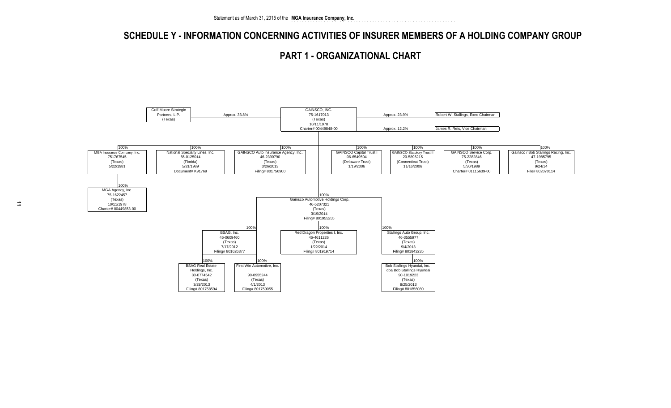### **SCHEDULE Y - INFORMATION CONCERNING ACTIVITIES OF INSURER MEMBERS OF A HOLDING COMPANY GROUP**

..............................................................

 **PART 1 - ORGANIZATIONAL CHART**

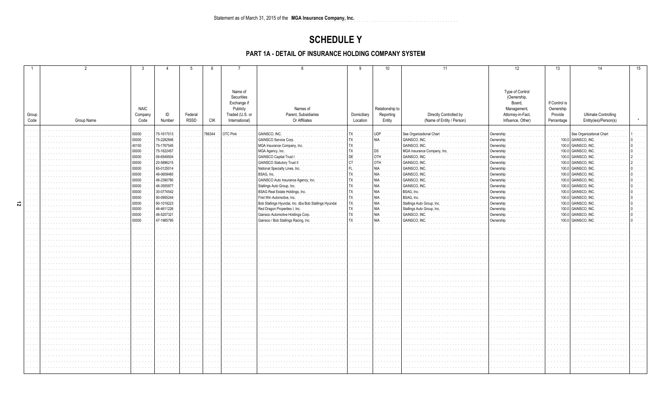### **SCHEDULE Y**

### PART 1A - DETAIL OF INSURANCE HOLDING COMPANY SYSTEM

|   |               |            | 3               |            | 5                                                         | 6                    | $\overline{7}$                    | 8                                                   | 9                                                     | 10                  | 11                                                  | 12                                     | 13            | 14                                                   | 15 |
|---|---------------|------------|-----------------|------------|-----------------------------------------------------------|----------------------|-----------------------------------|-----------------------------------------------------|-------------------------------------------------------|---------------------|-----------------------------------------------------|----------------------------------------|---------------|------------------------------------------------------|----|
|   |               |            |                 |            |                                                           |                      | Name of                           |                                                     |                                                       |                     |                                                     | Type of Control                        |               |                                                      |    |
|   |               |            |                 |            |                                                           |                      | Securities                        |                                                     |                                                       |                     |                                                     | (Ownership,                            |               |                                                      |    |
|   |               |            |                 |            |                                                           |                      | Exchange if                       |                                                     |                                                       |                     |                                                     | Board,                                 | If Control is |                                                      |    |
|   |               |            | <b>NAIC</b>     | ID         |                                                           |                      | Publicly                          | Names of                                            |                                                       | Relationship to     |                                                     | Management,                            | Ownership     |                                                      |    |
|   | Group<br>Code |            | Company<br>Code | Number     | Federal<br><b>RSSD</b>                                    | <b>CIK</b>           | Traded (U.S. or<br>International) | Parent, Subsidiaries<br>Or Affiliates               | Domiciliary<br>Location                               | Reporting<br>Entity | Directly Controlled by<br>(Name of Entity / Person) | Attorney-in-Fact,<br>Influence, Other) | Provide       | <b>Ultimate Controlling</b><br>Entity(ies)/Person(s) |    |
|   |               | Group Name |                 |            |                                                           |                      |                                   |                                                     |                                                       |                     |                                                     |                                        | Percentage    |                                                      |    |
|   |               |            | 00000           | 75-1617013 |                                                           | 786344               | <b>OTC Pink</b>                   | GAINSCO, INC                                        |                                                       | <b>UDP</b>          | See Organizational Chart                            | Ownership                              |               | See Organizational Chart                             |    |
|   |               |            | 00000           | 75-2282846 | .                                                         |                      |                                   | GAINSCO Service Corp.                               |                                                       | NIA                 | GAINSCO, INC.                                       | Ownership                              |               | 100.0 GAINSCO, INC                                   |    |
|   |               |            | 40150           | 75-1767545 | and and                                                   |                      |                                   | MGA Insurance Company, Inc                          |                                                       |                     | GAINSCO, INC.                                       | Ownershi                               |               | 100.0 GAINSCO, INC                                   |    |
|   |               |            | 00000           | 75-1622457 | $\alpha$ , $\alpha$ , $\alpha$ , $\alpha$ , $\alpha$      |                      |                                   | MGA Agency, Inc.                                    |                                                       |                     | MGA Insurance Company, Inc                          | Ownership                              |               | 100.0 GAINSCO, INC                                   |    |
|   |               |            | 00000           | 06-6549504 | and and                                                   |                      |                                   | GAINSCO Capital Trust I                             |                                                       | <b>HTC</b>          | GAINSCO, INC.                                       | Ownership                              |               | 100.0 GAINSCO, INC                                   |    |
|   |               |            | 00000           | 20-5896215 | $\alpha$ , $\alpha$ , $\alpha$ , $\alpha$<br>and a series |                      |                                   | GAINSCO Statutory Trust II                          |                                                       |                     | GAINSCO, INC                                        | Ownershi                               |               | 100.0 GAINSCO, INC                                   |    |
|   |               |            | 00000           | 65-0125014 | and the                                                   |                      |                                   | National Specialty Lines, Inc.                      |                                                       |                     | GAINSCO, INC                                        | Ownershi                               |               | 100.0 GAINSCO, INC                                   |    |
|   |               |            | 00000           | 46-0609460 | $\alpha$ , $\alpha$ , $\alpha$                            |                      |                                   | BSAG, Inc.                                          |                                                       |                     | GAINSCO, INC                                        | Ownershi                               |               | 100.0 GAINSCO, ING                                   |    |
|   |               |            | 00000           | 46-2390790 | $\sim$ $\sim$ $\sim$                                      |                      |                                   | GAINSCO Auto Insurance Agency, Ind                  |                                                       |                     | GAINSCO, INC                                        | Ownershi                               |               | 100.0 GAINSCO, IN                                    |    |
|   |               |            | 00000           | 46-3555977 | and a series                                              | $\sim$ $\sim$        |                                   | Stallings Auto Group, Inc.                          |                                                       |                     | <b>GAINSCO, INC</b>                                 | Ownershi                               |               | 100.0 GAINSCO, INC                                   |    |
|   |               |            | 00000           | 30-0774542 | .                                                         |                      |                                   | BSAG Real Estate Holdings, Inc.                     |                                                       |                     | BSAG, Inc.                                          | Ownership                              |               | 100.0 GAINSCO, INC                                   |    |
|   |               |            | 00000           | 90-0955244 | $\cdots$                                                  |                      |                                   | First Win Automotive, Inc.                          |                                                       |                     | BSAG, Inc.                                          | Ownership                              |               | 100.0 GAINSCO, INC                                   |    |
| 5 |               |            | 00000           | 90-1019223 | $\alpha$ , $\alpha$ , $\alpha$                            |                      |                                   | Bob Stallings Hyundai, Inc. dba Bob Stallings Hyund |                                                       |                     | Stallings Auto Group, Inc.                          | Ownership                              |               | 100.0 GAINSCO, INC                                   |    |
|   |               |            | 00000           | 46-4611226 | .                                                         |                      |                                   | Red Dragon Properties I, Inc.                       |                                                       |                     | Stallings Auto Group, Inc.                          | Ownership                              |               | 100.0 GAINSCO, INC                                   |    |
|   |               |            | 00000           | 46-5207321 | and a series                                              |                      |                                   | Gainsco Automotive Holdings Corp.                   |                                                       | All                 | GAINSCO, INC.                                       | Ownership                              |               | 100.0 GAINSCO, INC                                   |    |
|   |               |            | 00000           | 47-1985795 | and a series                                              | $\sim$ $\sim$        |                                   | Gainsco / Bob Stallings Racing, Inc                 |                                                       | NIA                 | GAINSCO, INC                                        | Ownership                              |               | 100.0 GAINSCO, INC                                   |    |
|   |               |            |                 |            | and a series                                              | $\sim 100$           |                                   |                                                     | and and                                               |                     |                                                     |                                        |               |                                                      |    |
|   |               |            |                 |            | .                                                         |                      |                                   |                                                     | and a state                                           |                     |                                                     |                                        |               |                                                      |    |
|   |               |            |                 |            |                                                           |                      |                                   |                                                     |                                                       |                     |                                                     |                                        |               |                                                      |    |
|   |               |            |                 |            | .                                                         | $\sim 100$           |                                   |                                                     | $\mathcal{A}$ , and $\mathcal{A}$ , and $\mathcal{A}$ |                     |                                                     |                                        |               |                                                      |    |
|   |               |            |                 |            | and a series                                              | $\sim$ $\sim$        |                                   |                                                     | and a series                                          |                     |                                                     |                                        |               |                                                      |    |
|   |               |            |                 |            |                                                           |                      |                                   |                                                     | $\alpha$ , $\alpha$ , $\alpha$ , $\alpha$ , $\alpha$  |                     |                                                     |                                        |               |                                                      |    |
|   |               |            |                 |            | and a series                                              | $\sim$               |                                   |                                                     | <b>Service</b> State                                  |                     |                                                     |                                        |               |                                                      |    |
|   |               |            |                 |            |                                                           |                      |                                   |                                                     | $\alpha$ , $\alpha$ , $\alpha$                        |                     |                                                     |                                        |               |                                                      |    |
|   |               |            |                 |            | .                                                         | $\sim$ $\sim$        |                                   |                                                     | <b>Service</b>                                        |                     |                                                     |                                        |               |                                                      |    |
|   |               |            |                 |            | .                                                         | $\sim$               |                                   |                                                     | $\alpha$ , $\alpha$ , $\alpha$ , $\alpha$             |                     |                                                     |                                        |               |                                                      |    |
|   |               |            |                 |            |                                                           | $\sim$ $\sim$        |                                   |                                                     | $\alpha$ , $\alpha$ , $\alpha$ , $\alpha$             |                     |                                                     |                                        |               |                                                      |    |
|   |               |            |                 |            | .                                                         | $\sim 10^{-1}$       |                                   |                                                     | <b>Service</b> State                                  |                     |                                                     |                                        |               |                                                      |    |
|   |               |            |                 |            |                                                           |                      |                                   |                                                     | $\sim$ 100 $\pm$                                      |                     |                                                     |                                        |               |                                                      |    |
|   |               |            |                 |            |                                                           |                      |                                   |                                                     | $\alpha$ , $\alpha$ , $\alpha$ , $\alpha$             |                     |                                                     |                                        |               |                                                      |    |
|   |               |            |                 |            | .                                                         |                      |                                   |                                                     | <b>Service</b>                                        |                     |                                                     |                                        |               |                                                      |    |
|   |               |            |                 |            |                                                           |                      |                                   |                                                     | $\sim$ $\sim$ $\sim$                                  |                     |                                                     |                                        |               |                                                      |    |
|   |               |            |                 |            | and a state                                               | $\sim$ $\sim$ $\sim$ |                                   |                                                     | and a series                                          |                     |                                                     |                                        |               |                                                      |    |
|   |               |            |                 |            |                                                           |                      |                                   |                                                     | .                                                     |                     |                                                     |                                        |               |                                                      |    |
|   |               |            |                 |            |                                                           |                      |                                   |                                                     | $\alpha$ , $\alpha$ , $\alpha$                        |                     |                                                     |                                        |               |                                                      |    |
|   |               |            |                 |            |                                                           |                      |                                   |                                                     | and a series                                          |                     |                                                     |                                        |               |                                                      |    |
|   |               |            |                 |            | .                                                         | $\sim 100$           |                                   |                                                     | and a series                                          |                     |                                                     |                                        |               |                                                      |    |
|   |               |            |                 |            | .                                                         | $\sim$ $\sim$ $\sim$ |                                   |                                                     | and a series                                          |                     |                                                     |                                        |               |                                                      |    |
|   |               |            |                 |            |                                                           |                      |                                   |                                                     | $\alpha$ , $\alpha$ , $\alpha$                        |                     |                                                     |                                        |               |                                                      |    |
|   |               |            |                 |            |                                                           |                      |                                   |                                                     |                                                       |                     |                                                     |                                        |               |                                                      |    |
|   |               |            |                 |            |                                                           |                      |                                   |                                                     |                                                       |                     |                                                     |                                        |               |                                                      |    |
|   |               |            |                 |            |                                                           |                      |                                   |                                                     |                                                       |                     |                                                     |                                        |               |                                                      |    |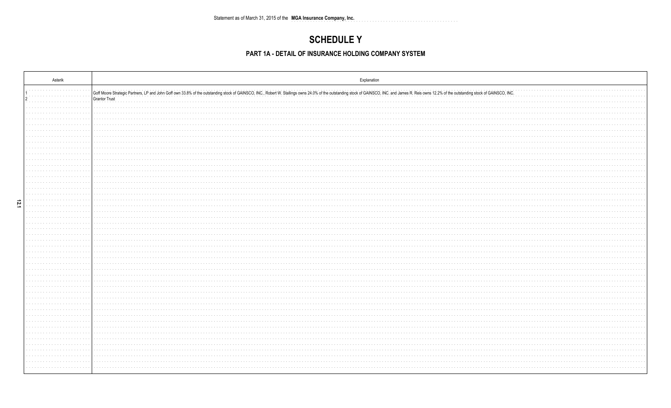# **SCHEDULE Y**

### PART 1A - DETAIL OF INSURANCE HOLDING COMPANY SYSTEM

| Asterik                                                              | Explanation                                                                                                                                                                                                                                    |
|----------------------------------------------------------------------|------------------------------------------------------------------------------------------------------------------------------------------------------------------------------------------------------------------------------------------------|
|                                                                      | Goff Moore Strategic Partners, LP and John Goff own 33.8% of the outstanding stock of GAINSCO, INC., Robert W. Stallings owns 24.0% of the outstanding stock of GAINSCO, INC. and James R. Reis owns 12.2% of the outstanding<br>Grantor Trust |
|                                                                      |                                                                                                                                                                                                                                                |
| .                                                                    |                                                                                                                                                                                                                                                |
|                                                                      |                                                                                                                                                                                                                                                |
|                                                                      |                                                                                                                                                                                                                                                |
|                                                                      |                                                                                                                                                                                                                                                |
|                                                                      |                                                                                                                                                                                                                                                |
| and a series<br>$\alpha$ , $\alpha$ , $\alpha$ , $\alpha$ , $\alpha$ |                                                                                                                                                                                                                                                |
| 12.1<br>.                                                            |                                                                                                                                                                                                                                                |
|                                                                      |                                                                                                                                                                                                                                                |
|                                                                      |                                                                                                                                                                                                                                                |
|                                                                      |                                                                                                                                                                                                                                                |
| and a state of                                                       | .                                                                                                                                                                                                                                              |
|                                                                      |                                                                                                                                                                                                                                                |
|                                                                      |                                                                                                                                                                                                                                                |
| and a state of                                                       |                                                                                                                                                                                                                                                |
|                                                                      |                                                                                                                                                                                                                                                |
|                                                                      |                                                                                                                                                                                                                                                |
|                                                                      |                                                                                                                                                                                                                                                |
|                                                                      |                                                                                                                                                                                                                                                |
|                                                                      | the contract of the contract of                                                                                                                                                                                                                |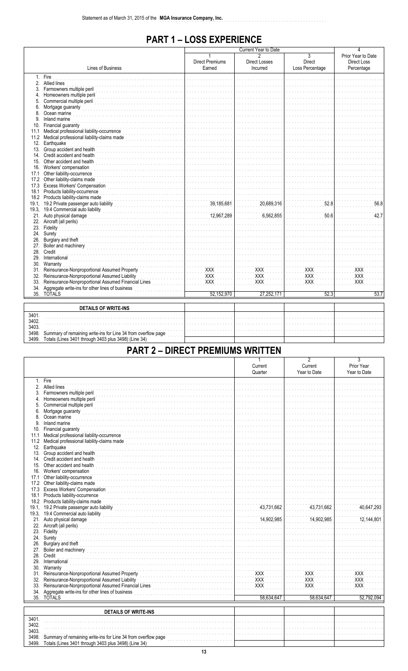# **PART 1-LOSS EXPERIENCE**

|       |                                                               |                                  | Current Year to Date             | 4                                           |                                                        |
|-------|---------------------------------------------------------------|----------------------------------|----------------------------------|---------------------------------------------|--------------------------------------------------------|
|       | Lines of Business                                             | <b>Direct Premiums</b><br>Earned | <b>Direct Losses</b><br>Incurred | $\overline{3}$<br>Direct<br>Loss Percentage | Prior Year to Date<br><b>Direct Loss</b><br>Percentage |
|       | 1. Fire                                                       |                                  |                                  |                                             |                                                        |
|       | 2. Allied lines                                               |                                  |                                  |                                             |                                                        |
| 3.    | Farmowners multiple peril                                     |                                  |                                  |                                             |                                                        |
| 4.    | Homeowners multiple peril                                     |                                  |                                  |                                             |                                                        |
| 5.    | Commercial multiple peril                                     |                                  |                                  |                                             |                                                        |
| 6.    | Mortgage guaranty                                             |                                  |                                  |                                             |                                                        |
| 8.    | Ocean marine                                                  |                                  |                                  |                                             |                                                        |
| 9.    | Inland marine                                                 |                                  |                                  |                                             |                                                        |
| 10.   | Financial guaranty                                            |                                  |                                  |                                             |                                                        |
| 11.1  | Medical professional liability-occurrence                     |                                  |                                  |                                             |                                                        |
|       | 11.2 Medical professional liability-claims made               |                                  |                                  |                                             |                                                        |
| 12.   | Earthquake                                                    |                                  |                                  |                                             |                                                        |
|       | 13. Group accident and health                                 |                                  |                                  |                                             |                                                        |
|       | 14. Credit accident and health                                |                                  |                                  |                                             |                                                        |
|       | 15. Other accident and health                                 |                                  |                                  |                                             |                                                        |
|       | 16. Workers' compensation                                     |                                  |                                  |                                             |                                                        |
| 17.1  | Other liability-occurrence                                    |                                  |                                  |                                             |                                                        |
| 17.2  | Other liability-claims made                                   |                                  |                                  |                                             |                                                        |
| 17.3  | <b>Excess Workers' Compensation</b>                           |                                  |                                  |                                             |                                                        |
| 18.1  | Products liability-occurrence                                 |                                  |                                  |                                             |                                                        |
|       | 18.2 Products liability-claims made                           |                                  |                                  |                                             |                                                        |
|       | 19.1, 19.2 Private passenger auto liability                   | 39,185,681                       | 20,689,316                       | 52.8                                        | 56.8                                                   |
|       | 19.3, 19.4 Commercial auto liability                          |                                  |                                  |                                             |                                                        |
|       | 21. Auto physical damage                                      | 12,967,289                       | 6,562,855                        | 50.6                                        | 42.7                                                   |
|       | 22. Aircraft (all perils)                                     |                                  |                                  |                                             |                                                        |
|       | 23. Fidelity                                                  |                                  |                                  |                                             |                                                        |
| 24.   | Surety                                                        |                                  |                                  |                                             |                                                        |
| 26.   | Burglary and theft                                            |                                  |                                  |                                             |                                                        |
| 27.   | Boiler and machinery                                          |                                  |                                  |                                             |                                                        |
|       | 28. Credit                                                    |                                  |                                  |                                             |                                                        |
| 29.   | International                                                 |                                  |                                  |                                             |                                                        |
|       | 30. Warranty                                                  |                                  |                                  |                                             |                                                        |
|       | 31. Reinsurance-Nonproportional Assumed Property              | <b>XXX</b>                       | <b>XXX</b>                       | <b>XXX</b>                                  | XXX                                                    |
|       | 32. Reinsurance-Nonproportional Assumed Liability             | <b>XXX</b>                       | <b>XXX</b>                       | <b>XXX</b>                                  | <b>XXX</b>                                             |
| 33.   | Reinsurance-Nonproportional Assumed Financial Lines           | <b>XXX</b>                       | <b>XXX</b>                       | <b>XXX</b>                                  | <b>XXX</b>                                             |
| 34.   | Aggregate write-ins for other lines of business               |                                  |                                  |                                             |                                                        |
|       | 35. TOTALS                                                    | 52,152,970                       | 27,252,171                       | 52.3                                        | 53.7                                                   |
|       |                                                               |                                  |                                  |                                             |                                                        |
|       | <b>DETAILS OF WRITE-INS</b>                                   |                                  |                                  |                                             |                                                        |
| 3401. |                                                               |                                  |                                  |                                             |                                                        |
| 3402. |                                                               |                                  |                                  |                                             |                                                        |
| 3403. |                                                               |                                  |                                  |                                             |                                                        |
| 3498. | Summary of remaining write-ins for Line 34 from overflow page |                                  |                                  |                                             |                                                        |
| 3499. | Totals (Lines 3401 through 3403 plus 3498) (Line 34)          |                                  |                                  |                                             |                                                        |

# **PART 2 - DIRECT PREMIUMS WRITTEN**

|       |                                                               | 1          | $\overline{2}$ | 3            |
|-------|---------------------------------------------------------------|------------|----------------|--------------|
|       |                                                               | Current    | Current        | Prior Year   |
|       |                                                               | Quarter    | Year to Date   | Year to Date |
|       | 1. Fire                                                       |            |                |              |
|       | 2. Allied lines                                               |            |                |              |
|       |                                                               |            |                |              |
|       | 3. Farmowners multiple peril                                  |            |                |              |
| 4.    | Homeowners multiple peril                                     |            |                |              |
| 5.    | Commercial multiple peril                                     |            |                |              |
| 6.    | Mortgage guaranty                                             |            |                |              |
| 8.    | Ocean marine                                                  |            |                |              |
| 9.    | Inland marine                                                 |            |                |              |
|       | 10. Financial guaranty                                        |            |                |              |
| 11.1  | Medical professional liability-occurrence                     |            |                |              |
|       | 11.2 Medical professional liability-claims made               |            |                |              |
| 12.   | Earthquake                                                    |            |                |              |
|       | 13. Group accident and health                                 |            |                |              |
|       | 14. Credit accident and health                                |            |                |              |
|       | 15. Other accident and health                                 |            |                |              |
|       | 16. Workers' compensation                                     |            |                |              |
|       | 17.1 Other liability-occurrence                               |            |                |              |
|       | 17.2 Other liability-claims made                              |            |                |              |
|       | 17.3 Excess Workers' Compensation                             |            |                |              |
| 18.1  | Products liability-occurrence                                 |            |                |              |
|       | 18.2 Products liability-claims made                           |            |                |              |
|       | 19.1, 19.2 Private passenger auto liability                   | 43,731,662 | 43,731,662     | 40,647,293   |
|       |                                                               |            |                |              |
|       | 19.3, 19.4 Commercial auto liability                          |            |                | 12,144,801   |
|       | 21. Auto physical damage                                      | 14,902,985 | 14,902,985     |              |
|       | 22. Aircraft (all perils)                                     |            |                |              |
|       | 23. Fidelity                                                  |            |                |              |
|       | 24. Surety                                                    |            |                |              |
|       | 26. Burglary and theft                                        |            |                |              |
|       | 27. Boiler and machinery                                      |            |                |              |
|       | 28. Credit                                                    |            |                |              |
|       | 29. International                                             |            |                |              |
|       | 30. Warranty                                                  |            |                |              |
|       | 31. Reinsurance-Nonproportional Assumed Property              | <b>XXX</b> | <b>XXX</b>     | XXX          |
|       | 32. Reinsurance-Nonproportional Assumed Liability             | XXX        | <b>XXX</b>     | <b>XXX</b>   |
|       | 33. Reinsurance-Nonproportional Assumed Financial Lines       | <b>XXX</b> | <b>XXX</b>     | <b>XXX</b>   |
| 34.   | Aggregate write-ins for other lines of business               |            |                |              |
|       | 35. TOTALS                                                    | 58,634,647 | 58,634,647     | 52,792,094   |
|       |                                                               |            |                |              |
|       | <b>DETAILS OF WRITE-INS</b>                                   |            |                |              |
| 3401. |                                                               |            |                |              |
| 3402. |                                                               |            |                |              |
| 3403. |                                                               |            |                |              |
| 3498. | Summary of remaining write-ins for Line 34 from overflow page |            |                |              |
| 3499. | Totals (Lines 3401 through 3403 plus 3498) (Line 34)          |            |                |              |
|       |                                                               |            |                |              |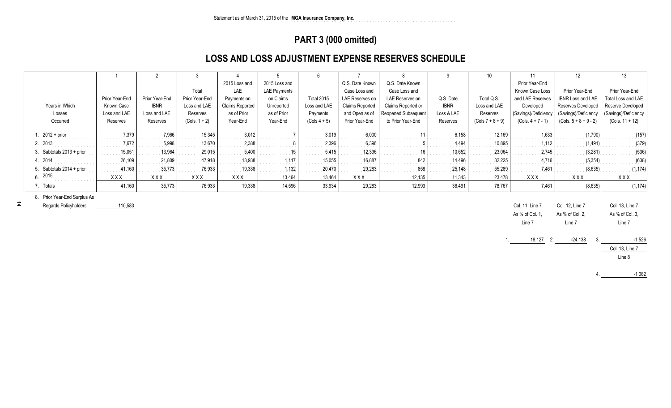# **PART 3 (000 omitted)**

# **LOSS AND LOSS ADJUSTMENT EXPENSE RESERVES SCHEDULE**

|                              |                | $\overline{2}$ |                 |                 |               | 6                 |                        |                            |             |                    |                      | 12                        | 13                   |
|------------------------------|----------------|----------------|-----------------|-----------------|---------------|-------------------|------------------------|----------------------------|-------------|--------------------|----------------------|---------------------------|----------------------|
|                              |                |                |                 | 2015 Loss and   | 2015 Loss and |                   | Q.S. Date Known        | Q.S. Date Known            |             |                    | Prior Year-End       |                           |                      |
|                              |                |                | Total           | LAE             | LAE Payments  |                   | Case Loss and          | Case Loss and              |             |                    | Known Case Loss      | Prior Year-End            | Prior Year-End       |
|                              | Prior Year-End | Prior Year-End | Prior Year-End  | Payments on     | on Claims     | <b>Total 2015</b> | LAE Reserves on        | LAE Reserves on            | Q.S. Date   | Total Q.S.         | and LAE Reserves     | <b>IBNR Loss and LAE</b>  | Total Loss and LAE   |
| Years in Which               | Known Case     | <b>IBNR</b>    | Loss and LAE    | Claims Reported | Unreported    | Loss and LAE      | <b>Claims Reported</b> | Claims Reported or         | <b>IBNR</b> | Loss and LAE       | Developed            | <b>Reserves Developed</b> | Reserve Developed    |
| Losses                       | Loss and LAE   | Loss and LAE   | Reserves        | as of Prior     | as of Prior   | Payments          | and Open as of         | <b>Reopened Subsequent</b> | Loss & LAE  | Reserves           | (Savings)/Deficiency | (Savings)/Deficiency      | (Savings)/Deficiency |
| Occurred                     | Reserves       | Reserves       | $(Cols. 1 + 2)$ | Year-End        | Year-End      | $(Cols 4 + 5)$    | Prior Year-End         | to Prior Year-End          | Reserves    | $(Cols 7 + 8 + 9)$ | $(Cols. 4 + 7 - 1)$  | $(Cols. 5 + 8 + 9 - 2)$   | $(Cols. 11 + 12)$    |
| $. 2012 + prior$             | 7,379          | 7.966          | 15.345          | 3.012           |               | 3,019             | 6.000                  |                            | 6.158       | 12,169             | 1.633                | (1.790                    | (157)                |
| 2. 2013                      | 7,672          | 5.998          | 13,670          | 2,388           |               | 2,396             | 6.396                  |                            | 4,494       | 10,895             | 1.112                | (1.491)                   | (379)                |
| 3. Subtotals $2013 + prior$  | 15,051         | 13.964         | 29,015          | 5.400           |               | 5.415             | 12.396                 | 16                         | 10,652      | 23,064             | 2.745                | (3.281)                   | (536)                |
| 4. 2014                      | 26,109         | 21.809         | 47.918          | 13,938          | 1,117         | 15,055            | 16.887                 | 842                        | 14,496      | 32,225             | 4.716                | (5.354)                   | (638)                |
| 5. Subtotals 2014 + prior    | 41,160         | 35.773         | 76,933          | 19,338          | 1,132         | 20,470            | 29.283                 | 858                        | 25,148      | 55,289             | 7.461                | (8.635)                   | (1, 174)             |
| 6.2015                       | <b>XXX</b>     | XXX            | <b>XXX</b>      | <b>XXX</b>      | 13,464        | 13,464            | XXX                    | 12,135                     | 11,343      | 23,478             | <b>XXX</b>           | XXX                       | XXX                  |
| 7. Totals                    | 41,160         | 35,773         | 76,933          | 19,338          | 14,596        | 33,934            | 29,283                 | 12,993                     | 36,491      | 78,767             | 7,461                | (8, 635)                  | (1, 174)             |
| 8. Prior Year-End Surplus As |                |                |                 |                 |               |                   |                        |                            |             |                    |                      |                           |                      |
| Penarde Policyholders        | 110583         |                |                 |                 |               |                   |                        |                            |             |                    | $C_0$ 11 $\ln 7$     | $\sim$ 12 $\mu$ 2         | $C_0$ 13 $\ln 7$     |

Regards Policyholders110,583

| Col. 11, Line 7 | Col. 12, Line 7 | Col. 13, Line 7 |
|-----------------|-----------------|-----------------|
| As % of Col. 1, | As % of Col. 2, | As % of Col. 3, |
| Line 7          | Line 7          | Line 7          |
| 18.127          | $-24.138$<br>່າ |                 |

-1.062

4.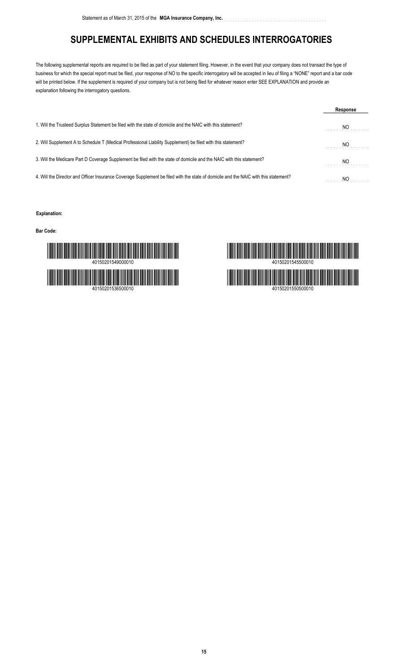# **SUPPLEMENTAL EXHIBITS AND SCHEDULES INTERROGATORIES**

The following supplemental reports are required to be filed as part of your statement filing. However, in the event that your company does not transact the type of business for which the special report must be filed, your response of NO to the specific interrogatory will be accepted in lieu of filing a "NONE" report and a bar code will be printed below. If the supplement is required of your company but is not being filed for whatever reason enter SEE EXPLANATION and provide an explanation following the interrogatory questions.

|                                                                                                                                      | Response |
|--------------------------------------------------------------------------------------------------------------------------------------|----------|
| 1. Will the Trusteed Surplus Statement be filed with the state of domicile and the NAIC with this statement?                         | NO       |
| 2. Will Supplement A to Schedule T (Medical Professional Liability Supplement) be filed with this statement?                         | NO.      |
| 3. Will the Medicare Part D Coverage Supplement be filed with the state of domicile and the NAIC with this statement?                | NO       |
| 4. Will the Director and Officer Insurance Coverage Supplement be filed with the state of domicile and the NAIC with this statement? | NO       |

#### **Explanation:**

**Bar Code:**



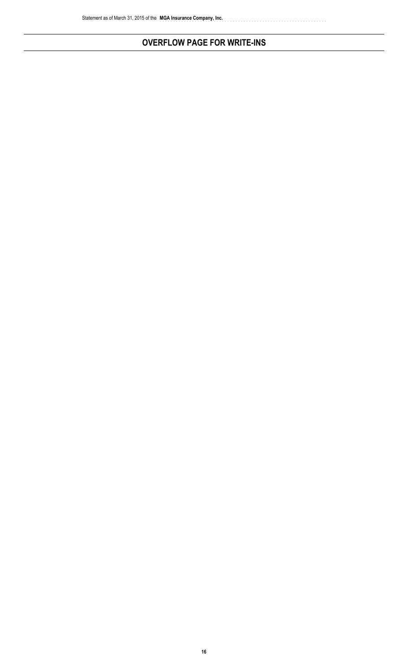# **OVERFLOW PAGE FOR WRITE-INS**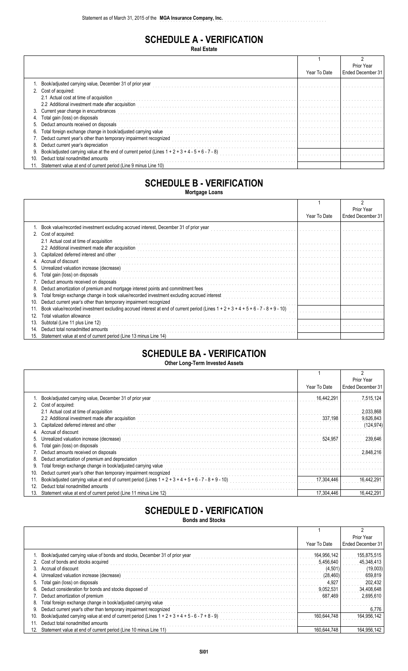# **SCHEDULE A - VERIFICATION**

**Real Estate**

|     |                                                                                                    |              | Prior Year        |
|-----|----------------------------------------------------------------------------------------------------|--------------|-------------------|
|     |                                                                                                    | Year To Date | Ended December 31 |
|     | Book/adjusted carrying value, December 31 of prior year                                            |              |                   |
|     | 2. Cost of acquired:                                                                               |              |                   |
|     | 2.1 Actual cost at time of acquisition                                                             |              |                   |
|     | 2.2 Additional investment made after acquisition                                                   |              |                   |
| 3.  | Current year change in encumbrances                                                                |              |                   |
|     | Total gain (loss) on disposals                                                                     |              |                   |
| 5.  | Deduct amounts received on disposals                                                               |              |                   |
|     | Total foreign exchange change in book/adjusted carrying value                                      |              |                   |
|     | 7. Deduct current year's other than temporary impairment recognized                                |              |                   |
| 8.  | Deduct current year's depreciation                                                                 |              |                   |
|     | Book/adjusted carrying value at the end of current period (Lines $1 + 2 + 3 + 4 - 5 + 6 - 7 - 8$ ) |              |                   |
| 10. | Deduct total nonadmitted amounts                                                                   |              |                   |
|     | Statement value at end of current period (Line 9 minus Line 10)                                    |              |                   |

# **SCHEDULE B - VERIFICATION**

**Mortgage Loans**

|     |                                                                                                                                                                                                                                   |              | Prior Year        |
|-----|-----------------------------------------------------------------------------------------------------------------------------------------------------------------------------------------------------------------------------------|--------------|-------------------|
|     |                                                                                                                                                                                                                                   | Year To Date | Ended December 31 |
|     | Book value/recorded investment excluding accrued interest, December 31 of prior year                                                                                                                                              |              |                   |
|     | 2. Cost of acquired:                                                                                                                                                                                                              |              |                   |
|     | 2.1 Actual cost at time of acquisition                                                                                                                                                                                            |              |                   |
|     | 2.2 Additional investment made after acquisition entity and the contract of the contract of the contract of the contract of the contract of the contract of the contract of the contract of the contract of the contract of th    |              |                   |
| 3.  | Capitalized deferred interest and other                                                                                                                                                                                           |              |                   |
|     | 4. Accrual of discount                                                                                                                                                                                                            |              |                   |
| 5.  |                                                                                                                                                                                                                                   |              |                   |
| 6.  | Total gain (loss) on disposals                                                                                                                                                                                                    |              |                   |
|     | 7. Deduct amounts received on disposals                                                                                                                                                                                           |              |                   |
| 8.  | Deduct amortization of premium and mortgage interest points and commitment fees                                                                                                                                                   |              |                   |
| 9.  | Total foreign exchange change in book value/recorded investment excluding accrued interest<br>Total foreign exchange change in book value/recorded investment excluding accrued interest<br>The contract interest interest in the |              |                   |
| 10. | Deduct current year's other than temporary impairment recognized                                                                                                                                                                  |              |                   |
|     | Book value/recorded investment excluding accrued interest at end of current period (Lines $1 + 2 + 3 + 4 + 5 + 6 - 7 - 8 + 9 - 10$                                                                                                |              |                   |
| 12. | Total valuation allowance                                                                                                                                                                                                         |              |                   |
| 13. | Subtotal (Line 11 plus Line 12)                                                                                                                                                                                                   |              |                   |
| 14  | Deduct total nonadmitted amounts                                                                                                                                                                                                  |              |                   |
|     | 15. Statement value at end of current period (Line 13 minus Line 14)                                                                                                                                                              |              |                   |

# **SCHEDULE BA - VERIFICATION**

**Other Long-Term Invested Assets**

|     |                                                                                                         |              | 2                 |
|-----|---------------------------------------------------------------------------------------------------------|--------------|-------------------|
|     |                                                                                                         |              | Prior Year        |
|     |                                                                                                         | Year To Date | Ended December 31 |
|     | Book/adjusted carrying value, December 31 of prior year                                                 | 16,442,291   | 7,515,124         |
| 2.  | Cost of acquired:                                                                                       |              |                   |
|     | 2.1 Actual cost at time of acquisition                                                                  |              | 2,033,868         |
|     | 2.2 Additional investment made after acquisition                                                        | 337,198      | 9,626,843         |
| 3.  | Capitalized deferred interest and other                                                                 |              | (124, 974)        |
|     | Accrual of discount                                                                                     |              |                   |
|     | Unrealized valuation increase (decrease)                                                                | 524,957      | 239,646           |
| 6.  | Total gain (loss) on disposals                                                                          |              |                   |
|     | Deduct amounts received on disposals                                                                    |              |                   |
| 8.  | Deduct amortization of premium and depreciation                                                         |              |                   |
|     | Total foreign exchange change in book/adjusted carrying value                                           |              |                   |
| 10. | Deduct current year's other than temporary impairment recognized                                        |              |                   |
|     | Book/adjusted carrying value at end of current period (Lines $1 + 2 + 3 + 4 + 5 + 6 - 7 - 8 + 9 - 10$ ) | 17.304.446   | 16.442.29         |
| 12. | Deduct total nonadmitted amounts                                                                        |              |                   |
|     | Statement value at end of current period (Line 11 minus Line 12)                                        | 17.304.446   | 16,442,291        |

# **SCHEDULE D - VERIFICATION**

**Bonds and Stocks**

|     |                                                                                                    |              | Prior Year        |
|-----|----------------------------------------------------------------------------------------------------|--------------|-------------------|
|     |                                                                                                    | Year To Date | Ended December 31 |
|     | 1. Book/adjusted carrying value of bonds and stocks, December 31 of prior year                     | 164.956.142  | 155.875.515       |
|     | 2. Cost of bonds and stocks acquired                                                               | 5.456.640    | 45,348,413        |
|     | 3. Accrual of discount                                                                             | (4.501)      | (19,003)          |
|     | Unrealized valuation increase (decrease)                                                           | (28, 460)    | 659,819           |
| 5.  | Total gain (loss) on disposals                                                                     | 4.927        | 202,432           |
| 6.  | Deduct consideration for bonds and stocks disposed of                                              | 9.052.531    | 34.408.648        |
|     | Deduct amortization of premium                                                                     | 687.469      | 2,695,610         |
| 8.  | Total foreign exchange change in book/adjusted carrying value                                      |              |                   |
| 9.  | Deduct current year's other than temporary impairment recognized                                   |              | 6.776             |
| 10. | Book/adjusted carrying value at end of current period (Lines $1 + 2 + 3 + 4 + 5 - 6 - 7 + 8 - 9$ ) | 160.644.748  | 164,956,142       |
| 11  | Deduct total nonadmitted amounts                                                                   |              |                   |
|     | Statement value at end of current period (Line 10 minus Line 11)                                   | 160,644,748  | 164.956.142       |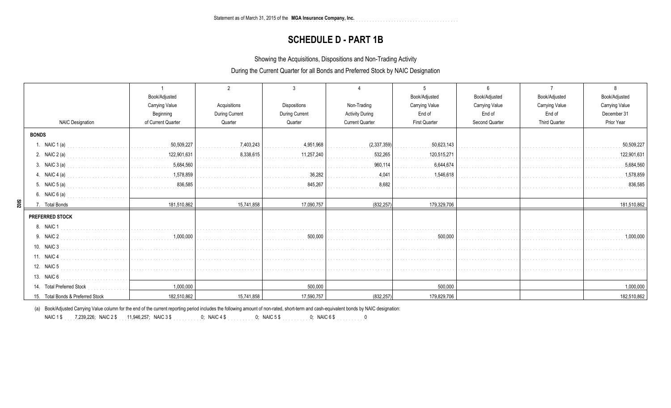## **SCHEDULE D - PART 1B**

Showing the Acquisitions, Dispositions and Non-Trading Activity

During the Current Quarter for all Bonds and Preferred Stock by NAIC Designation

|                                   | Book/Adjusted                                |                       |                       |                        | Book/Adjusted         | Book/Adjusted         | Book/Adjusted         | Book/Adjusted         |
|-----------------------------------|----------------------------------------------|-----------------------|-----------------------|------------------------|-----------------------|-----------------------|-----------------------|-----------------------|
|                                   | <b>Carrying Value</b>                        | Acquisitions          | <b>Dispositions</b>   | Non-Trading            | <b>Carrying Value</b> | <b>Carrying Value</b> | <b>Carrying Value</b> | <b>Carrying Value</b> |
|                                   | Beginning                                    | <b>During Current</b> | <b>During Current</b> | <b>Activity During</b> | End of                | End of                | End of                | December 31           |
| <b>NAIC Designation</b>           | of Current Quarter                           | Quarter               | Quarter               | <b>Current Quarter</b> | <b>First Quarter</b>  | Second Quarter        | <b>Third Quarter</b>  | Prior Year            |
| <b>BONDS</b>                      |                                              |                       |                       |                        |                       |                       |                       |                       |
| 1. NAIC $1(a)$                    | 50,509,227                                   | 7,403,243             | 4,951,968             | (2,337,359)            | 50,623,143            |                       |                       | 50,509,227            |
| 2. NAIC $2(a)$                    | 122,901,631<br>.                             | 8,338,615             | 11,257,240            | 532,265                | 120,515,271           |                       |                       | 122,901,631           |
| 3. NAIC 3 (a)                     | $\frac{1}{2}$ 5,684,560                      |                       |                       | 960.114                | 6,644,674             |                       |                       | 5,684,560             |
| 4. NAIC 4 (a)                     | 1,578,859<br>and a strategic and a strategic |                       | 36.282                | 4.041                  | 1.546.618             |                       |                       | 1,578,859             |
| 5. NAIC 5 (a)                     | 836,585                                      |                       | 845,267               | 8,682                  |                       |                       |                       | 836,585               |
| 6. NAIC 6 (a)                     |                                              |                       |                       |                        |                       |                       |                       |                       |
| $\frac{50}{20}$<br>7. Total Bonds | 181,510,862                                  | 15,741,858            | 17,090,757            | (832, 257)             | 179,329,706           |                       |                       | 181,510,862           |
| <b>PREFERRED STOCK</b>            |                                              |                       |                       |                        |                       |                       |                       |                       |
| 8. NAIC 1                         |                                              |                       |                       |                        |                       |                       |                       |                       |
| 9. NAIC 2                         | 1,000,000                                    |                       | 500,000               |                        | 500,000               |                       |                       | 1,000,000             |
| 10. NAIC 3                        |                                              |                       |                       |                        |                       |                       |                       |                       |
| 11. NAIC 4                        |                                              |                       |                       |                        |                       |                       |                       |                       |
| 12. NAIC 5                        |                                              |                       |                       |                        |                       |                       |                       |                       |
| 13. NAIC 6                        |                                              |                       |                       |                        |                       |                       |                       |                       |
| 14. Total Preferred Stock         | 1,000,000                                    |                       | 500.000               |                        | 500,000               |                       |                       | 1,000,000             |
| 15. Total Bonds & Preferred Stock | 182,510,862                                  | 15,741,858            | 17,590,757            | (832, 257)             | 179,829,706           |                       |                       | 182,510,862           |

(a) Book/Adjusted Carrying Value column for the end of the current reporting period includes the following amount of non-rated, short-term and cash-equivalent bonds by NAIC designation:

7,239,226 ........... 11,946,257 ........... 0 ........... 0 ........... 0 ........... 0NAIC 1 \$ ........... ; NAIC 2 \$ ; NAIC 3 \$ ; NAIC 4 \$ ; NAIC 5 \$ ; NAIC 6 \$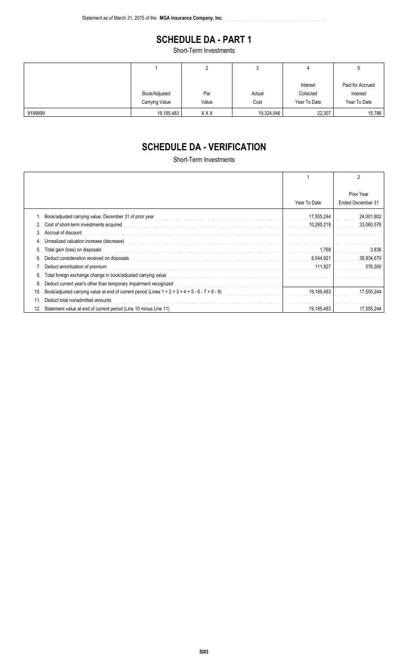# **SCHEDULE DA - PART 1**

..............................................................

Short-Term Investments

|         |                |            | J          | 4            | J                |
|---------|----------------|------------|------------|--------------|------------------|
|         |                |            |            |              |                  |
|         |                |            |            | Interest     | Paid for Accrued |
|         | Book/Adjusted  | Par        | Actual     | Collected    | Interest         |
|         | Carrying Value | Value      | Cost       | Year To Date | Year To Date     |
| 9199999 | 19,185,483     | <b>XXX</b> | 19,324,546 | 22,307       | 15,786           |

# **SCHEDULE DA - VERIFICATION**

Short-Term Investments

|     |                                                                                                    |              | 2                               |
|-----|----------------------------------------------------------------------------------------------------|--------------|---------------------------------|
|     |                                                                                                    | Year To Date | Prior Year<br>Ended December 31 |
|     | Book/adjusted carrying value, December 31 of prior year                                            | 17,555,244   | 24,001,802                      |
|     | 2. Cost of short-term investments acquired                                                         | 10,285,219   | 33,060,576                      |
| 3.  | Accrual of discount                                                                                |              |                                 |
| 4.  |                                                                                                    |              |                                 |
| 5.  | Total gain (loss) on disposals                                                                     | 1,768        | 3,836                           |
| 6.  | Deduct consideration received on disposals                                                         | 8,544,921    | 38,934,670                      |
|     | Deduct amortization of premium                                                                     | 111.827      | 576,300                         |
| 8.  | Total foreign exchange change in book/adjusted carrying value                                      |              |                                 |
| 9.  | Deduct current year's other than temporary impairment recognized                                   |              |                                 |
| 10. | Book/adjusted carrying value at end of current period (Lines $1 + 2 + 3 + 4 + 5 - 6 - 7 + 8 - 9$ ) | 19,185,483   | 17,555,244                      |
| 11  | Deduct total nonadmitted amounts                                                                   |              |                                 |
| 12. | Statement value at end of current period (Line 10 minus Line 11)                                   | 19.185.483   | 17.555.244                      |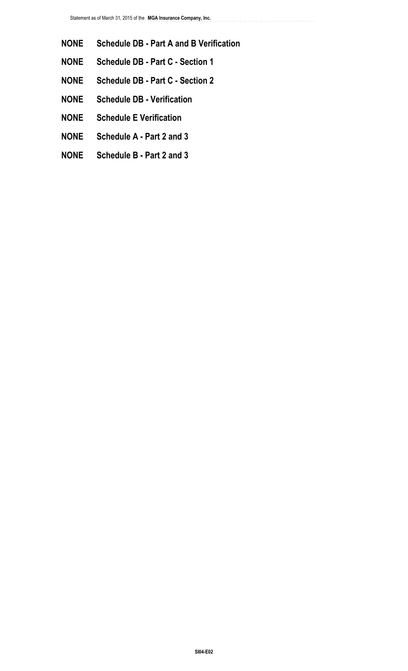**NONE Schedule DB - Part A and B Verification**

..............................................................

- **NONE Schedule DB Part C Section 1**
- **NONE Schedule DB Part C Section 2**
- **NONE Schedule DB Verification**
- **NONE Schedule E Verification**
- **NONE Schedule A Part 2 and 3**
- **NONE Schedule B Part 2 and 3**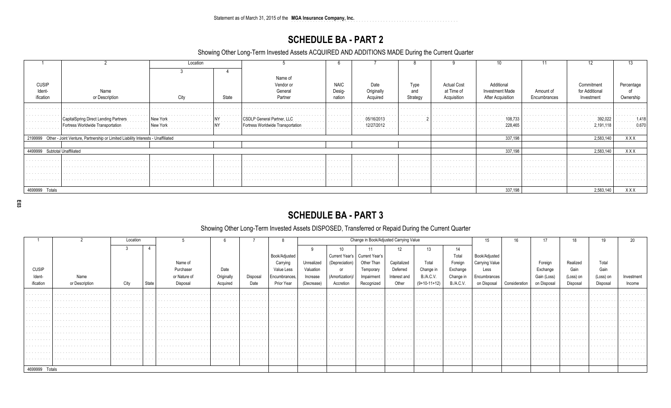Statement as of March 31, 2015 of the MGA Insurance Company, Inc.

# **SCHEDULE BA - PART 2**

Showing Other Long-Term Invested Assets ACQUIRED AND ADDITIONS MADE During the Current Quarter

|                               |                                                                                          | Location           |                         |                                   |             |            |          |                    |                                           |              |               |            |
|-------------------------------|------------------------------------------------------------------------------------------|--------------------|-------------------------|-----------------------------------|-------------|------------|----------|--------------------|-------------------------------------------|--------------|---------------|------------|
|                               |                                                                                          |                    |                         |                                   |             |            |          |                    |                                           |              |               |            |
|                               |                                                                                          |                    |                         | Name of                           |             |            |          |                    |                                           |              |               |            |
| <b>CUSIP</b>                  |                                                                                          |                    |                         | Vendor or                         | <b>NAIC</b> | Date       | Type     | <b>Actual Cost</b> | Additional                                |              | Commitment    | Percentage |
| Ident-                        | Name                                                                                     |                    |                         | General                           | Desig-      | Originally | and      | at Time of         | <b>Investment Made</b>                    | Amount of    | for Additiona |            |
| ification                     | or Description                                                                           | City               | State                   | Partner                           | nation      | Acquired   | Strategy | Acquisition        | After Acquisition                         | Encumbrances | Investment    | Ownership  |
|                               |                                                                                          |                    |                         |                                   |             |            |          |                    |                                           |              |               |            |
|                               |                                                                                          |                    | .                       |                                   |             |            |          |                    |                                           |              |               |            |
| contractor and contractor     | <b>CapitalSpring Direct Lending Partners</b><br>.                                        | New York<br>.<br>. | the company's company's | <b>CSDLP General Partner, LLC</b> | .           | 05/16/2013 | .        |                    | 108,73<br>in a series and a series of the | .            | 392,027<br>.  | .418       |
|                               | dwide Transportation                                                                     | New York           | .                       |                                   |             | 12/27/2012 |          |                    | 228.46                                    |              | 2.191.118     | ).67(      |
|                               |                                                                                          |                    |                         |                                   |             |            |          |                    |                                           |              |               |            |
|                               | 2199999 Other - Joint Venture, Partnership or Limited Liability Interests - Unaffiliated |                    |                         |                                   |             |            |          |                    | 337,198                                   |              | 2,583,140     | XXX        |
|                               |                                                                                          |                    |                         |                                   |             |            |          |                    |                                           |              |               |            |
| 4499999 Subtotal Unaffiliated |                                                                                          |                    |                         |                                   |             |            |          |                    | 337,198                                   |              | 2,583,140     | XXX        |
|                               |                                                                                          |                    |                         |                                   |             |            |          |                    |                                           |              |               |            |
|                               |                                                                                          |                    |                         |                                   |             |            |          |                    |                                           |              |               |            |
|                               |                                                                                          |                    |                         |                                   |             |            |          |                    |                                           |              |               |            |
|                               |                                                                                          |                    | .                       |                                   | .           | .          |          |                    |                                           |              |               |            |
|                               |                                                                                          |                    |                         |                                   |             |            |          |                    |                                           |              |               |            |
| 4699999 Totals                |                                                                                          |                    |                         |                                   |             |            |          |                    | 337,198                                   |              | 2,583,140     | XXX        |

E03

# **SCHEDULE BA - PART 3**

### Showing Other Long-Term Invested Assets DISPOSED, Transferred or Repaid During the Current Quarter

|                |                | Locatior |                              |                                                                                                                                                                                                                               |                                     |                                   |                                        | Change in Book/Adjusted Carrying Value |                                     |                                 |                                        |                                   | 15                                | 16.                             |                                   | 18                                  | 19                                  |           |                                        |
|----------------|----------------|----------|------------------------------|-------------------------------------------------------------------------------------------------------------------------------------------------------------------------------------------------------------------------------|-------------------------------------|-----------------------------------|----------------------------------------|----------------------------------------|-------------------------------------|---------------------------------|----------------------------------------|-----------------------------------|-----------------------------------|---------------------------------|-----------------------------------|-------------------------------------|-------------------------------------|-----------|----------------------------------------|
|                |                |          |                              |                                                                                                                                                                                                                               |                                     |                                   |                                        |                                        |                                     |                                 |                                        |                                   | 11                                |                                 |                                   |                                     |                                     |           |                                        |
|                |                |          |                              |                                                                                                                                                                                                                               |                                     |                                   | Book/Adjusted                          |                                        |                                     | Current Year's   Current Year's |                                        |                                   | ⊺otal                             | Book/Adjusted                   |                                   |                                     |                                     |           |                                        |
|                |                |          |                              | Name of                                                                                                                                                                                                                       |                                     |                                   | Carrying                               | Unrealized                             | (Depreciation)                      | Other Than                      | Capitalized                            | Total                             | Foreign                           | Carrving Value                  |                                   | Foreign                             | Realized                            | Total     |                                        |
| <b>CUSIP</b>   |                |          |                              | Purchaser                                                                                                                                                                                                                     | Date                                |                                   | Value Less                             | Valuation                              |                                     | Temporan                        | Deferred                               | Change in                         | Exchange                          | Less                            |                                   | Exchange                            | Gain                                | Gain      |                                        |
| Ident-         |                |          |                              | or Nature of                                                                                                                                                                                                                  | Originally                          | Disposal                          | Encumbrances,                          | Increase                               | (Amortization)/                     | Impairment                      | Interest and                           | <b>B./A.C.V.</b>                  | Change in                         | Encumbrances                    |                                   | Gain (Loss)                         | (Loss) on                           | (Loss) on | Investment                             |
| ification      | or Description | City     | State                        | Disposal                                                                                                                                                                                                                      | Acquired                            | Date                              | Prior Year                             | (Decrease)                             | Accretion                           | Recognized                      | Other                                  | $(9+10-11+12)$                    | <b>B./A.C.V.</b>                  | on Disposal                     | Consideration                     | on Disposal                         | Disposal                            | Disposal  | Income                                 |
|                |                |          |                              |                                                                                                                                                                                                                               |                                     |                                   | the contract of the contract of the    | .                                      | the contract of the contract of     |                                 | .                                      | the company's company's and the   |                                   |                                 |                                   |                                     |                                     |           |                                        |
|                | .              | .        |                              | .                                                                                                                                                                                                                             | .                                   | .                                 | .                                      | a construction of the construction     | .                                   | .                               | .                                      | .                                 | .                                 | .                               | the company's company's company's | .                                   | .                                   | .         | .                                      |
|                |                | .        |                              | .                                                                                                                                                                                                                             | .                                   | .                                 | .                                      | .                                      | .                                   | .                               | .                                      | .                                 | .                                 |                                 |                                   | .                                   | .                                   | .         | .                                      |
|                |                |          |                              |                                                                                                                                                                                                                               | the contract of the contract of the |                                   | .                                      | the company's company's company's      |                                     |                                 |                                        | the company's company's company's |                                   |                                 |                                   |                                     |                                     |           |                                        |
| .              | .              | .        |                              | .                                                                                                                                                                                                                             | .                                   | .                                 | .                                      | the company's company's company's      | the contract of the contract of the | .                               | .                                      | and the company's company's       | a construction of the con-        | a construction of the con-      | .                                 | .                                   | .                                   | .         | the company's company's company's      |
|                |                |          |                              |                                                                                                                                                                                                                               |                                     |                                   |                                        | the company's company's company's      | .                                   |                                 | .                                      | the company's company's company's |                                   |                                 |                                   |                                     |                                     |           |                                        |
| .              |                | .        | $\sim$ 100 $\sim$ 100 $\sim$ | the company of the company of the company of the company of the company of the company of the company of the company of the company of the company of the company of the company of the company of the company of the company | . 1                                 | .                                 | the company's company's and            | .                                      | .                                   | .                               | .                                      | .                                 | .                                 | .                               | .                                 | .                                   | .                                   | .         | .                                      |
| .<br>.         |                | .<br>.   | $\cdots$<br>.                | .<br>.                                                                                                                                                                                                                        | .                                   | .                                 | .<br>the company's company's company's | .                                      | .                                   | .                               | .<br>the second contract of the second | .                                 | .                                 | .                               | .<br>.                            | .<br>.                              | .<br>.                              | .<br>.    | .<br>the company's company's company's |
| .              |                | .        |                              | the contract of the contract of the contract of the con-                                                                                                                                                                      | the contract of the contract of     | the company's company's company's | the company's company's company's      | .                                      | the company's company's company's   | .                               | the contract of the contract of        | .                                 | the company's company's company's | the contract of the contract of | the company's company's company's | the contract of the contract of the | the contract of the contract of the | .         | .                                      |
|                |                | .        |                              | .                                                                                                                                                                                                                             | .                                   | .                                 | .                                      | .                                      | .                                   | .                               | the contract of the contract of the    | .                                 | .                                 | .                               | .                                 | .                                   | .                                   | .         | .                                      |
|                |                |          |                              |                                                                                                                                                                                                                               |                                     |                                   |                                        |                                        |                                     |                                 |                                        |                                   |                                   |                                 |                                   |                                     |                                     |           |                                        |
| 4699999 Totals |                |          |                              |                                                                                                                                                                                                                               |                                     |                                   |                                        |                                        |                                     |                                 |                                        |                                   |                                   |                                 |                                   |                                     |                                     |           |                                        |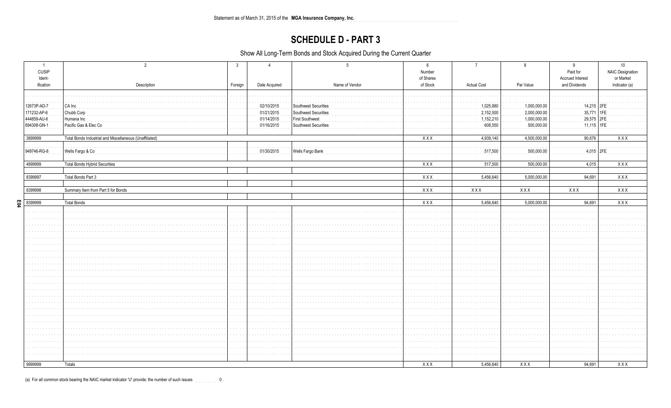Statement as of March 31, 2015 of the MGA Insurance Company, Inc. 

## **SCHEDULE D - PART 3**

Show All Long-Term Bonds and Stock Acquired During the Current Quarter

| $\overline{1}$<br><b>CUSIP</b><br>Ident- |                                                         | 3                                              |                              |                                              | Number<br>of Shares |                        |                              | 9<br>Paid for<br><b>Accrued Interest</b> | 10<br><b>NAIC Designation</b><br>or Market |
|------------------------------------------|---------------------------------------------------------|------------------------------------------------|------------------------------|----------------------------------------------|---------------------|------------------------|------------------------------|------------------------------------------|--------------------------------------------|
| ification                                | Description                                             | Foreign                                        | Date Acquired                | Name of Vendor                               | of Stock            | <b>Actual Cost</b>     | Par Value                    | and Dividends                            | Indicator (a)                              |
|                                          |                                                         |                                                |                              |                                              |                     |                        |                              |                                          |                                            |
|                                          |                                                         | a sa cal                                       |                              |                                              |                     |                        |                              |                                          |                                            |
| 12673P-AD-7<br>171232-AP-6               | CA Inc<br>Chubb Corp                                    | a sa sa                                        | 02/10/2015<br>01/21/2015     | Southwest Securities<br>Southwest Securities |                     | 1,025,880<br>2,152,500 | 1,000,000.00<br>2,000,000.00 | 14,215   2FE<br>35,771                   | 1FE                                        |
| 444859-AU-6                              | Humana Inc                                              |                                                | 01/14/2015                   | <b>First Southwest</b>                       |                     | 1,152,210              | 1,000,000.00                 | 29,575 2FE                               |                                            |
| 694308-GN-1                              | Pacific Gas & Elec Co                                   |                                                | 01/16/2015                   | Southwest Securities                         |                     | 608,550                | 500,000.00                   | 11,115   1FE                             |                                            |
|                                          |                                                         |                                                |                              |                                              |                     |                        |                              |                                          |                                            |
| 3899999                                  | Total Bonds Industrial and Miscellaneous (Unaffiliated) |                                                |                              |                                              | XXX                 | 4,939,140              | 4,500,000.00                 | 90,676                                   | XXX                                        |
|                                          |                                                         |                                                |                              |                                              |                     |                        |                              |                                          |                                            |
| 949746-RG-8                              | Wells Fargo & Co                                        | $\cdots$                                       | 01/30/2015                   | <b>Wells Fargo Bank</b>                      |                     | 517,500                | 500,000.00                   | $4,015$ 2FE                              |                                            |
|                                          |                                                         |                                                |                              |                                              |                     |                        |                              |                                          |                                            |
| 4899999                                  | <b>Total Bonds Hybrid Securities</b>                    |                                                |                              |                                              | XXX                 | 517,500                | 500,000.00                   | 4,015                                    | XXX                                        |
| 8399997                                  | Total Bonds Part 3                                      |                                                |                              |                                              | XXX                 | 5,456,640              | 5,000,000.00                 | 94,691                                   | XXX                                        |
|                                          |                                                         |                                                |                              |                                              |                     |                        |                              |                                          |                                            |
| 8399998                                  | Summary Item from Part 5 for Bonds                      |                                                |                              |                                              | XXX                 | XXX                    | XXX                          | XXX                                      | XXX                                        |
|                                          |                                                         |                                                |                              |                                              |                     |                        |                              |                                          |                                            |
| EQ4<br>8399999                           | <b>Total Bonds</b>                                      |                                                |                              |                                              | XXX                 | 5,456,640              | 5,000,000.00                 | 94,691                                   | <b>XXX</b>                                 |
|                                          |                                                         | <b>Service</b>                                 |                              |                                              |                     |                        |                              |                                          |                                            |
|                                          |                                                         | $\alpha$ , $\alpha$ , $\alpha$ , $\alpha$      | $\cdots$                     |                                              |                     |                        |                              |                                          |                                            |
|                                          |                                                         | .                                              |                              |                                              |                     |                        |                              |                                          |                                            |
|                                          |                                                         | .                                              |                              |                                              |                     |                        |                              |                                          |                                            |
|                                          |                                                         | $\alpha$ , $\alpha$ , $\alpha$ , $\alpha$<br>. | $\sim$ 10 $\sim$             |                                              |                     |                        |                              |                                          |                                            |
|                                          |                                                         | and the con-                                   |                              |                                              |                     |                        |                              |                                          |                                            |
|                                          |                                                         | a sa cal                                       |                              |                                              |                     |                        |                              |                                          |                                            |
|                                          |                                                         | .                                              |                              |                                              |                     |                        |                              |                                          |                                            |
|                                          |                                                         | and and                                        | $\sim$ 100 $\sim$ 100 $\sim$ |                                              |                     |                        |                              |                                          |                                            |
|                                          |                                                         |                                                |                              |                                              |                     |                        |                              |                                          |                                            |
|                                          |                                                         |                                                |                              |                                              |                     |                        |                              |                                          |                                            |
|                                          |                                                         | and and                                        | $\sim$ $\sim$                |                                              |                     |                        |                              |                                          |                                            |
|                                          |                                                         | $\alpha$ , $\alpha$ , $\alpha$<br>.            |                              |                                              |                     |                        |                              |                                          |                                            |
|                                          |                                                         | and a                                          | $\sim$ $\sim$                |                                              |                     |                        |                              |                                          |                                            |
|                                          |                                                         | $\sim$ $\sim$ $\sim$                           |                              |                                              |                     |                        |                              |                                          |                                            |
|                                          |                                                         | .                                              |                              |                                              |                     |                        |                              |                                          |                                            |
|                                          |                                                         | and an                                         |                              |                                              |                     |                        |                              |                                          |                                            |
|                                          |                                                         |                                                |                              |                                              |                     |                        |                              |                                          |                                            |
|                                          |                                                         |                                                |                              |                                              |                     |                        |                              |                                          |                                            |
|                                          |                                                         | and the con-                                   | $\sim$ $\sim$ $\sim$         |                                              |                     |                        |                              |                                          |                                            |
|                                          |                                                         |                                                | $\sim 100$ km s $^{-1}$      |                                              |                     |                        |                              |                                          |                                            |
| 9999999                                  | Totals                                                  |                                                |                              |                                              | XXX                 | 5,456,640              | XXX                          | 94,691                                   | <b>XXX</b>                                 |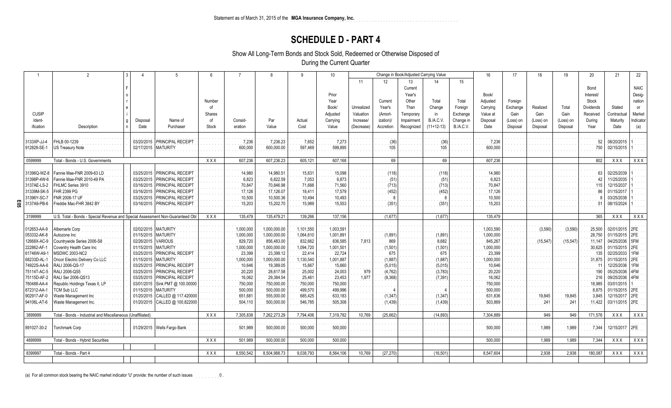## **SCHEDULE D - PART 4**

Show All Long-Term Bonds and Stock Sold, Redeemed or Otherwise Disposed of

During the Current Quarter

|                    | $\mathfrak{D}$                                                                 |            |                                | $6\overline{6}$ | $\overline{7}$ |              | q         | 10 <sup>10</sup> |            |                  | Change in Book/Adjusted Carrying Value |              |                  | 16        | 17        | 18        | 19        | 20               | 21             | 22          |
|--------------------|--------------------------------------------------------------------------------|------------|--------------------------------|-----------------|----------------|--------------|-----------|------------------|------------|------------------|----------------------------------------|--------------|------------------|-----------|-----------|-----------|-----------|------------------|----------------|-------------|
|                    |                                                                                |            |                                |                 |                |              |           |                  | 11         | 12               | 13                                     |              | 15               |           |           |           |           |                  |                |             |
|                    |                                                                                |            |                                |                 |                |              |           |                  |            |                  | Current                                |              |                  |           |           |           |           | Bond             |                | <b>NAIC</b> |
|                    |                                                                                |            |                                |                 |                |              |           | Prior            |            |                  | Year's                                 |              |                  | Book/     |           |           |           | Interest/        |                | Desig-      |
|                    |                                                                                |            |                                | Number          |                |              |           | Year             |            | Current          | Other                                  | Total        | Total            |           | Foreign   |           |           | Stock            |                | nation      |
|                    |                                                                                |            |                                |                 |                |              |           |                  |            |                  |                                        |              |                  | Adjusted  |           |           |           |                  |                |             |
|                    |                                                                                |            |                                | of              |                |              |           | Book/            | Unrealized | Year's           | Than                                   | Change       | Foreign          | Carrying  | Exchange  | Realized  | Total     | <b>Dividends</b> | Stated         | or          |
| <b>CUSIP</b>       |                                                                                |            |                                | Shares          |                |              |           | Adjusted         | Valuation  | (Amort-          | Temporary                              | <i>in</i>    | Exchange         | Value at  | Gain      | Gain      | Gain      | Received         | Contractual    | Market      |
| Ident-             |                                                                                | Disposal   | Name of                        | of              | Consid-        | Par          | Actual    | Carrying         | Increase/  | <i>ization)/</i> | Impairmen                              | B./A.C.V     | Change in        | Disposal  | (Loss) on | (Loss) on | (Loss) on | During           | Maturity       | ndicator    |
| ification          | Description                                                                    | Date       | Purchaser                      | Stock           | eration        | Value        | Cost      | Value            | (Decrease) | Accretion        | Recognized                             | $(11+12-13)$ | <b>B./A.C.V.</b> | Date      | Disposal  | Disposal  | Disposal  | Year             | Date           | (a)         |
| 3133XP-JJ-4        | FHLB 00-1239                                                                   | 03/20/2015 | PRINCIPAL RECEIPT              |                 | 7,236          | 7,236.23     | 7,652     | 7,273            |            | (36)             |                                        |              |                  | 7,236     |           |           |           | 52               | 08/20/2015     |             |
| 912828-SE-1        | US Treasury Note                                                               |            | 02/17/2015   MATURITY          |                 | 600,000        | 600,000.00   | 597,469   | 599,895          |            | 105              |                                        | 105          |                  | 600,000   |           |           |           | 750              | 02/15/2015     |             |
|                    |                                                                                |            |                                |                 |                |              |           |                  |            |                  |                                        |              |                  |           |           |           |           |                  |                |             |
| 0599999            | Total - Bonds - U.S. Governments                                               |            |                                | <b>XXX</b>      | 607,236        | 607,236.23   | 605,121   | 607,168          |            | 69               |                                        | 69           |                  | 607,236   |           |           |           | 802              | <b>XXX</b>     | XXX         |
| 31396Q-WZ-8        | Fannie Mae-FNR 2009-63 LD                                                      | 03/25/2015 | <b>PRINCIPAL RECEIPT</b>       |                 | 14,980         | 14,980.51    | 15,631    | 15,098           |            | (118)            |                                        | (118)        |                  | 14,980    |           |           |           | 63               | 02/25/2039     |             |
| 31398P-4W-6        | Fannie Mae-FNR 2010-49 PA                                                      | 03/25/2015 | <b>PRINCIPAL RECEIPT</b>       |                 | 6,823          | 6,822.59     | 7,053     | 6,873            |            | (51)             |                                        | (51          |                  | 6,823     |           |           |           |                  | 11/25/2035     |             |
| 3137AE-LS-2        | FHLMC Series 3910                                                              | 03/16/2015 | <b>PRINCIPAL RECEIPT</b>       |                 | 70,847         | 70,846.98    | 71,688    | 71,560           |            | (713)            |                                        | (713)        |                  | 70,847    |           |           |           | 115              | 12/15/2037     |             |
| 31339M-SK-5        | <b>FHR 2399 PG</b>                                                             | 03/16/2015 | <b>PRINCIPAL RECEIPT</b>       |                 | 17,126         | 17,126.07    | 18,411    | 17,579           |            | (452)            |                                        | (452)        |                  | 17,126    |           |           |           |                  | 01/15/2017     |             |
| 31396Y-SC-7        | FNR 2008-17 UF                                                                 | 03/25/2015 | PRINCIPAL RECEIPT              |                 | 10,500         | 10,500.36    | 10,494    | 10,493           |            |                  |                                        |              |                  | 10,500    |           |           |           |                  | 03/25/2038     |             |
| Ε05<br>3137A9-PB-6 | reddie Mac-FHR 3842 BY                                                         | 03/16/2015 | <b>PRINCIPAL RECEIPT</b>       |                 | 15,203         | 15,202.70    | 15,989    | 15,553           |            | (35)             |                                        | (351)        |                  | 15,203    |           |           |           |                  | 08/15/2024     |             |
|                    |                                                                                |            |                                |                 |                |              |           |                  |            |                  |                                        |              |                  |           |           |           |           |                  |                |             |
| 3199999            | U.S. Total - Bonds - Special Revenue and Special Assessment Non-Guaranteed Obl |            |                                | XXX             | 135,479        | 135,479.21   | 139,266   | 137,156          |            | (1,677)          |                                        | (1,677)      |                  | 135,479   |           |           |           | 365              | XXX            | XXX         |
| 012653-AA-9        | Albemarle Corp                                                                 | 02/02/2015 | <b>MATURITY</b>                |                 | 1,000,000      | 1,000,000.00 | 1,101,550 | 1,003,591        |            |                  |                                        |              |                  | 1,003,590 |           | (3,590)   | (3,590)   | 25,500           | 02/01/2015 2FE |             |
| 053332-AK-8        | Autozone Inc                                                                   | 01/15/2015 | <b>MATURITY</b>                |                 | 1,000,000      | 1,000,000.00 | 1,064,610 | 1,001,891        |            | (1,891)          |                                        | (1,891)      |                  | 1,000,000 |           |           |           | 28,750           | 01/15/2015 2FE |             |
| 12668X-AC-9        | Countrywide Series 2006-S8                                                     | 02/26/2015 | <b>VARIOUS</b>                 |                 | 829,720        | 856,483.00   | 832,662   | 836,585          | 7,813      | 869              |                                        | 8,682        |                  | 845,267   |           | (15, 547) | (15, 547) | 11.147           | 04/25/2036 5FM |             |
| 222862-AF-1        | Coventry Health Care Inc                                                       | 01/15/2015 | <b>MATURITY</b>                |                 | 1,000,000      | 1,000,000.00 | 1,094,720 | 1,001,501        |            | (1,501)          |                                        | (1,501)      |                  | 1,000,000 |           |           |           | 30,625           | 01/15/2015 2FE |             |
| 61746W-A9-1        | <b>MSDWC 2003-NC2</b>                                                          | 03/25/2015 | PRINCIPAL RECEIPT              |                 | 23,399         | 23,399.12    | 22,414    | 22,724           |            | 675              |                                        | 675          |                  | 23,399    |           |           |           | 135              | 02/25/2033     | 1FM         |
| 68233D-AL-1        | Oncor Electric Delivery Co LLC                                                 | 01/15/2015 | <b>MATURITY</b>                |                 | 1,000,000      | 1,000,000.00 | 1,130,540 | 1,001,887        |            | (1,887)          |                                        | (1, 887)     |                  | 1,000,000 |           |           |           | 31.875           | 01/15/2015 2FE |             |
| 74922S-AA-6        | RALI 2006-QS-17                                                                | 03/25/2015 | PRINCIPAL RECEIPT              |                 | 10,646         | 19,389.05    | 15,667    | 15,660           |            | (5,015)          |                                        | (5,015)      |                  | 10,646    |           |           |           |                  | 12/25/2036     | 1FM         |
| 75114T-AC-5        | RALI 2006-QS5                                                                  | 03/25/2015 | PRINCIPAL RECEIPT              |                 | 20,220         | 28,617.58    | 25,002    | 24,003           | 979        | (4, 762)         |                                        | (3,783)      |                  | 20,220    |           |           |           | 190              | 05/25/2036     | 4FM         |
| 75115D-AF-2        | RALI Ser 2006-QS13                                                             | 03/25/2015 | PRINCIPAL RECEIPT              |                 | 16,062         | 29,384.54    | 25,461    | 23,453           | 1,977      | (9,368)          |                                        | (7, 391)     |                  | 16,062    |           |           |           | 216              | 09/25/2036     | 4FM         |
| 760488-AA-4        | Republic Holdings Texas II, LP                                                 | 03/01/2015 | Sink PMT @ 100.00000           |                 | 750,000        | 750,000.00   | 750,000   | 750,000          |            |                  |                                        |              |                  | 750,000   |           |           |           | 18,985           | 03/01/2015     |             |
| 872312-AA-1        | <b>CM Sub LLC</b>                                                              | 01/15/2015 | <b>MATURITY</b>                |                 | 500,000        | 500,000.00   | 499,570   | 499,996          |            |                  |                                        |              |                  | 500,000   |           |           |           | 8,875            | 01/15/2015 2FE |             |
| 902917-AF-0        | Waste Management Inc                                                           | 01/20/2015 | CALLED @ 117.420000            |                 | 651,681        | 555,000.00   | 685,425   | 633,183          |            | (1, 347)         |                                        | (1, 347)     |                  | 631,836   |           | 19,845    | 19,845    | 3.845            | 12/15/2017     | 2FE         |
| 94106L-AT-6        | <b>Naste Management Inc.</b>                                                   |            | 01/20/2015 CALLED @ 100.822000 |                 | 504,110        | 500,000.00   | 546,785   | 505,308          |            | (1, 439)         |                                        | (1, 439)     |                  | 503,869   |           | 241       | 241       | 11,422           | 03/11/2015 2FE |             |
| 3899999            | Total - Bonds - Industrial and Miscellaneous (Unaffiliated)                    |            |                                | <b>XXX</b>      | 7,305,838      | 7,262,273.29 | 7,794,406 | 7,319,782        | 10,769     | (25, 662)        |                                        | (14, 893)    |                  | 7,304,889 |           | 949       | 949       | 171,576          | <b>XXX</b>     | XXX         |
|                    |                                                                                |            |                                |                 |                |              |           |                  |            |                  |                                        |              |                  |           |           |           |           |                  |                |             |
| 891027-30-2        | Torchmark Corp                                                                 |            | 01/29/2015   Wells Fargo Bank  |                 | 501,989        | 500,000.00   | 500,000   | 500,000          |            |                  |                                        |              |                  | 500,000   |           | 1,989     | 1,989     | 7,344            | 12/15/2017 2FE |             |
|                    |                                                                                |            |                                |                 |                |              |           |                  |            |                  |                                        |              |                  |           |           |           |           |                  |                |             |
| 4899999            | Total - Bonds - Hybrid Securities                                              |            |                                | XXX             | 501,989        | 500,000.00   | 500,000   | 500,000          |            |                  |                                        |              |                  | 500,000   |           | 1,989     | 1,989     | 7,344            | XXX            | <b>XXX</b>  |
| 8399997            | Total - Bonds - Part 4                                                         |            |                                | <b>XXX</b>      | 8.550.542      | 8.504.988.73 | 9.038.793 | 8.564.106        | 10.769     | (27, 270)        |                                        | (16, 501)    |                  | 8.547.604 |           | 2.938     | 2,938     | 180.087          | <b>XXX</b>     | XXX         |
|                    |                                                                                |            |                                |                 |                |              |           |                  |            |                  |                                        |              |                  |           |           |           |           |                  |                |             |

(a) For all common stock bearing the NAIC market indicator 'U' provide: the number of such issues  $\frac{0}{2}$ .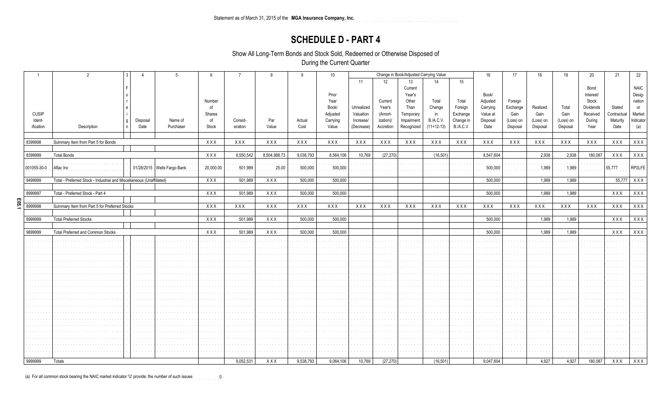## **SCHEDULE D - PART 4**

Show All Long-Term Bonds and Stock Sold, Redeemed or Otherwise Disposed of

During the Current Quarter

|              | 2<br>$\mathbf{3}$                                                     | $\Delta$ | $5^{\circ}$                   | 6              | $\overline{7}$ | 8            | 9         | 10        |            |           |                        | Change in Book/Adjusted Carrying Value |                  | 16        | 17        | 18          | 19        | 20         | 21          | 22           |
|--------------|-----------------------------------------------------------------------|----------|-------------------------------|----------------|----------------|--------------|-----------|-----------|------------|-----------|------------------------|----------------------------------------|------------------|-----------|-----------|-------------|-----------|------------|-------------|--------------|
|              |                                                                       |          |                               |                |                |              |           |           | 11         | 12        | 13                     | 14                                     | 15               |           |           |             |           |            |             |              |
|              |                                                                       |          |                               |                |                |              |           |           |            |           | Current                |                                        |                  |           |           |             |           | Bond       |             | <b>NAIC</b>  |
|              |                                                                       |          |                               |                |                |              |           | Prior     |            |           | Year's                 |                                        |                  | Book/     |           |             |           | Interest/  |             | Desig-       |
|              |                                                                       |          |                               | Number         |                |              |           | Year      |            | Current   | Other                  | Total                                  | Total            | Adjusted  | Foreign   |             |           | Stock      |             | nation       |
|              |                                                                       |          |                               | of             |                |              |           | Book/     | Unrealized | Year's    | Than                   | Change                                 | Foreign          | Carrying  | Exchange  | Realized    | Total     | Dividends  | Stated      | or           |
| <b>CUSIP</b> |                                                                       |          |                               | Shares         |                |              |           | Adjusted  | Valuation  | (Amort-   | Temporary              | in                                     | Exchange         | Value at  | Gain      | Gain        | Gain      | Received   | Contractual | Market       |
| Ident-       | g                                                                     | Disposal | Name of                       | 0f             | Consid-        | Par          | Actual    | Carrying  | Increase/  | ization)/ | Impairment             | <b>B./A.C.V.</b>                       | Change in        | Disposal  | (Loss) on | (Loss) on   | (Loss) on | During     | Maturity    | Indicator    |
| ification    | Description<br>$\mathsf{n}$                                           | Date     | Purchaser                     | Stock          | eration        | Value        | Cost      | Value     | (Decrease) | Accretion | Recognized             | $(11+12-13)$                           | <b>B./A.C.V.</b> | Date      | Disposal  | Disposal    | Disposal  | Year       | Date        | (a)          |
|              |                                                                       |          |                               |                |                |              |           |           |            |           |                        |                                        |                  |           |           |             |           |            |             |              |
| 8399998      | Summary Item from Part 5 for Bonds                                    |          |                               | XXX            | XXX            | XXX          | XXX       | XXX       | XXX        | XXX       | XXX                    | XXX                                    | XXX              | XXX       | XXX       | XXX         | XXX       | XXX        | XXX         | XXX          |
|              |                                                                       |          |                               |                |                |              |           |           |            |           |                        |                                        |                  |           |           |             |           |            |             |              |
| 8399999      | <b>Total Bonds</b>                                                    |          |                               | XXX            | 8,550,542      | 8,504,988.73 | 9,038,793 | 8,564,106 | 10,769     | (27, 270) |                        | (16, 501)                              |                  | 8,547,604 |           | 2,938       | 2,938     | 180,087    | <b>XXX</b>  | XXX          |
|              |                                                                       |          |                               |                |                |              |           |           |            |           |                        |                                        |                  |           |           |             |           |            |             |              |
| 001055-30-0  | Aflac Inc                                                             |          | 01/28/2015   Wells Fargo Bank | 20,000.00      | 501,989        | 25.00        | 500,000   | 500,000   |            |           |                        |                                        |                  | 500,000   |           | 1,989       | 1,989     |            | 55,777      | RP2LFE       |
|              |                                                                       |          |                               |                |                |              |           |           |            |           |                        |                                        |                  |           |           |             |           |            |             |              |
| 8499999      | Total - Preferred Stock - Industrial and Miscellaneous (Unaffiliated) |          |                               | XXX            | 501.989        | XXX          | 500,000   | 500.000   |            |           |                        |                                        |                  | 500,000   |           | 1,989       | 1.989     |            |             | 55,777 X X X |
|              |                                                                       |          |                               |                |                |              |           |           |            |           |                        |                                        |                  |           |           |             |           |            |             |              |
| 8999997      | Total - Preferred Stock - Part 4                                      |          |                               | XXX            | 501.989        | XXX          | 500,000   | 500.000   |            |           |                        |                                        |                  | 500.000   |           | 1,989       | 1,989     |            | <b>XXX</b>  | XXX          |
| E05          |                                                                       |          |                               |                |                |              |           |           |            |           |                        |                                        |                  |           |           |             |           |            |             |              |
| 8999998      | Summary Item from Part 5 for Preferred Stocks                         |          |                               | XXX            | XXX            | XXX          | XXX       | XXX       | XXX        | XXX       | XXX                    | XXX                                    | <b>XXX</b>       | XXX       | XXX       | XXX         | XXX       | <b>XXX</b> | <b>XXX</b>  | XXX          |
| 8999999      | <b>Total Preferred Stocks</b>                                         |          |                               | XXX            | 501.989        | XXX          | 500,000   | 500,000   |            |           |                        |                                        |                  | 500,000   |           | 1,989       | 1,989     |            | <b>XXX</b>  | XXX          |
|              |                                                                       |          |                               |                |                |              |           |           |            |           |                        |                                        |                  |           |           |             |           |            |             |              |
| 9899999      | Total Preferred and Common Stocks                                     |          |                               | XXX            | 501,989        | <b>XXX</b>   | 500,000   | 500,000   |            |           |                        |                                        |                  | 500,000   |           | 1,989       | 1,989     |            | <b>XXX</b>  | XXX          |
|              |                                                                       |          |                               |                |                |              |           |           |            |           |                        |                                        |                  |           |           |             |           |            |             |              |
|              |                                                                       |          |                               |                |                |              |           |           |            |           | and and                |                                        |                  |           |           |             |           |            |             |              |
|              |                                                                       |          |                               |                |                |              |           |           |            |           | .                      |                                        |                  |           |           |             |           |            |             |              |
|              |                                                                       |          |                               |                |                |              |           |           |            |           |                        |                                        |                  |           |           |             |           |            |             |              |
|              |                                                                       |          |                               | and a state of |                |              |           |           |            |           | and a state<br>and and |                                        |                  |           |           | and a state |           |            |             |              |
|              |                                                                       |          |                               |                |                |              |           |           |            |           |                        |                                        |                  |           |           |             |           |            |             |              |
|              |                                                                       |          |                               |                |                |              |           |           |            |           |                        |                                        |                  |           |           |             |           |            |             |              |
|              |                                                                       |          |                               |                |                |              |           |           |            |           | $\cdots$               |                                        |                  |           |           |             |           |            |             |              |
|              |                                                                       |          |                               | .              |                |              |           |           |            |           | .<br>and and           |                                        |                  |           |           | .           |           |            |             |              |
|              |                                                                       |          |                               |                |                |              |           |           |            |           |                        |                                        |                  |           |           |             |           |            |             |              |
|              |                                                                       |          |                               |                |                |              |           |           |            |           | .                      |                                        |                  |           |           |             |           |            |             |              |
|              |                                                                       |          |                               | .              |                |              |           |           |            |           | .                      |                                        |                  |           |           |             |           |            |             |              |
|              |                                                                       |          |                               |                |                |              |           |           |            |           |                        |                                        |                  |           |           |             |           |            |             |              |
|              |                                                                       |          |                               |                |                |              |           |           |            |           |                        |                                        |                  |           |           |             |           |            |             |              |
|              |                                                                       |          |                               |                |                |              |           |           |            |           |                        |                                        |                  |           |           |             |           |            |             |              |
|              |                                                                       |          |                               |                |                |              |           |           |            |           |                        |                                        |                  |           |           |             |           |            |             |              |
|              |                                                                       |          |                               |                |                |              |           |           |            |           | and and                |                                        |                  |           |           |             |           |            |             |              |
|              |                                                                       |          |                               |                |                |              |           |           |            |           |                        |                                        |                  |           |           |             |           |            |             |              |
|              |                                                                       |          |                               |                |                |              |           |           |            |           |                        |                                        |                  |           |           |             |           |            |             |              |
| 9999999      | Totals                                                                |          |                               |                | 9,052,531      | XXX          | 9,538,793 | 9,064,106 | 10,769     | (27, 270) |                        | (16, 501)                              |                  | 9,047,604 |           | 4,927       | 4,927     | 180,087    | XXX         | XXX          |

(a) For all common stock bearing the NAIC market indicator 'U' provide: the number of such issues  $\sim 0.1$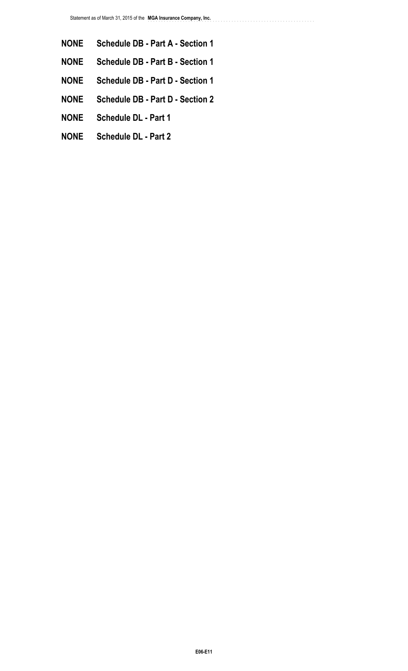..............................................................

- **NONE Schedule DB Part A Section 1**
- **NONE Schedule DB Part B Section 1**
- **NONE Schedule DB Part D Section 1**
- **NONE Schedule DB Part D Section 2**
- **NONE Schedule DL Part 1**
- **NONE Schedule DL Part 2**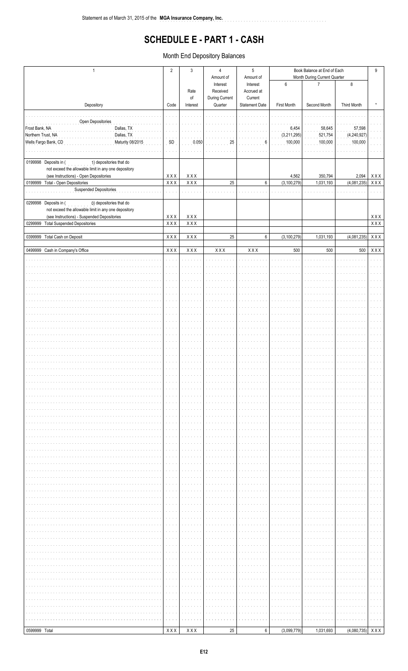# **SCHEDULE E - PART 1 - CASH**

. . . . . . . . . . .

Month End Depository Balances

| 6<br>8<br>Interest<br>Interest<br>$\overline{7}$<br>Received<br>Rate<br>Accrued at<br>During Current<br>$\circ f$<br>Current<br>Quarter<br>Depository<br><b>Statement Date</b><br>First Month<br>Second Month<br>Third Month<br>Code<br>Interest<br>Open Depositories<br>Dallas, TX<br>6,454<br>58,645<br>57,598<br>Dallas, TX<br>(3,211,295)<br>521,754<br>(4,240,927)<br>Northern Trust, NA<br>Wells Fargo Bank, CD<br>Maturity 08/2015<br>SD<br>0.050<br>100,000<br>100,000<br>100,000<br>25<br>6<br>0199998 Deposits in (<br>1) depositories that do<br>not exceed the allowable limit in any one depository<br>XXX<br>(see Instructions) - Open Depositories<br>XXX<br><b>XXX</b><br>4,562<br>350,794<br>2,094<br>XXX<br>0199999 Total - Open Depositories<br>$X$ $X$ $X$<br>XXX<br>25<br>(3, 100, 279)<br>(4,081,235)<br>6<br>1,031,193<br>Suspended Depositories<br>0299998 Deposits in (<br>0) depositories that do<br>not exceed the allowable limit in any one depository<br>$\mathsf{X}\,\mathsf{X}\,\mathsf{X}$<br>(see Instructions) - Suspended Depositories<br>XXX<br>XXX<br>$\overline{X} \overline{X}$<br>$X$ $X$ $X$<br>XXX<br>0299999 Total Suspended Depositories<br>XXX<br><b>XXX</b><br>XXX<br>25<br>$\,6\,$<br>(3, 100, 279)<br>1,031,193<br>(4,081,235)<br>0399999 Total Cash on Deposit<br>0499999 Cash in Company's Office<br><b>XXX</b><br>XXX<br>$\mathsf{X}\, \mathsf{X}\, \mathsf{X}$<br>XXX<br>XXX<br>500<br>500<br>500<br>XXX | $\mathbf{1}$   | $\overline{2}$ | $\mathbf{3}$ | 4<br>Amount of | $\sqrt{5}$<br>Amount of | Month During Current Quarter | Book Balance at End of Each | 9 |  |
|---------------------------------------------------------------------------------------------------------------------------------------------------------------------------------------------------------------------------------------------------------------------------------------------------------------------------------------------------------------------------------------------------------------------------------------------------------------------------------------------------------------------------------------------------------------------------------------------------------------------------------------------------------------------------------------------------------------------------------------------------------------------------------------------------------------------------------------------------------------------------------------------------------------------------------------------------------------------------------------------------------------------------------------------------------------------------------------------------------------------------------------------------------------------------------------------------------------------------------------------------------------------------------------------------------------------------------------------------------------------------------------------------------------------------------------------------------------|----------------|----------------|--------------|----------------|-------------------------|------------------------------|-----------------------------|---|--|
|                                                                                                                                                                                                                                                                                                                                                                                                                                                                                                                                                                                                                                                                                                                                                                                                                                                                                                                                                                                                                                                                                                                                                                                                                                                                                                                                                                                                                                                               |                |                |              |                |                         |                              |                             |   |  |
| $(4,080,735)$ XXX                                                                                                                                                                                                                                                                                                                                                                                                                                                                                                                                                                                                                                                                                                                                                                                                                                                                                                                                                                                                                                                                                                                                                                                                                                                                                                                                                                                                                                             |                |                |              |                |                         |                              |                             |   |  |
|                                                                                                                                                                                                                                                                                                                                                                                                                                                                                                                                                                                                                                                                                                                                                                                                                                                                                                                                                                                                                                                                                                                                                                                                                                                                                                                                                                                                                                                               |                |                |              |                |                         |                              |                             |   |  |
|                                                                                                                                                                                                                                                                                                                                                                                                                                                                                                                                                                                                                                                                                                                                                                                                                                                                                                                                                                                                                                                                                                                                                                                                                                                                                                                                                                                                                                                               | Frost Bank, NA |                |              |                |                         |                              |                             |   |  |
|                                                                                                                                                                                                                                                                                                                                                                                                                                                                                                                                                                                                                                                                                                                                                                                                                                                                                                                                                                                                                                                                                                                                                                                                                                                                                                                                                                                                                                                               |                |                |              |                |                         |                              |                             |   |  |
|                                                                                                                                                                                                                                                                                                                                                                                                                                                                                                                                                                                                                                                                                                                                                                                                                                                                                                                                                                                                                                                                                                                                                                                                                                                                                                                                                                                                                                                               |                |                |              |                |                         |                              |                             |   |  |
|                                                                                                                                                                                                                                                                                                                                                                                                                                                                                                                                                                                                                                                                                                                                                                                                                                                                                                                                                                                                                                                                                                                                                                                                                                                                                                                                                                                                                                                               |                |                |              |                |                         |                              |                             |   |  |
|                                                                                                                                                                                                                                                                                                                                                                                                                                                                                                                                                                                                                                                                                                                                                                                                                                                                                                                                                                                                                                                                                                                                                                                                                                                                                                                                                                                                                                                               |                |                |              |                |                         |                              |                             |   |  |
|                                                                                                                                                                                                                                                                                                                                                                                                                                                                                                                                                                                                                                                                                                                                                                                                                                                                                                                                                                                                                                                                                                                                                                                                                                                                                                                                                                                                                                                               |                |                |              |                |                         |                              |                             |   |  |
|                                                                                                                                                                                                                                                                                                                                                                                                                                                                                                                                                                                                                                                                                                                                                                                                                                                                                                                                                                                                                                                                                                                                                                                                                                                                                                                                                                                                                                                               |                |                |              |                |                         |                              |                             |   |  |
|                                                                                                                                                                                                                                                                                                                                                                                                                                                                                                                                                                                                                                                                                                                                                                                                                                                                                                                                                                                                                                                                                                                                                                                                                                                                                                                                                                                                                                                               |                |                |              |                |                         |                              |                             |   |  |
|                                                                                                                                                                                                                                                                                                                                                                                                                                                                                                                                                                                                                                                                                                                                                                                                                                                                                                                                                                                                                                                                                                                                                                                                                                                                                                                                                                                                                                                               |                |                |              |                |                         |                              |                             |   |  |
|                                                                                                                                                                                                                                                                                                                                                                                                                                                                                                                                                                                                                                                                                                                                                                                                                                                                                                                                                                                                                                                                                                                                                                                                                                                                                                                                                                                                                                                               |                |                |              |                |                         |                              |                             |   |  |
|                                                                                                                                                                                                                                                                                                                                                                                                                                                                                                                                                                                                                                                                                                                                                                                                                                                                                                                                                                                                                                                                                                                                                                                                                                                                                                                                                                                                                                                               |                |                |              |                |                         |                              |                             |   |  |
|                                                                                                                                                                                                                                                                                                                                                                                                                                                                                                                                                                                                                                                                                                                                                                                                                                                                                                                                                                                                                                                                                                                                                                                                                                                                                                                                                                                                                                                               |                |                |              |                |                         |                              |                             |   |  |
|                                                                                                                                                                                                                                                                                                                                                                                                                                                                                                                                                                                                                                                                                                                                                                                                                                                                                                                                                                                                                                                                                                                                                                                                                                                                                                                                                                                                                                                               |                |                |              |                |                         |                              |                             |   |  |
|                                                                                                                                                                                                                                                                                                                                                                                                                                                                                                                                                                                                                                                                                                                                                                                                                                                                                                                                                                                                                                                                                                                                                                                                                                                                                                                                                                                                                                                               |                |                |              |                |                         |                              |                             |   |  |
|                                                                                                                                                                                                                                                                                                                                                                                                                                                                                                                                                                                                                                                                                                                                                                                                                                                                                                                                                                                                                                                                                                                                                                                                                                                                                                                                                                                                                                                               |                |                |              |                |                         |                              |                             |   |  |
|                                                                                                                                                                                                                                                                                                                                                                                                                                                                                                                                                                                                                                                                                                                                                                                                                                                                                                                                                                                                                                                                                                                                                                                                                                                                                                                                                                                                                                                               |                |                |              |                |                         |                              |                             |   |  |
|                                                                                                                                                                                                                                                                                                                                                                                                                                                                                                                                                                                                                                                                                                                                                                                                                                                                                                                                                                                                                                                                                                                                                                                                                                                                                                                                                                                                                                                               |                |                |              |                |                         |                              |                             |   |  |
|                                                                                                                                                                                                                                                                                                                                                                                                                                                                                                                                                                                                                                                                                                                                                                                                                                                                                                                                                                                                                                                                                                                                                                                                                                                                                                                                                                                                                                                               |                |                |              |                |                         |                              |                             |   |  |
|                                                                                                                                                                                                                                                                                                                                                                                                                                                                                                                                                                                                                                                                                                                                                                                                                                                                                                                                                                                                                                                                                                                                                                                                                                                                                                                                                                                                                                                               |                |                |              |                |                         |                              |                             |   |  |
|                                                                                                                                                                                                                                                                                                                                                                                                                                                                                                                                                                                                                                                                                                                                                                                                                                                                                                                                                                                                                                                                                                                                                                                                                                                                                                                                                                                                                                                               |                |                |              |                |                         |                              |                             |   |  |
|                                                                                                                                                                                                                                                                                                                                                                                                                                                                                                                                                                                                                                                                                                                                                                                                                                                                                                                                                                                                                                                                                                                                                                                                                                                                                                                                                                                                                                                               |                |                |              |                |                         |                              |                             |   |  |
|                                                                                                                                                                                                                                                                                                                                                                                                                                                                                                                                                                                                                                                                                                                                                                                                                                                                                                                                                                                                                                                                                                                                                                                                                                                                                                                                                                                                                                                               |                |                |              |                |                         |                              |                             |   |  |
|                                                                                                                                                                                                                                                                                                                                                                                                                                                                                                                                                                                                                                                                                                                                                                                                                                                                                                                                                                                                                                                                                                                                                                                                                                                                                                                                                                                                                                                               |                |                |              |                |                         |                              |                             |   |  |
|                                                                                                                                                                                                                                                                                                                                                                                                                                                                                                                                                                                                                                                                                                                                                                                                                                                                                                                                                                                                                                                                                                                                                                                                                                                                                                                                                                                                                                                               |                |                |              |                |                         |                              |                             |   |  |
|                                                                                                                                                                                                                                                                                                                                                                                                                                                                                                                                                                                                                                                                                                                                                                                                                                                                                                                                                                                                                                                                                                                                                                                                                                                                                                                                                                                                                                                               |                |                |              |                |                         |                              |                             |   |  |
|                                                                                                                                                                                                                                                                                                                                                                                                                                                                                                                                                                                                                                                                                                                                                                                                                                                                                                                                                                                                                                                                                                                                                                                                                                                                                                                                                                                                                                                               |                |                |              |                |                         |                              |                             |   |  |
|                                                                                                                                                                                                                                                                                                                                                                                                                                                                                                                                                                                                                                                                                                                                                                                                                                                                                                                                                                                                                                                                                                                                                                                                                                                                                                                                                                                                                                                               |                |                |              |                |                         |                              |                             |   |  |
|                                                                                                                                                                                                                                                                                                                                                                                                                                                                                                                                                                                                                                                                                                                                                                                                                                                                                                                                                                                                                                                                                                                                                                                                                                                                                                                                                                                                                                                               |                |                |              |                |                         |                              |                             |   |  |
|                                                                                                                                                                                                                                                                                                                                                                                                                                                                                                                                                                                                                                                                                                                                                                                                                                                                                                                                                                                                                                                                                                                                                                                                                                                                                                                                                                                                                                                               |                |                |              |                |                         |                              |                             |   |  |
|                                                                                                                                                                                                                                                                                                                                                                                                                                                                                                                                                                                                                                                                                                                                                                                                                                                                                                                                                                                                                                                                                                                                                                                                                                                                                                                                                                                                                                                               |                |                |              |                |                         |                              |                             |   |  |
|                                                                                                                                                                                                                                                                                                                                                                                                                                                                                                                                                                                                                                                                                                                                                                                                                                                                                                                                                                                                                                                                                                                                                                                                                                                                                                                                                                                                                                                               |                |                |              |                |                         |                              |                             |   |  |
|                                                                                                                                                                                                                                                                                                                                                                                                                                                                                                                                                                                                                                                                                                                                                                                                                                                                                                                                                                                                                                                                                                                                                                                                                                                                                                                                                                                                                                                               |                |                |              |                |                         |                              |                             |   |  |
|                                                                                                                                                                                                                                                                                                                                                                                                                                                                                                                                                                                                                                                                                                                                                                                                                                                                                                                                                                                                                                                                                                                                                                                                                                                                                                                                                                                                                                                               |                |                |              |                |                         |                              |                             |   |  |
|                                                                                                                                                                                                                                                                                                                                                                                                                                                                                                                                                                                                                                                                                                                                                                                                                                                                                                                                                                                                                                                                                                                                                                                                                                                                                                                                                                                                                                                               |                |                |              |                |                         |                              |                             |   |  |
|                                                                                                                                                                                                                                                                                                                                                                                                                                                                                                                                                                                                                                                                                                                                                                                                                                                                                                                                                                                                                                                                                                                                                                                                                                                                                                                                                                                                                                                               |                |                |              |                |                         |                              |                             |   |  |
|                                                                                                                                                                                                                                                                                                                                                                                                                                                                                                                                                                                                                                                                                                                                                                                                                                                                                                                                                                                                                                                                                                                                                                                                                                                                                                                                                                                                                                                               |                |                |              |                |                         |                              |                             |   |  |
|                                                                                                                                                                                                                                                                                                                                                                                                                                                                                                                                                                                                                                                                                                                                                                                                                                                                                                                                                                                                                                                                                                                                                                                                                                                                                                                                                                                                                                                               |                |                |              |                |                         |                              |                             |   |  |
|                                                                                                                                                                                                                                                                                                                                                                                                                                                                                                                                                                                                                                                                                                                                                                                                                                                                                                                                                                                                                                                                                                                                                                                                                                                                                                                                                                                                                                                               |                |                |              |                |                         |                              |                             |   |  |
|                                                                                                                                                                                                                                                                                                                                                                                                                                                                                                                                                                                                                                                                                                                                                                                                                                                                                                                                                                                                                                                                                                                                                                                                                                                                                                                                                                                                                                                               |                |                |              |                |                         |                              |                             |   |  |
|                                                                                                                                                                                                                                                                                                                                                                                                                                                                                                                                                                                                                                                                                                                                                                                                                                                                                                                                                                                                                                                                                                                                                                                                                                                                                                                                                                                                                                                               |                |                |              |                |                         |                              |                             |   |  |
|                                                                                                                                                                                                                                                                                                                                                                                                                                                                                                                                                                                                                                                                                                                                                                                                                                                                                                                                                                                                                                                                                                                                                                                                                                                                                                                                                                                                                                                               |                |                |              |                |                         |                              |                             |   |  |
|                                                                                                                                                                                                                                                                                                                                                                                                                                                                                                                                                                                                                                                                                                                                                                                                                                                                                                                                                                                                                                                                                                                                                                                                                                                                                                                                                                                                                                                               |                |                |              |                |                         |                              |                             |   |  |
|                                                                                                                                                                                                                                                                                                                                                                                                                                                                                                                                                                                                                                                                                                                                                                                                                                                                                                                                                                                                                                                                                                                                                                                                                                                                                                                                                                                                                                                               |                |                |              |                |                         |                              |                             |   |  |
|                                                                                                                                                                                                                                                                                                                                                                                                                                                                                                                                                                                                                                                                                                                                                                                                                                                                                                                                                                                                                                                                                                                                                                                                                                                                                                                                                                                                                                                               |                |                |              |                |                         |                              |                             |   |  |
|                                                                                                                                                                                                                                                                                                                                                                                                                                                                                                                                                                                                                                                                                                                                                                                                                                                                                                                                                                                                                                                                                                                                                                                                                                                                                                                                                                                                                                                               |                |                |              |                |                         |                              |                             |   |  |
|                                                                                                                                                                                                                                                                                                                                                                                                                                                                                                                                                                                                                                                                                                                                                                                                                                                                                                                                                                                                                                                                                                                                                                                                                                                                                                                                                                                                                                                               |                |                |              |                |                         |                              |                             |   |  |
|                                                                                                                                                                                                                                                                                                                                                                                                                                                                                                                                                                                                                                                                                                                                                                                                                                                                                                                                                                                                                                                                                                                                                                                                                                                                                                                                                                                                                                                               | 0599999 Total  |                | XXX          | 25             | $\,6\,$                 | (3,099,779)                  | 1,031,693                   |   |  |